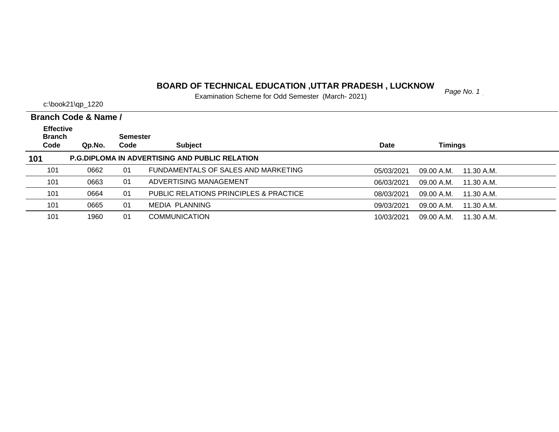#### *Page No. 1* **BOARD OF TECHNICAL EDUCATION ,UTTAR PRADESH , LUCKNOW**

Examination Scheme for Odd Semester (March- 2021)

|                                   | Branch Code & Name / |                 |                                                       |             |                          |
|-----------------------------------|----------------------|-----------------|-------------------------------------------------------|-------------|--------------------------|
| <b>Effective</b><br><b>Branch</b> |                      | <b>Semester</b> |                                                       |             |                          |
| Code                              | Qp.No.               | Code            | <b>Subject</b>                                        | <b>Date</b> | Timings                  |
| 101                               |                      |                 | <b>P.G.DIPLOMA IN ADVERTISING AND PUBLIC RELATION</b> |             |                          |
| 101                               | 0662                 | 01              | FUNDAMENTALS OF SALES AND MARKETING                   | 05/03/2021  | 09.00 A.M.<br>11.30 A.M. |
| 101                               | 0663                 | 01              | ADVERTISING MANAGEMENT                                | 06/03/2021  | 09.00 A.M.<br>11.30 A.M. |
| 101                               | 0664                 | 01              | PUBLIC RELATIONS PRINCIPLES & PRACTICE                | 08/03/2021  | 09.00 A.M.<br>11.30 A.M. |
| 101                               | 0665                 | 01              | MEDIA PLANNING                                        | 09/03/2021  | 11.30 A.M.<br>09.00 A.M. |
| 101                               | 1960                 | 01              | <b>COMMUNICATION</b>                                  | 10/03/2021  | 09.00 A.M.<br>11.30 A.M. |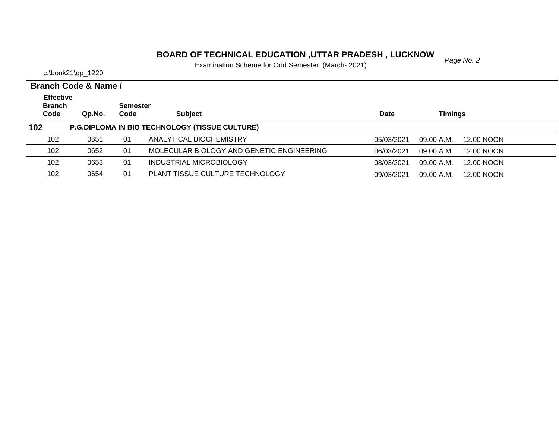#### **BOARD OF TECHNICAL EDUCATION ,UTTAR PRADESH , LUCKNOW**  $_{Page No. 2}$

Examination Scheme for Odd Semester (March- 2021)

c:\book21\qp\_1220

**Branch Code Qp.No. Semester Code Subject Date Timings Branch Code & Name / Effective 102 P.G.DIPLOMA IN BIO TECHNOLOGY (TISSUE CULTURE)** 1020651 01 ANALYTICAL BIOCHEMISTRY 05/03/2021 09.00 A.M. 12.00 NOON 102 0652 01 MOLECULAR BIOLOGY AND GENETIC ENGINEERING 06/03/2021 09.00 A.M. 12.00 NOON 102 0653 01 INDUSTRIAL MICROBIOLOGY 08/03/2021 09.00 A.M. 12.00 NOON 102 0654 01 PLANT TISSUE CULTURE TECHNOLOGY09/03/2021 09.00 A.M. 12.00 NOON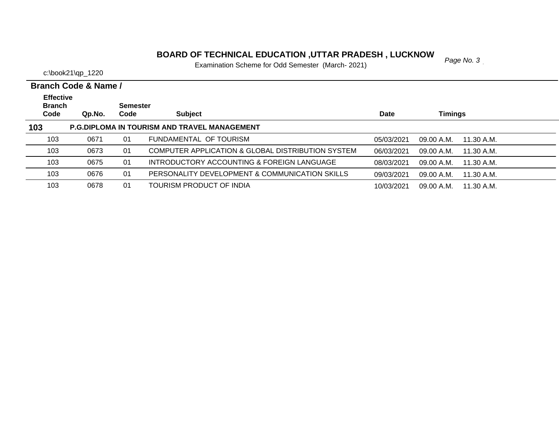# *Page No. 3* **BOARD OF TECHNICAL EDUCATION ,UTTAR PRADESH , LUCKNOW**

Examination Scheme for Odd Semester (March- 2021)

|                                           | Branch Code & Name / |                         |                                                     |            |                          |  |
|-------------------------------------------|----------------------|-------------------------|-----------------------------------------------------|------------|--------------------------|--|
| <b>Effective</b><br><b>Branch</b><br>Code | Qp.No.               | <b>Semester</b><br>Code | <b>Subject</b>                                      | Date       | <b>Timings</b>           |  |
| 103                                       |                      |                         | <b>P.G.DIPLOMA IN TOURISM AND TRAVEL MANAGEMENT</b> |            |                          |  |
| 103                                       | 0671                 | 01                      | FUNDAMENTAL OF TOURISM                              | 05/03/2021 | 09.00 A.M.<br>11.30 A.M. |  |
| 103                                       | 0673                 | 01                      | COMPUTER APPLICATION & GLOBAL DISTRIBUTION SYSTEM   | 06/03/2021 | 09.00 A.M.<br>11.30 A.M. |  |
| 103                                       | 0675                 | 01                      | INTRODUCTORY ACCOUNTING & FOREIGN LANGUAGE          | 08/03/2021 | 09.00 A.M.<br>11.30 A.M. |  |
| 103                                       | 0676                 | 01                      | PERSONALITY DEVELOPMENT & COMMUNICATION SKILLS      | 09/03/2021 | 09.00 A.M.<br>11.30 A.M. |  |
| 103                                       | 0678                 | 01                      | TOURISM PRODUCT OF INDIA                            | 10/03/2021 | 09.00 A.M.<br>11.30 A.M. |  |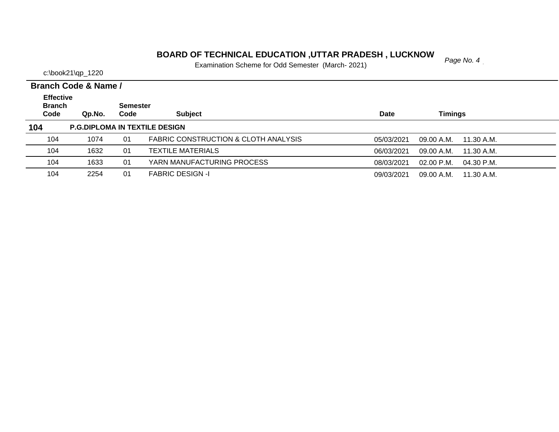#### **BOARD OF TECHNICAL EDUCATION ,UTTAR PRADESH , LUCKNOW**<br>Fage No. 4

Examination Scheme for Odd Semester (March- 2021)

c:\book21\qp\_1220

**Branch Code Qp.No. Semester Code Subject Date Timings Branch Code & Name / Effective 104 P.G.DIPLOMA IN TEXTILE DESIGN** 104 1074 01 FABRIC CONSTRUCTION & CLOTH ANALYSIS05/03/2021 09.00 A.M. 11.30 A.M. 104 1632 01 TEXTILE MATERIALS06/03/2021 09.00 A.M. 11.30 A.M. 104 1633 01 YARN MANUFACTURING PROCESS08/03/2021 02.00 P.M. 04.30 P.M. 1042254 01 FABRIC DESIGN -I 09/03/2021 09.00 A.M. 11.30 A.M.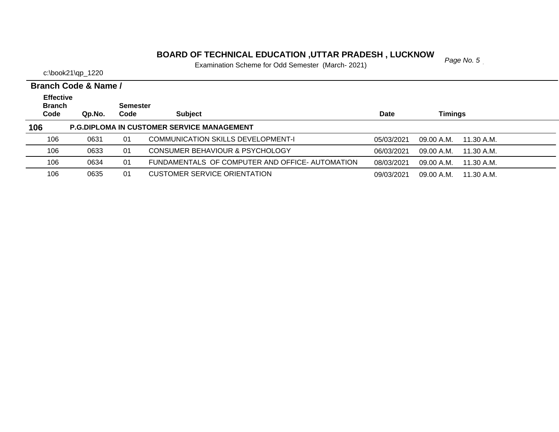# **PARE OF TECHNICAL EDUCATION ,UTTAR PRADESH , LUCKNOW**<br>Examination Sabara for Odd Samoster (Marsh, 2021)

Examination Scheme for Odd Semester (March- 2021)

|                       | Branch Code & Name / |                         |                                                   |             |                          |  |
|-----------------------|----------------------|-------------------------|---------------------------------------------------|-------------|--------------------------|--|
| <b>Effective</b>      |                      |                         |                                                   |             |                          |  |
| <b>Branch</b><br>Code | Qp.No.               | <b>Semester</b><br>Code | <b>Subject</b>                                    | <b>Date</b> | <b>Timings</b>           |  |
|                       |                      |                         |                                                   |             |                          |  |
| 106                   |                      |                         | <b>P.G.DIPLOMA IN CUSTOMER SERVICE MANAGEMENT</b> |             |                          |  |
| 106                   | 0631                 | 01                      | COMMUNICATION SKILLS DEVELOPMENT-I                | 05/03/2021  | 09.00 A.M.<br>11.30 A.M. |  |
| 106                   | 0633                 | 01                      | CONSUMER BEHAVIOUR & PSYCHOLOGY                   | 06/03/2021  | 09.00 A.M.<br>11.30 A.M. |  |
| 106                   | 0634                 | 01                      | FUNDAMENTALS OF COMPUTER AND OFFICE- AUTOMATION   | 08/03/2021  | 09.00 A.M.<br>11.30 A.M. |  |
| 106                   | 0635                 | 01                      | <b>CUSTOMER SERVICE ORIENTATION</b>               | 09/03/2021  | 09.00 A.M.<br>11.30 A.M. |  |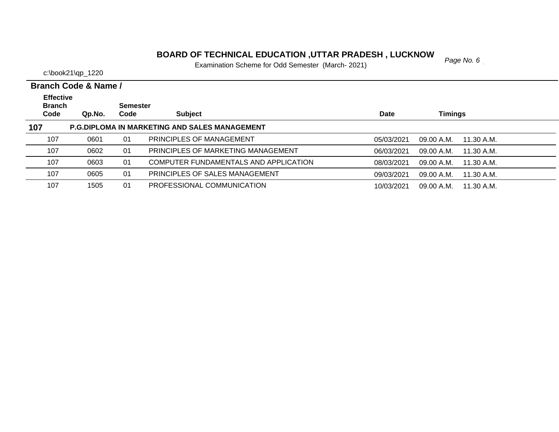#### **BOARD OF TECHNICAL EDUCATION ,UTTAR PRADESH , LUCKNOW**<br>Fage No. 6

Examination Scheme for Odd Semester (March- 2021)

|                                   | Branch Code & Name / |                 |                                                      |            |                          |  |
|-----------------------------------|----------------------|-----------------|------------------------------------------------------|------------|--------------------------|--|
| <b>Effective</b><br><b>Branch</b> |                      | <b>Semester</b> |                                                      |            |                          |  |
| Code                              | Qp.No.               | Code            | <b>Subject</b>                                       | Date       | <b>Timings</b>           |  |
| 107                               |                      |                 | <b>P.G.DIPLOMA IN MARKETING AND SALES MANAGEMENT</b> |            |                          |  |
| 107                               | 0601                 | 01              | PRINCIPLES OF MANAGEMENT                             | 05/03/2021 | 09.00 A.M.<br>11.30 A.M. |  |
| 107                               | 0602                 | 01              | PRINCIPLES OF MARKETING MANAGEMENT                   | 06/03/2021 | 09.00 A.M.<br>11.30 A.M. |  |
| 107                               | 0603                 | 01              | COMPUTER FUNDAMENTALS AND APPLICATION                | 08/03/2021 | 09.00 A.M.<br>11.30 A.M. |  |
| 107                               | 0605                 | 01              | PRINCIPLES OF SALES MANAGEMENT                       | 09/03/2021 | 09.00 A.M.<br>11.30 A.M. |  |
| 107                               | 1505                 | 01              | PROFESSIONAL COMMUNICATION                           | 10/03/2021 | 09.00 A.M.<br>11.30 A.M. |  |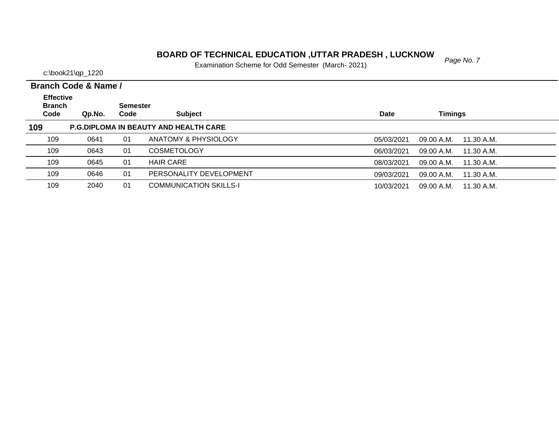# *Page No. 7* **BOARD OF TECHNICAL EDUCATION ,UTTAR PRADESH , LUCKNOW**

Examination Scheme for Odd Semester (March- 2021)

|                                           | Branch Code & Name / |                         |                                              |                                        |  |
|-------------------------------------------|----------------------|-------------------------|----------------------------------------------|----------------------------------------|--|
| <b>Effective</b><br><b>Branch</b><br>Code | Qp.No.               | <b>Semester</b><br>Code | <b>Subject</b>                               | <b>Timings</b><br><b>Date</b>          |  |
| 109                                       |                      |                         | <b>P.G.DIPLOMA IN BEAUTY AND HEALTH CARE</b> |                                        |  |
| 109                                       | 0641                 | 01                      | ANATOMY & PHYSIOLOGY                         | 05/03/2021<br>09.00 A.M.<br>11.30 A.M. |  |
| 109                                       | 0643                 | 01                      | <b>COSMETOLOGY</b>                           | 06/03/2021<br>09.00 A.M.<br>11.30 A.M. |  |
| 109                                       | 0645                 | 01                      | <b>HAIR CARE</b>                             | 09.00 A.M.<br>08/03/2021<br>11.30 A.M. |  |
| 109                                       | 0646                 | 01                      | PERSONALITY DEVELOPMENT                      | 09/03/2021<br>09.00 A.M.<br>11.30 A.M. |  |
| 109                                       | 2040                 | 01                      | <b>COMMUNICATION SKILLS-I</b>                | 10/03/2021<br>09.00 A.M.<br>11.30 A.M. |  |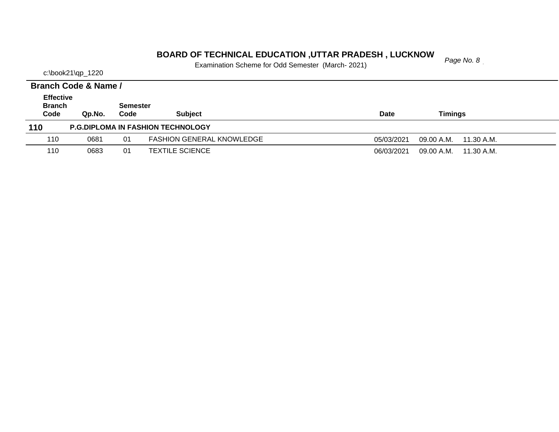#### *Page No. 8* **BOARD OF TECHNICAL EDUCATION ,UTTAR PRADESH , LUCKNOW**

Examination Scheme for Odd Semester (March- 2021)

|                                           | Branch Code & Name / |                         |                                          |                                        |
|-------------------------------------------|----------------------|-------------------------|------------------------------------------|----------------------------------------|
| <b>Effective</b><br><b>Branch</b><br>Code | Qp.No.               | <b>Semester</b><br>Code | <b>Subject</b>                           | Timinas<br><b>Date</b>                 |
| 110                                       |                      |                         | <b>P.G.DIPLOMA IN FASHION TECHNOLOGY</b> |                                        |
| 110                                       | 0681                 | 01                      | <b>FASHION GENERAL KNOWLEDGE</b>         | 09.00 A.M.<br>05/03/2021<br>11.30 A.M. |
| 110                                       | 0683                 | 01                      | <b>TEXTILE SCIENCE</b>                   | 06/03/2021<br>09.00 A.M.<br>11.30 A.M. |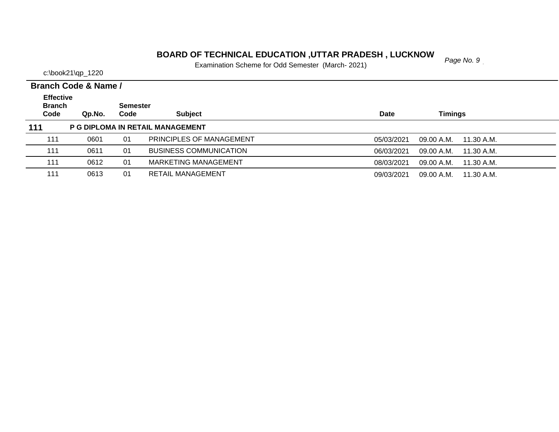#### **PARD OF TECHNICAL EDUCATION ,UTTAR PRADESH , LUCKNOW**<br>*Page No. 9*

Examination Scheme for Odd Semester (March- 2021)

c:\book21\qp\_1220

**Branch Code Qp.No. Semester Code Subject Date Timings Branch Code & Name / Effective 111 P G DIPLOMA IN RETAIL MANAGEMENT** 1110601 01 PRINCIPLES OF MANAGEMENT 05/03/2021 09.00 A.M. 11.30 A.M. 1110611 01 BUSINESS COMMUNICATION 06/03/2021 09.00 A.M. 11.30 A.M. 1110612 01 MARKETING MANAGEMENT 08/03/2021 09.00 A.M. 11.30 A.M. 111 0613 01 RETAIL MANAGEMENT09/03/2021 09.00 A.M. 11.30 A.M.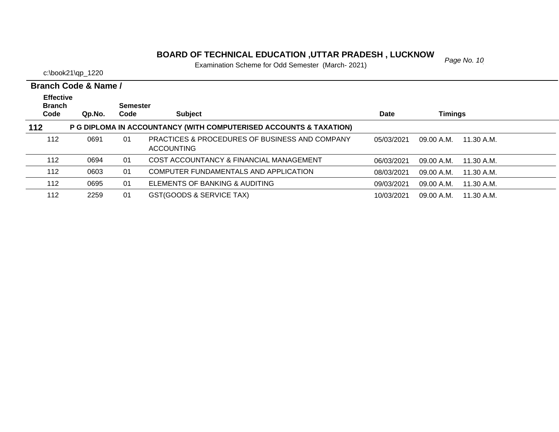# **BOARD OF TECHNICAL EDUCATION ,UTTAR PRADESH , LUCKNOW**<br>Examination Sabarna for Odd Samostar (March. 2021)

Examination Scheme for Odd Semester (March- 2021)

|                                           | Branch Code & Name / |                         |                                                                                |             |            |            |
|-------------------------------------------|----------------------|-------------------------|--------------------------------------------------------------------------------|-------------|------------|------------|
| <b>Effective</b><br><b>Branch</b><br>Code | Qp.No.               | <b>Semester</b><br>Code | <b>Subject</b>                                                                 | <b>Date</b> | Timings    |            |
| 112                                       |                      |                         | P G DIPLOMA IN ACCOUNTANCY (WITH COMPUTERISED ACCOUNTS & TAXATION)             |             |            |            |
| 112                                       | 0691                 | 01                      | <b>PRACTICES &amp; PROCEDURES OF BUSINESS AND COMPANY</b><br><b>ACCOUNTING</b> | 05/03/2021  | 09.00 A.M. | 11.30 A.M. |
| 112                                       | 0694                 | 01                      | COST ACCOUNTANCY & FINANCIAL MANAGEMENT                                        | 06/03/2021  | 09.00 A.M. | 11.30 A.M. |
| 112                                       | 0603                 | 01                      | COMPUTER FUNDAMENTALS AND APPLICATION                                          | 08/03/2021  | 09.00 A.M. | 11.30 A.M. |
| 112                                       | 0695                 | 01                      | ELEMENTS OF BANKING & AUDITING                                                 | 09/03/2021  | 09.00 A.M. | 11.30 A.M. |
| 112                                       | 2259                 | 01                      | GST(GOODS & SERVICE TAX)                                                       | 10/03/2021  | 09.00 A.M. | 11.30 A.M. |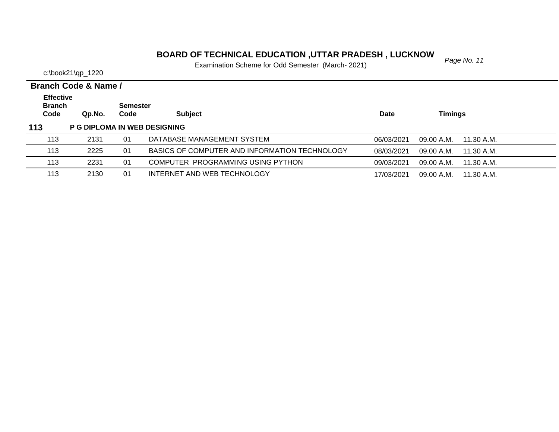# **BOARD OF TECHNICAL EDUCATION ,UTTAR PRADESH , LUCKNOW**<br>Examination Sabarna for Odd Samostar (March. 2021)

Examination Scheme for Odd Semester (March- 2021)

|                                           | <b>Branch Code &amp; Name /</b> |                         |                                               |             |                          |  |
|-------------------------------------------|---------------------------------|-------------------------|-----------------------------------------------|-------------|--------------------------|--|
| <b>Effective</b><br><b>Branch</b><br>Code | Qp.No.                          | <b>Semester</b><br>Code | <b>Subject</b>                                | <b>Date</b> | <b>Timings</b>           |  |
| 113                                       |                                 |                         | <b>P G DIPLOMA IN WEB DESIGNING</b>           |             |                          |  |
| 113                                       | 2131                            | 01                      | DATABASE MANAGEMENT SYSTEM                    | 06/03/2021  | 09.00 A.M.<br>11.30 A.M. |  |
| 113                                       | 2225                            | 01                      | BASICS OF COMPUTER AND INFORMATION TECHNOLOGY | 08/03/2021  | 09.00 A.M.<br>11.30 A.M. |  |
| 113                                       | 2231                            | 01                      | COMPUTER PROGRAMMING USING PYTHON             | 09/03/2021  | 09.00 A.M.<br>11.30 A.M. |  |
| 113                                       | 2130                            | 01                      | INTERNET AND WEB TECHNOLOGY                   | 17/03/2021  | 09.00 A.M.<br>11.30 A.M. |  |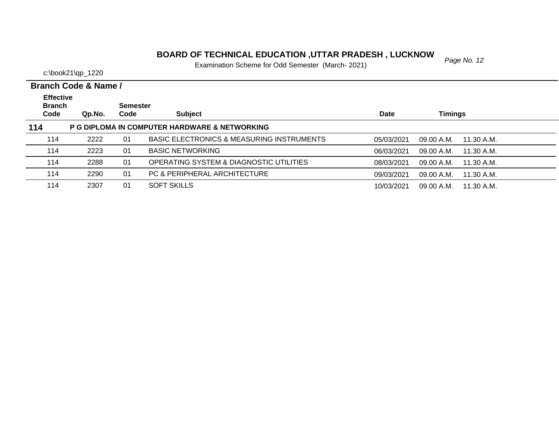# *Page No. 12* **BOARD OF TECHNICAL EDUCATION ,UTTAR PRADESH , LUCKNOW**

Examination Scheme for Odd Semester (March- 2021)

|                       | Branch Code & Name / |                         |                                               |            |                          |  |  |  |
|-----------------------|----------------------|-------------------------|-----------------------------------------------|------------|--------------------------|--|--|--|
| <b>Effective</b>      |                      |                         |                                               |            |                          |  |  |  |
| <b>Branch</b><br>Code | Qp.No.               | <b>Semester</b><br>Code | <b>Subject</b>                                | Date       | Timings                  |  |  |  |
| 114                   |                      |                         | P G DIPLOMA IN COMPUTER HARDWARE & NETWORKING |            |                          |  |  |  |
| 114                   | 2222                 | 01                      | BASIC ELECTRONICS & MEASURING INSTRUMENTS     | 05/03/2021 | 09.00 A.M.<br>11.30 A.M. |  |  |  |
| 114                   | 2223                 | 01                      | <b>BASIC NETWORKING</b>                       | 06/03/2021 | 09.00 A.M.<br>11.30 A.M. |  |  |  |
| 114                   | 2288                 | 01                      | OPERATING SYSTEM & DIAGNOSTIC UTILITIES       | 08/03/2021 | 09.00 A.M.<br>11.30 A.M. |  |  |  |
| 114                   | 2290                 | 01                      | PC & PERIPHERAL ARCHITECTURE                  | 09/03/2021 | 09.00 A.M.<br>11.30 A.M. |  |  |  |
| 114                   | 2307                 | 01                      | <b>SOFT SKILLS</b>                            | 10/03/2021 | 09.00 A.M.<br>11.30 A.M. |  |  |  |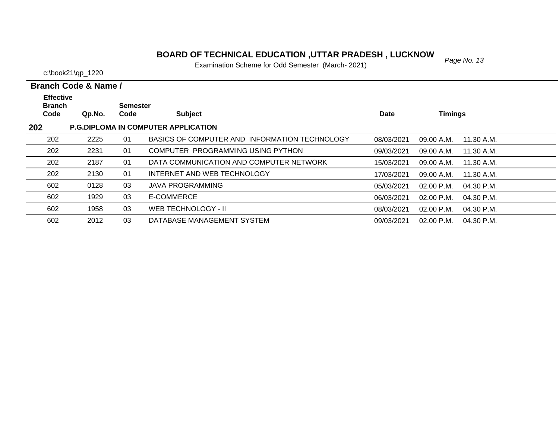#### *Page No. 13* **BOARD OF TECHNICAL EDUCATION ,UTTAR PRADESH , LUCKNOW**

Examination Scheme for Odd Semester (March- 2021)

|                                   | Branch Code & Name / |                 |                                               |            |                            |  |
|-----------------------------------|----------------------|-----------------|-----------------------------------------------|------------|----------------------------|--|
| <b>Effective</b><br><b>Branch</b> |                      | <b>Semester</b> |                                               |            |                            |  |
| Code                              | Qp.No.               | Code            | <b>Subject</b>                                | Date       | <b>Timings</b>             |  |
| 202                               |                      |                 | <b>P.G.DIPLOMA IN COMPUTER APPLICATION</b>    |            |                            |  |
| 202                               | 2225                 | 01              | BASICS OF COMPUTER AND INFORMATION TECHNOLOGY | 08/03/2021 | 09.00 A.M.<br>11.30 A.M.   |  |
| 202                               | 2231                 | 01              | COMPUTER PROGRAMMING USING PYTHON             | 09/03/2021 | 09.00 A.M.<br>11.30 A.M.   |  |
| 202                               | 2187                 | 01              | DATA COMMUNICATION AND COMPUTER NETWORK       | 15/03/2021 | 09.00 A.M.<br>11.30 A.M.   |  |
| 202                               | 2130                 | 01              | INTERNET AND WEB TECHNOLOGY                   | 17/03/2021 | 09.00 A.M.<br>11.30 A.M.   |  |
| 602                               | 0128                 | 03              | <b>JAVA PROGRAMMING</b>                       | 05/03/2021 | 02.00 P.M.<br>04.30 P.M.   |  |
| 602                               | 1929                 | 03              | E-COMMERCE                                    | 06/03/2021 | $02.00$ P.M.<br>04.30 P.M. |  |
| 602                               | 1958                 | 03              | WEB TECHNOLOGY - II                           | 08/03/2021 | 02.00 P.M.<br>04.30 P.M.   |  |
| 602                               | 2012                 | 03              | DATABASE MANAGEMENT SYSTEM                    | 09/03/2021 | 02.00 P.M.<br>04.30 P.M.   |  |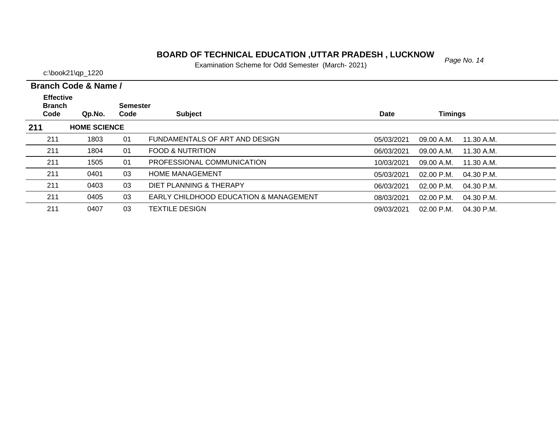# *Page No. 14* **BOARD OF TECHNICAL EDUCATION ,UTTAR PRADESH , LUCKNOW**

Examination Scheme for Odd Semester (March- 2021)

| Branch Code & Name |  |
|--------------------|--|
|                    |  |

| <b>Effective</b><br><b>Branch</b> |                     | <b>Semester</b> |                                                   |             |                              |  |
|-----------------------------------|---------------------|-----------------|---------------------------------------------------|-------------|------------------------------|--|
| Code                              | Qp.No.              | Code            | <b>Subject</b>                                    | <b>Date</b> | <b>Timings</b>               |  |
| 211                               | <b>HOME SCIENCE</b> |                 |                                                   |             |                              |  |
| 211                               | 1803                | 01              | FUNDAMENTALS OF ART AND DESIGN                    | 05/03/2021  | 09.00 A.M.<br>11.30 A.M.     |  |
| 211                               | 1804                | 01              | <b>FOOD &amp; NUTRITION</b>                       | 06/03/2021  | 09.00 A.M.<br>11.30 A.M.     |  |
| 211                               | 1505                | 01              | PROFESSIONAL COMMUNICATION                        | 10/03/2021  | 09.00 A.M.<br>11.30 A.M.     |  |
| 211                               | 0401                | 03              | <b>HOME MANAGEMENT</b>                            | 05/03/2021  | $02.00$ P.M.<br>04.30 P.M.   |  |
| 211                               | 0403                | 03              | DIET PLANNING & THERAPY                           | 06/03/2021  | $02.00$ P.M.<br>04.30 P.M.   |  |
| 211                               | 0405                | 03              | <b>EARLY CHILDHOOD EDUCATION &amp; MANAGEMENT</b> | 08/03/2021  | $02.00$ P.M.<br>$04.30$ P.M. |  |
| 211                               | 0407                | 03              | <b>TEXTILE DESIGN</b>                             | 09/03/2021  | $02.00$ P.M.<br>04.30 P.M.   |  |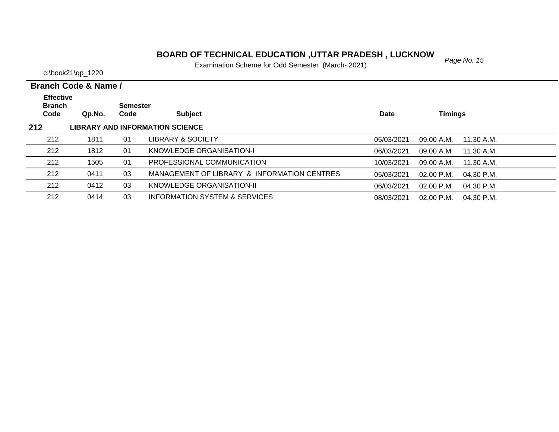# *Page No. 15* **BOARD OF TECHNICAL EDUCATION ,UTTAR PRADESH , LUCKNOW**

Examination Scheme for Odd Semester (March- 2021)

c:\book21\qp\_1220

 $\overline{\phantom{0}}$ 

| Branch Code & Name / |  |  |
|----------------------|--|--|

| <b>Effective</b><br><b>Branch</b> |        | <b>Semester</b> |                                             |             |                              |  |
|-----------------------------------|--------|-----------------|---------------------------------------------|-------------|------------------------------|--|
| Code                              | Qp.No. | Code            | <b>Subject</b>                              | <b>Date</b> | Timings                      |  |
| 212                               |        |                 | <b>LIBRARY AND INFORMATION SCIENCE</b>      |             |                              |  |
| 212                               | 1811   | 01              | LIBRARY & SOCIETY                           | 05/03/2021  | 09.00 A.M.<br>11.30 A.M.     |  |
| 212                               | 1812   | 01              | KNOWLEDGE ORGANISATION-I                    | 06/03/2021  | 09.00 A.M.<br>11.30 A.M.     |  |
| 212                               | 1505   | 01              | PROFESSIONAL COMMUNICATION                  | 10/03/2021  | 11.30 A.M.<br>09.00 A.M.     |  |
| 212                               | 0411   | 03              | MANAGEMENT OF LIBRARY & INFORMATION CENTRES | 05/03/2021  | $02.00$ P.M.<br>$04.30$ P.M. |  |
| 212                               | 0412   | 03              | KNOWLEDGE ORGANISATION-II                   | 06/03/2021  | $02.00$ P.M.<br>$04.30$ P.M. |  |
| 212                               | 0414   | 03              | <b>INFORMATION SYSTEM &amp; SERVICES</b>    | 08/03/2021  | $02.00$ P.M.<br>$04.30$ P.M. |  |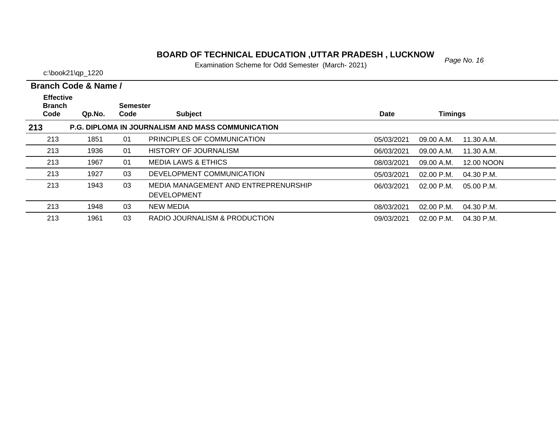# **BOARD OF TECHNICAL EDUCATION ,UTTAR PRADESH , LUCKNOW**<br>Examination Sabarna for Odd Samostar (March. 2021)

Examination Scheme for Odd Semester (March- 2021)

|                                   | Branch Code & Name / |          |                                                            |            |                |              |  |
|-----------------------------------|----------------------|----------|------------------------------------------------------------|------------|----------------|--------------|--|
| <b>Effective</b><br><b>Branch</b> |                      | Semester |                                                            |            |                |              |  |
| Code                              | Qp.No.               | Code     | <b>Subject</b>                                             | Date       | <b>Timings</b> |              |  |
| 213                               |                      |          | <b>P.G. DIPLOMA IN JOURNALISM AND MASS COMMUNICATION</b>   |            |                |              |  |
| 213                               | 1851                 | 01       | PRINCIPLES OF COMMUNICATION                                | 05/03/2021 | 09.00 A.M.     | 11.30 A.M.   |  |
| 213                               | 1936                 | 01       | <b>HISTORY OF JOURNALISM</b>                               | 06/03/2021 | 09.00 A.M.     | 11.30 A.M.   |  |
| 213                               | 1967                 | 01       | <b>MEDIA LAWS &amp; ETHICS</b>                             | 08/03/2021 | 09.00 A.M.     | 12.00 NOON   |  |
| 213                               | 1927                 | 03       | DEVELOPMENT COMMUNICATION                                  | 05/03/2021 | 02.00 P.M.     | 04.30 P.M.   |  |
| 213                               | 1943                 | 03       | MEDIA MANAGEMENT AND ENTREPRENURSHIP<br><b>DEVELOPMENT</b> | 06/03/2021 | $02.00$ P.M.   | $05.00$ P.M. |  |
| 213                               | 1948                 | 03       | <b>NEW MEDIA</b>                                           | 08/03/2021 | $02.00$ P.M.   | 04.30 P.M.   |  |
| 213                               | 1961                 | 03       | RADIO JOURNALISM & PRODUCTION                              | 09/03/2021 | 02.00 P.M.     | 04.30 P.M.   |  |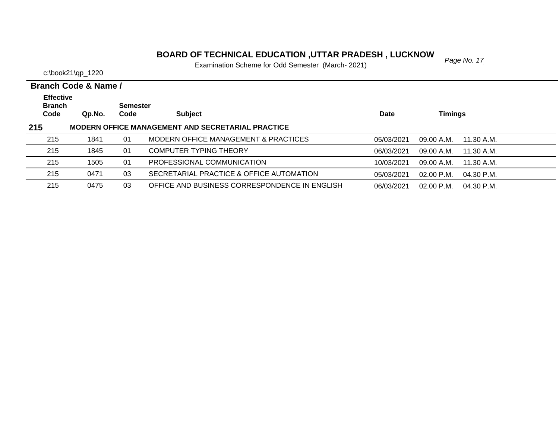# *Page No. 17* **BOARD OF TECHNICAL EDUCATION ,UTTAR PRADESH , LUCKNOW**

Examination Scheme for Odd Semester (March- 2021)

|                                           | Branch Code & Name / |                         |                                                          |            |                                      |  |  |  |  |
|-------------------------------------------|----------------------|-------------------------|----------------------------------------------------------|------------|--------------------------------------|--|--|--|--|
| <b>Effective</b><br><b>Branch</b><br>Code |                      | <b>Semester</b><br>Code | <b>Subject</b>                                           | Date       | <b>Timings</b>                       |  |  |  |  |
|                                           | Qp.No.               |                         | <b>MODERN OFFICE MANAGEMENT AND SECRETARIAL PRACTICE</b> |            |                                      |  |  |  |  |
| 215                                       |                      |                         |                                                          |            |                                      |  |  |  |  |
| 215                                       | 1841                 | 01                      | MODERN OFFICE MANAGEMENT & PRACTICES                     | 05/03/2021 | 09.00 A.M.<br>11.30 A.M.             |  |  |  |  |
| 215                                       | 1845                 | 01                      | <b>COMPUTER TYPING THEORY</b>                            | 06/03/2021 | 09.00 A.M.<br>11.30 A.M.             |  |  |  |  |
| 215                                       | 1505                 | 01                      | PROFESSIONAL COMMUNICATION                               | 10/03/2021 | 09.00 A.M.<br>11.30 A.M.             |  |  |  |  |
| 215                                       | 0471                 | 03                      | SECRETARIAL PRACTICE & OFFICE AUTOMATION                 | 05/03/2021 | $02.00 \text{ P.M.}$<br>$04.30$ P.M. |  |  |  |  |
| 215                                       | 0475                 | 03                      | OFFICE AND BUSINESS CORRESPONDENCE IN ENGLISH            | 06/03/2021 | $02.00$ P.M.<br>04.30 P.M.           |  |  |  |  |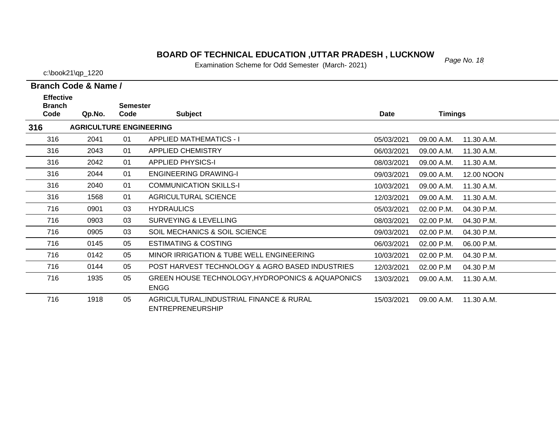# *Page No. 18* **BOARD OF TECHNICAL EDUCATION ,UTTAR PRADESH , LUCKNOW**

Examination Scheme for Odd Semester (March- 2021)

|  | Branch Code & Name / |  |  |
|--|----------------------|--|--|

| <b>Effective</b><br><b>Branch</b> |                                | <b>Semester</b> |                                                                     |            |                |            |
|-----------------------------------|--------------------------------|-----------------|---------------------------------------------------------------------|------------|----------------|------------|
| Code                              | Qp.No.                         | Code            | <b>Subject</b>                                                      | Date       | <b>Timings</b> |            |
| 316                               | <b>AGRICULTURE ENGINEERING</b> |                 |                                                                     |            |                |            |
| 316                               | 2041                           | 01              | <b>APPLIED MATHEMATICS - I</b>                                      | 05/03/2021 | 09.00 A.M.     | 11.30 A.M. |
| 316                               | 2043                           | 01              | <b>APPLIED CHEMISTRY</b>                                            | 06/03/2021 | 09.00 A.M.     | 11.30 A.M. |
| 316                               | 2042                           | 01              | <b>APPLIED PHYSICS-I</b>                                            | 08/03/2021 | 09.00 A.M.     | 11.30 A.M. |
| 316                               | 2044                           | 01              | <b>ENGINEERING DRAWING-I</b>                                        | 09/03/2021 | 09.00 A.M.     | 12.00 NOON |
| 316                               | 2040                           | 01              | <b>COMMUNICATION SKILLS-I</b>                                       | 10/03/2021 | 09.00 A.M.     | 11.30 A.M. |
| 316                               | 1568                           | 01              | AGRICULTURAL SCIENCE                                                | 12/03/2021 | 09.00 A.M.     | 11.30 A.M. |
| 716                               | 0901                           | 03              | <b>HYDRAULICS</b>                                                   | 05/03/2021 | 02.00 P.M.     | 04.30 P.M. |
| 716                               | 0903                           | 03              | <b>SURVEYING &amp; LEVELLING</b>                                    | 08/03/2021 | 02.00 P.M.     | 04.30 P.M. |
| 716                               | 0905                           | 03              | SOIL MECHANICS & SOIL SCIENCE                                       | 09/03/2021 | 02.00 P.M.     | 04.30 P.M. |
| 716                               | 0145                           | 05              | <b>ESTIMATING &amp; COSTING</b>                                     | 06/03/2021 | 02.00 P.M.     | 06.00 P.M. |
| 716                               | 0142                           | 05              | MINOR IRRIGATION & TUBE WELL ENGINEERING                            | 10/03/2021 | 02.00 P.M.     | 04.30 P.M. |
| 716                               | 0144                           | 05              | POST HARVEST TECHNOLOGY & AGRO BASED INDUSTRIES                     | 12/03/2021 | 02.00 P.M      | 04.30 P.M  |
| 716                               | 1935                           | 05              | GREEN HOUSE TECHNOLOGY, HYDROPONICS & AQUAPONICS<br><b>ENGG</b>     | 13/03/2021 | 09.00 A.M.     | 11.30 A.M. |
| 716                               | 1918                           | 05              | AGRICULTURAL, INDUSTRIAL FINANCE & RURAL<br><b>ENTREPRENEURSHIP</b> | 15/03/2021 | 09.00 A.M.     | 11.30 A.M. |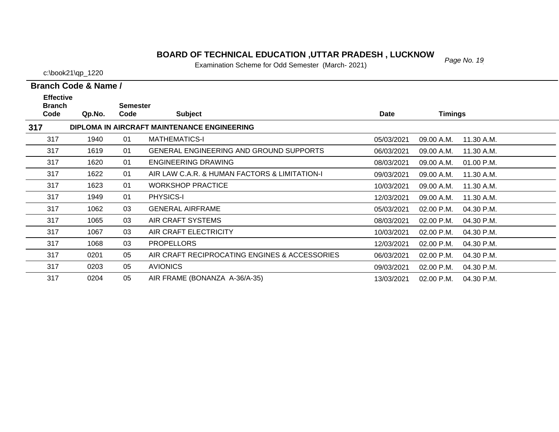#### *Page No. 19* **BOARD OF TECHNICAL EDUCATION ,UTTAR PRADESH , LUCKNOW**

Examination Scheme for Odd Semester (March- 2021)

c:\book21\qp\_1220

| <b>Effective</b><br><b>Branch</b> |        | <b>Semester</b> |                                                |            |                          |  |
|-----------------------------------|--------|-----------------|------------------------------------------------|------------|--------------------------|--|
| Code                              | Qp.No. | Code            | <b>Subject</b>                                 | Date       | <b>Timings</b>           |  |
| 317                               |        |                 | DIPLOMA IN AIRCRAFT MAINTENANCE ENGINEERING    |            |                          |  |
| 317                               | 1940   | 01              | <b>MATHEMATICS-I</b>                           | 05/03/2021 | 09.00 A.M.<br>11.30 A.M. |  |
| 317                               | 1619   | 01              | <b>GENERAL ENGINEERING AND GROUND SUPPORTS</b> | 06/03/2021 | 09.00 A.M.<br>11.30 A.M. |  |
| 317                               | 1620   | 01              | <b>ENGINEERING DRAWING</b>                     | 08/03/2021 | 09.00 A.M.<br>01.00 P.M. |  |
| 317                               | 1622   | 01              | AIR LAW C.A.R. & HUMAN FACTORS & LIMITATION-I  | 09/03/2021 | 11.30 A.M.<br>09.00 A.M. |  |
| 317                               | 1623   | 01              | <b>WORKSHOP PRACTICE</b>                       | 10/03/2021 | 09.00 A.M.<br>11.30 A.M. |  |
| 317                               | 1949   | 01              | <b>PHYSICS-I</b>                               | 12/03/2021 | 09.00 A.M.<br>11.30 A.M. |  |
| 317                               | 1062   | 03              | <b>GENERAL AIRFRAME</b>                        | 05/03/2021 | 02.00 P.M.<br>04.30 P.M. |  |
| 317                               | 1065   | 03              | AIR CRAFT SYSTEMS                              | 08/03/2021 | 02.00 P.M.<br>04.30 P.M. |  |
| 317                               | 1067   | 03              | AIR CRAFT ELECTRICITY                          | 10/03/2021 | 02.00 P.M.<br>04.30 P.M. |  |
| 317                               | 1068   | 03              | <b>PROPELLORS</b>                              | 12/03/2021 | 02.00 P.M.<br>04.30 P.M. |  |
| 317                               | 0201   | 05              | AIR CRAFT RECIPROCATING ENGINES & ACCESSORIES  | 06/03/2021 | 02.00 P.M.<br>04.30 P.M. |  |
| 317                               | 0203   | 05              | <b>AVIONICS</b>                                | 09/03/2021 | 02.00 P.M.<br>04.30 P.M. |  |
| 317                               | 0204   | 05              | AIR FRAME (BONANZA A-36/A-35)                  | 13/03/2021 | 02.00 P.M.<br>04.30 P.M. |  |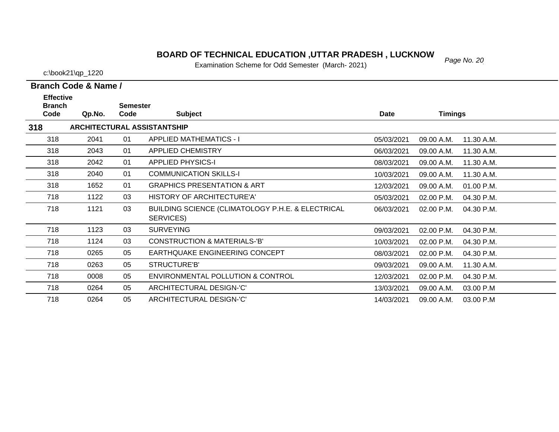#### *Page No. 20* **BOARD OF TECHNICAL EDUCATION ,UTTAR PRADESH , LUCKNOW**

Examination Scheme for Odd Semester (March- 2021)

c:\book21\qp\_1220

**Effective** 

| <b>Branch</b> |        | <b>Semester</b> |                                                                |             |                          |  |
|---------------|--------|-----------------|----------------------------------------------------------------|-------------|--------------------------|--|
| Code          | Qp.No. | Code            | <b>Subject</b>                                                 | <b>Date</b> | <b>Timings</b>           |  |
| 318           |        |                 | <b>ARCHITECTURAL ASSISTANTSHIP</b>                             |             |                          |  |
| 318           | 2041   | 01              | <b>APPLIED MATHEMATICS - I</b>                                 | 05/03/2021  | 09.00 A.M.<br>11.30 A.M. |  |
| 318           | 2043   | 01              | <b>APPLIED CHEMISTRY</b>                                       | 06/03/2021  | 09.00 A.M.<br>11.30 A.M. |  |
| 318           | 2042   | 01              | <b>APPLIED PHYSICS-I</b>                                       | 08/03/2021  | 09.00 A.M.<br>11.30 A.M. |  |
| 318           | 2040   | 01              | <b>COMMUNICATION SKILLS-I</b>                                  | 10/03/2021  | 09.00 A.M.<br>11.30 A.M. |  |
| 318           | 1652   | 01              | <b>GRAPHICS PRESENTATION &amp; ART</b>                         | 12/03/2021  | 09.00 A.M.<br>01.00 P.M. |  |
| 718           | 1122   | 03              | HISTORY OF ARCHITECTURE'A'                                     | 05/03/2021  | 02.00 P.M.<br>04.30 P.M. |  |
| 718           | 1121   | 03              | BUILDING SCIENCE (CLIMATOLOGY P.H.E. & ELECTRICAL<br>SERVICES) | 06/03/2021  | 02.00 P.M.<br>04.30 P.M. |  |
| 718           | 1123   | 03              | <b>SURVEYING</b>                                               | 09/03/2021  | 02.00 P.M.<br>04.30 P.M. |  |
| 718           | 1124   | 03              | <b>CONSTRUCTION &amp; MATERIALS-'B'</b>                        | 10/03/2021  | 02.00 P.M.<br>04.30 P.M. |  |
| 718           | 0265   | 05              | EARTHQUAKE ENGINEERING CONCEPT                                 | 08/03/2021  | 02.00 P.M.<br>04.30 P.M. |  |
| 718           | 0263   | 05              | STRUCTURE'B'                                                   | 09/03/2021  | 09.00 A.M.<br>11.30 A.M. |  |
| 718           | 0008   | 05              | ENVIRONMENTAL POLLUTION & CONTROL                              | 12/03/2021  | 02.00 P.M.<br>04.30 P.M. |  |
| 718           | 0264   | 05              | ARCHITECTURAL DESIGN-'C'                                       | 13/03/2021  | 09.00 A.M.<br>03.00 P.M  |  |
| 718           | 0264   | 05              | ARCHITECTURAL DESIGN-'C'                                       | 14/03/2021  | 03.00 P.M<br>09.00 A.M.  |  |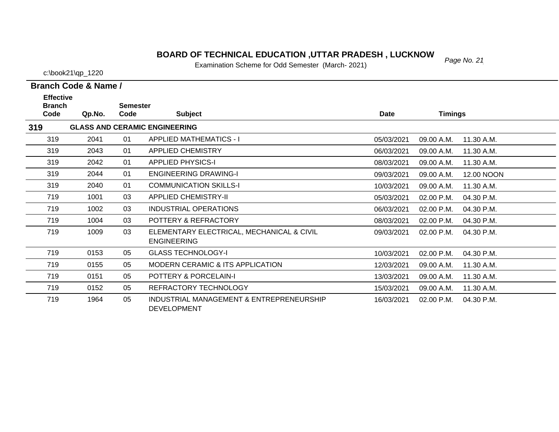# *Page No. 21* **BOARD OF TECHNICAL EDUCATION ,UTTAR PRADESH , LUCKNOW**

Examination Scheme for Odd Semester (March- 2021)

|  | Branch Code & Name / |  |
|--|----------------------|--|
|  |                      |  |

| <b>Effective</b><br><b>Branch</b> |        | <b>Semester</b> |                                                                 |             |                |            |
|-----------------------------------|--------|-----------------|-----------------------------------------------------------------|-------------|----------------|------------|
| Code                              | Qp.No. | Code            | <b>Subject</b>                                                  | <b>Date</b> | <b>Timings</b> |            |
| 319                               |        |                 | <b>GLASS AND CERAMIC ENGINEERING</b>                            |             |                |            |
| 319                               | 2041   | 01              | <b>APPLIED MATHEMATICS - I</b>                                  | 05/03/2021  | 09.00 A.M.     | 11.30 A.M. |
| 319                               | 2043   | 01              | <b>APPLIED CHEMISTRY</b>                                        | 06/03/2021  | 09.00 A.M.     | 11.30 A.M. |
| 319                               | 2042   | 01              | <b>APPLIED PHYSICS-I</b>                                        | 08/03/2021  | 09.00 A.M.     | 11.30 A.M. |
| 319                               | 2044   | 01              | <b>ENGINEERING DRAWING-I</b>                                    | 09/03/2021  | 09.00 A.M.     | 12.00 NOON |
| 319                               | 2040   | 01              | <b>COMMUNICATION SKILLS-I</b>                                   | 10/03/2021  | 09.00 A.M.     | 11.30 A.M. |
| 719                               | 1001   | 03              | <b>APPLIED CHEMISTRY-II</b>                                     | 05/03/2021  | 02.00 P.M.     | 04.30 P.M. |
| 719                               | 1002   | 03              | INDUSTRIAL OPERATIONS                                           | 06/03/2021  | 02.00 P.M.     | 04.30 P.M. |
| 719                               | 1004   | 03              | POTTERY & REFRACTORY                                            | 08/03/2021  | 02.00 P.M.     | 04.30 P.M. |
| 719                               | 1009   | 03              | ELEMENTARY ELECTRICAL, MECHANICAL & CIVIL<br><b>ENGINEERING</b> | 09/03/2021  | 02.00 P.M.     | 04.30 P.M. |
| 719                               | 0153   | 05              | <b>GLASS TECHNOLOGY-I</b>                                       | 10/03/2021  | 02.00 P.M.     | 04.30 P.M. |
| 719                               | 0155   | 05              | <b>MODERN CERAMIC &amp; ITS APPLICATION</b>                     | 12/03/2021  | 09.00 A.M.     | 11.30 A.M. |
| 719                               | 0151   | 05              | POTTERY & PORCELAIN-I                                           | 13/03/2021  | 09.00 A.M.     | 11.30 A.M. |
| 719                               | 0152   | 05              | REFRACTORY TECHNOLOGY                                           | 15/03/2021  | 09.00 A.M.     | 11.30 A.M. |
| 719                               | 1964   | 05              | INDUSTRIAL MANAGEMENT & ENTREPRENEURSHIP<br><b>DEVELOPMENT</b>  | 16/03/2021  | 02.00 P.M.     | 04.30 P.M. |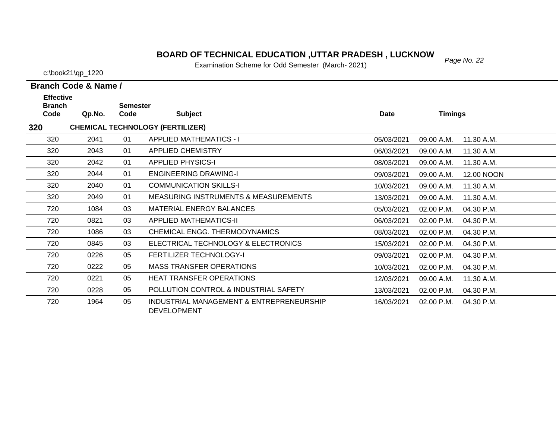# *Page No. 22* **BOARD OF TECHNICAL EDUCATION ,UTTAR PRADESH , LUCKNOW**

Examination Scheme for Odd Semester (March- 2021)

c:\book21\qp\_1220

| <b>Effective</b><br><b>Branch</b> |        | <b>Semester</b> |                                                                |             |                |            |
|-----------------------------------|--------|-----------------|----------------------------------------------------------------|-------------|----------------|------------|
| Code                              | Qp.No. | Code            | <b>Subject</b>                                                 | <b>Date</b> | <b>Timings</b> |            |
| 320                               |        |                 | <b>CHEMICAL TECHNOLOGY (FERTILIZER)</b>                        |             |                |            |
| 320                               | 2041   | 01              | <b>APPLIED MATHEMATICS - I</b>                                 | 05/03/2021  | 09.00 A.M.     | 11.30 A.M. |
| 320                               | 2043   | 01              | <b>APPLIED CHEMISTRY</b>                                       | 06/03/2021  | 09.00 A.M.     | 11.30 A.M. |
| 320                               | 2042   | 01              | <b>APPLIED PHYSICS-I</b>                                       | 08/03/2021  | 09.00 A.M.     | 11.30 A.M. |
| 320                               | 2044   | 01              | <b>ENGINEERING DRAWING-I</b>                                   | 09/03/2021  | 09.00 A.M.     | 12.00 NOON |
| 320                               | 2040   | 01              | <b>COMMUNICATION SKILLS-I</b>                                  | 10/03/2021  | 09.00 A.M.     | 11.30 A.M. |
| 320                               | 2049   | 01              | <b>MEASURING INSTRUMENTS &amp; MEASUREMENTS</b>                | 13/03/2021  | 09.00 A.M.     | 11.30 A.M. |
| 720                               | 1084   | 03              | <b>MATERIAL ENERGY BALANCES</b>                                | 05/03/2021  | 02.00 P.M.     | 04.30 P.M. |
| 720                               | 0821   | 03              | <b>APPLIED MATHEMATICS-II</b>                                  | 06/03/2021  | 02.00 P.M.     | 04.30 P.M. |
| 720                               | 1086   | 03              | CHEMICAL ENGG. THERMODYNAMICS                                  | 08/03/2021  | 02.00 P.M.     | 04.30 P.M. |
| 720                               | 0845   | 03              | ELECTRICAL TECHNOLOGY & ELECTRONICS                            | 15/03/2021  | 02.00 P.M.     | 04.30 P.M. |
| 720                               | 0226   | 05              | <b>FERTILIZER TECHNOLOGY-I</b>                                 | 09/03/2021  | 02.00 P.M.     | 04.30 P.M. |
| 720                               | 0222   | 05              | <b>MASS TRANSFER OPERATIONS</b>                                | 10/03/2021  | 02.00 P.M.     | 04.30 P.M. |
| 720                               | 0221   | 05              | <b>HEAT TRANSFER OPERATIONS</b>                                | 12/03/2021  | 09.00 A.M.     | 11.30 A.M. |
| 720                               | 0228   | 05              | POLLUTION CONTROL & INDUSTRIAL SAFETY                          | 13/03/2021  | 02.00 P.M.     | 04.30 P.M. |
| 720                               | 1964   | 05              | INDUSTRIAL MANAGEMENT & ENTREPRENEURSHIP<br><b>DEVELOPMENT</b> | 16/03/2021  | 02.00 P.M.     | 04.30 P.M. |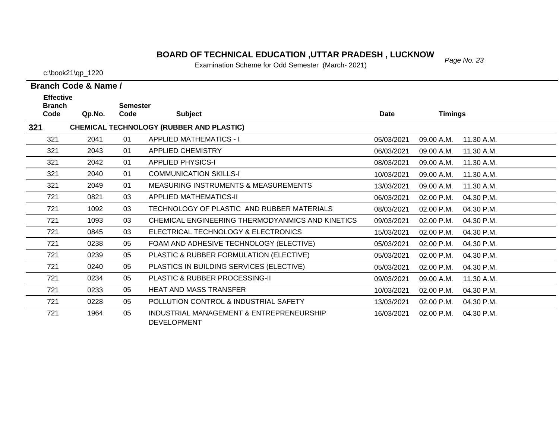#### *Page No. 23* **BOARD OF TECHNICAL EDUCATION ,UTTAR PRADESH , LUCKNOW**

Examination Scheme for Odd Semester (March- 2021)

c:\book21\qp\_1220

**Effective** 

| <b>Branch</b> |        | <b>Semester</b> |                                                                |             |                |            |
|---------------|--------|-----------------|----------------------------------------------------------------|-------------|----------------|------------|
| Code          | Qp.No. | Code            | <b>Subject</b>                                                 | <b>Date</b> | <b>Timings</b> |            |
| 321           |        |                 | CHEMICAL TECHNOLOGY (RUBBER AND PLASTIC)                       |             |                |            |
| 321           | 2041   | 01              | <b>APPLIED MATHEMATICS - I</b>                                 | 05/03/2021  | 09.00 A.M.     | 11.30 A.M. |
| 321           | 2043   | 01              | <b>APPLIED CHEMISTRY</b>                                       | 06/03/2021  | 09.00 A.M.     | 11.30 A.M. |
| 321           | 2042   | 01              | <b>APPLIED PHYSICS-I</b>                                       | 08/03/2021  | 09.00 A.M.     | 11.30 A.M. |
| 321           | 2040   | 01              | <b>COMMUNICATION SKILLS-I</b>                                  | 10/03/2021  | 09.00 A.M.     | 11.30 A.M. |
| 321           | 2049   | 01              | <b>MEASURING INSTRUMENTS &amp; MEASUREMENTS</b>                | 13/03/2021  | 09.00 A.M.     | 11.30 A.M. |
| 721           | 0821   | 03              | <b>APPLIED MATHEMATICS-II</b>                                  | 06/03/2021  | 02.00 P.M.     | 04.30 P.M. |
| 721           | 1092   | 03              | TECHNOLOGY OF PLASTIC AND RUBBER MATERIALS                     | 08/03/2021  | 02.00 P.M.     | 04.30 P.M. |
| 721           | 1093   | 03              | CHEMICAL ENGINEERING THERMODYANMICS AND KINETICS               | 09/03/2021  | 02.00 P.M.     | 04.30 P.M. |
| 721           | 0845   | 03              | ELECTRICAL TECHNOLOGY & ELECTRONICS                            | 15/03/2021  | 02.00 P.M.     | 04.30 P.M. |
| 721           | 0238   | 05              | FOAM AND ADHESIVE TECHNOLOGY (ELECTIVE)                        | 05/03/2021  | 02.00 P.M.     | 04.30 P.M. |
| 721           | 0239   | 05              | PLASTIC & RUBBER FORMULATION (ELECTIVE)                        | 05/03/2021  | 02.00 P.M.     | 04.30 P.M. |
| 721           | 0240   | 05              | PLASTICS IN BUILDING SERVICES (ELECTIVE)                       | 05/03/2021  | 02.00 P.M.     | 04.30 P.M. |
| 721           | 0234   | 05              | PLASTIC & RUBBER PROCESSING-II                                 | 09/03/2021  | 09.00 A.M.     | 11.30 A.M. |
| 721           | 0233   | 05              | <b>HEAT AND MASS TRANSFER</b>                                  | 10/03/2021  | 02.00 P.M.     | 04.30 P.M. |
| 721           | 0228   | 05              | POLLUTION CONTROL & INDUSTRIAL SAFETY                          | 13/03/2021  | 02.00 P.M.     | 04.30 P.M. |
| 721           | 1964   | 05              | INDUSTRIAL MANAGEMENT & ENTREPRENEURSHIP<br><b>DEVELOPMENT</b> | 16/03/2021  | 02.00 P.M.     | 04.30 P.M. |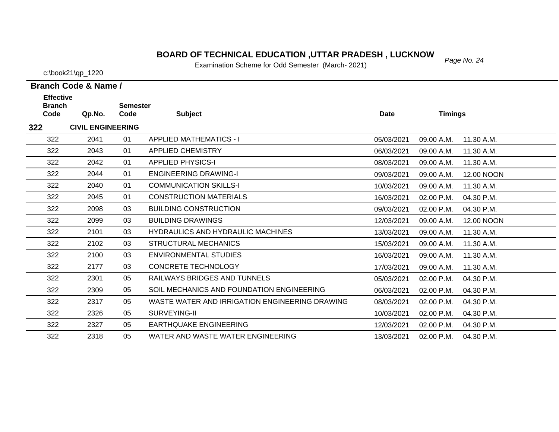#### *Page No. 24* **BOARD OF TECHNICAL EDUCATION ,UTTAR PRADESH , LUCKNOW**

Examination Scheme for Odd Semester (March- 2021)

c:\book21\qp\_1220

| <b>Effective</b>      |                          |                         |                                                |             |                |            |
|-----------------------|--------------------------|-------------------------|------------------------------------------------|-------------|----------------|------------|
| <b>Branch</b><br>Code | Qp.No.                   | <b>Semester</b><br>Code | <b>Subject</b>                                 | <b>Date</b> | <b>Timings</b> |            |
| 322                   | <b>CIVIL ENGINEERING</b> |                         |                                                |             |                |            |
| 322                   | 2041                     | 01                      | <b>APPLIED MATHEMATICS - I</b>                 | 05/03/2021  | 09.00 A.M.     | 11.30 A.M. |
| 322                   | 2043                     | 01                      | <b>APPLIED CHEMISTRY</b>                       | 06/03/2021  | 09.00 A.M.     | 11.30 A.M. |
| 322                   | 2042                     | 01                      | <b>APPLIED PHYSICS-I</b>                       | 08/03/2021  | 09.00 A.M.     | 11.30 A.M. |
| 322                   | 2044                     | 01                      | <b>ENGINEERING DRAWING-I</b>                   | 09/03/2021  | 09.00 A.M.     | 12.00 NOON |
| 322                   | 2040                     | 01                      | <b>COMMUNICATION SKILLS-I</b>                  | 10/03/2021  | 09.00 A.M.     | 11.30 A.M. |
| 322                   | 2045                     | 01                      | <b>CONSTRUCTION MATERIALS</b>                  | 16/03/2021  | 02.00 P.M.     | 04.30 P.M. |
| 322                   | 2098                     | 03                      | <b>BUILDING CONSTRUCTION</b>                   | 09/03/2021  | 02.00 P.M.     | 04.30 P.M. |
| 322                   | 2099                     | 03                      | <b>BUILDING DRAWINGS</b>                       | 12/03/2021  | 09.00 A.M.     | 12.00 NOON |
| 322                   | 2101                     | 03                      | <b>HYDRAULICS AND HYDRAULIC MACHINES</b>       | 13/03/2021  | 09.00 A.M.     | 11.30 A.M. |
| 322                   | 2102                     | 03                      | STRUCTURAL MECHANICS                           | 15/03/2021  | 09.00 A.M.     | 11.30 A.M. |
| 322                   | 2100                     | 03                      | <b>ENVIRONMENTAL STUDIES</b>                   | 16/03/2021  | 09.00 A.M.     | 11.30 A.M. |
| 322                   | 2177                     | 03                      | <b>CONCRETE TECHNOLOGY</b>                     | 17/03/2021  | 09.00 A.M.     | 11.30 A.M. |
| 322                   | 2301                     | 05                      | RAILWAYS BRIDGES AND TUNNELS                   | 05/03/2021  | 02.00 P.M.     | 04.30 P.M. |
| 322                   | 2309                     | 05                      | SOIL MECHANICS AND FOUNDATION ENGINEERING      | 06/03/2021  | 02.00 P.M.     | 04.30 P.M. |
| 322                   | 2317                     | 05                      | WASTE WATER AND IRRIGATION ENGINEERING DRAWING | 08/03/2021  | 02.00 P.M.     | 04.30 P.M. |
| 322                   | 2326                     | 05                      | SURVEYING-II                                   | 10/03/2021  | 02.00 P.M.     | 04.30 P.M. |
| 322                   | 2327                     | 05                      | <b>EARTHOUAKE ENGINEERING</b>                  | 12/03/2021  | 02.00 P.M.     | 04.30 P.M. |
| 322                   | 2318                     | 05                      | WATER AND WASTE WATER ENGINEERING              | 13/03/2021  | 02.00 P.M.     | 04.30 P.M. |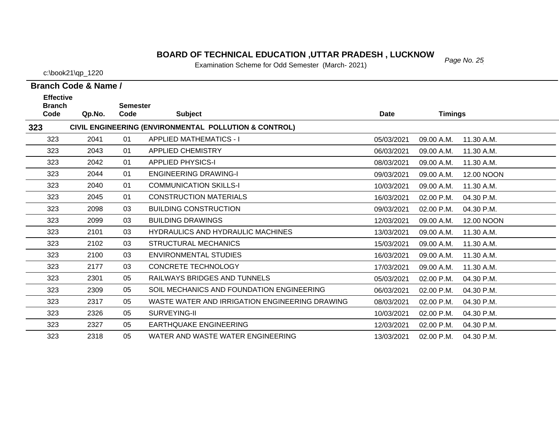#### *Page No. 25* **BOARD OF TECHNICAL EDUCATION ,UTTAR PRADESH , LUCKNOW**

Examination Scheme for Odd Semester (March- 2021)

c:\book21\qp\_1220

| <b>Effective</b><br><b>Branch</b> |        | <b>Semester</b> |                                                       |             |                |            |
|-----------------------------------|--------|-----------------|-------------------------------------------------------|-------------|----------------|------------|
| Code                              | Qp.No. | Code            | <b>Subject</b>                                        | <b>Date</b> | <b>Timings</b> |            |
| 323                               |        |                 | CIVIL ENGINEERING (ENVIRONMENTAL POLLUTION & CONTROL) |             |                |            |
| 323                               | 2041   | 01              | <b>APPLIED MATHEMATICS - I</b>                        | 05/03/2021  | 09.00 A.M.     | 11.30 A.M. |
| 323                               | 2043   | 01              | <b>APPLIED CHEMISTRY</b>                              | 06/03/2021  | 09.00 A.M.     | 11.30 A.M. |
| 323                               | 2042   | 01              | <b>APPLIED PHYSICS-I</b>                              | 08/03/2021  | 09.00 A.M.     | 11.30 A.M. |
| 323                               | 2044   | 01              | <b>ENGINEERING DRAWING-I</b>                          | 09/03/2021  | 09.00 A.M.     | 12.00 NOON |
| 323                               | 2040   | 01              | <b>COMMUNICATION SKILLS-I</b>                         | 10/03/2021  | 09.00 A.M.     | 11.30 A.M. |
| 323                               | 2045   | 01              | <b>CONSTRUCTION MATERIALS</b>                         | 16/03/2021  | 02.00 P.M.     | 04.30 P.M. |
| 323                               | 2098   | 03              | <b>BUILDING CONSTRUCTION</b>                          | 09/03/2021  | 02.00 P.M.     | 04.30 P.M. |
| 323                               | 2099   | 03              | <b>BUILDING DRAWINGS</b>                              | 12/03/2021  | 09.00 A.M.     | 12.00 NOON |
| 323                               | 2101   | 03              | <b>HYDRAULICS AND HYDRAULIC MACHINES</b>              | 13/03/2021  | 09.00 A.M.     | 11.30 A.M. |
| 323                               | 2102   | 03              | <b>STRUCTURAL MECHANICS</b>                           | 15/03/2021  | 09.00 A.M.     | 11.30 A.M. |
| 323                               | 2100   | 03              | <b>ENVIRONMENTAL STUDIES</b>                          | 16/03/2021  | 09.00 A.M.     | 11.30 A.M. |
| 323                               | 2177   | 03              | <b>CONCRETE TECHNOLOGY</b>                            | 17/03/2021  | 09.00 A.M.     | 11.30 A.M. |
| 323                               | 2301   | 05              | RAILWAYS BRIDGES AND TUNNELS                          | 05/03/2021  | 02.00 P.M.     | 04.30 P.M. |
| 323                               | 2309   | 05              | SOIL MECHANICS AND FOUNDATION ENGINEERING             | 06/03/2021  | 02.00 P.M.     | 04.30 P.M. |
| 323                               | 2317   | 05              | WASTE WATER AND IRRIGATION ENGINEERING DRAWING        | 08/03/2021  | 02.00 P.M.     | 04.30 P.M. |
| 323                               | 2326   | 05              | SURVEYING-II                                          | 10/03/2021  | 02.00 P.M.     | 04.30 P.M. |
| 323                               | 2327   | 05              | <b>EARTHQUAKE ENGINEERING</b>                         | 12/03/2021  | 02.00 P.M.     | 04.30 P.M. |
| 323                               | 2318   | 05              | WATER AND WASTE WATER ENGINEERING                     | 13/03/2021  | 02.00 P.M.     | 04.30 P.M. |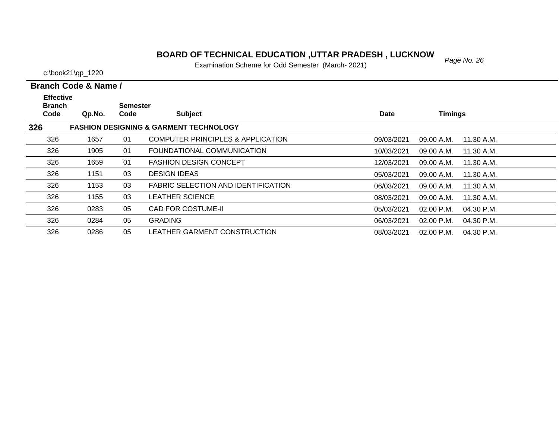#### **BOARD OF TECHNICAL EDUCATION ,UTTAR PRADESH , LUCKNOW**<br>Figurization Schame for Odd Samoster (Marsh, 2004)

Examination Scheme for Odd Semester (March- 2021)

c:\book21\qp\_1220

326

326

0284 05 GRADING

0286 05 LEATHER GARMENT CONSTRUCTION

**Branch Code & Name /**

06/03/2021 02.00 P.M.

08/03/2021 02.00 P.M. 04.30 P.M.

04.30 P.M.

| <b>Effective</b><br><b>Branch</b> |        | <b>Semester</b> |                                                   |            |                |            |
|-----------------------------------|--------|-----------------|---------------------------------------------------|------------|----------------|------------|
| Code                              | Qp.No. | Code            | <b>Subject</b>                                    | Date       | <b>Timings</b> |            |
| 326                               |        |                 | <b>FASHION DESIGNING &amp; GARMENT TECHNOLOGY</b> |            |                |            |
| 326                               | 1657   | 01              | <b>COMPUTER PRINCIPLES &amp; APPLICATION</b>      | 09/03/2021 | 09.00 A.M.     | 11.30 A.M. |
| 326                               | 1905   | 01              | FOUNDATIONAL COMMUNICATION                        | 10/03/2021 | 09.00 A.M.     | 11.30 A.M. |
| 326                               | 1659   | 01              | <b>FASHION DESIGN CONCEPT</b>                     | 12/03/2021 | 09.00 A.M.     | 11.30 A.M. |
| 326                               | 1151   | 03              | <b>DESIGN IDEAS</b>                               | 05/03/2021 | 09.00 A.M.     | 11.30 A.M. |
| 326                               | 1153   | 03              | <b>FABRIC SELECTION AND IDENTIFICATION</b>        | 06/03/2021 | 09.00 A.M.     | 11.30 A.M. |
| 326                               | 1155   | 03              | <b>LEATHER SCIENCE</b>                            | 08/03/2021 | 09.00 A.M.     | 11.30 A.M. |
| 326                               | 0283   | 05              | <b>CAD FOR COSTUME-II</b>                         | 05/03/2021 | $02.00$ P.M.   | 04.30 P.M. |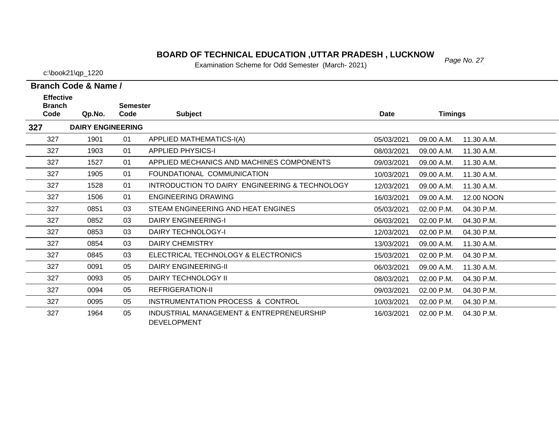#### *Page No. 27* **BOARD OF TECHNICAL EDUCATION ,UTTAR PRADESH , LUCKNOW**

Examination Scheme for Odd Semester (March- 2021)

c:\book21\qp\_1220

**Branch Code & Name /**

| <b>Effective</b> |                          |                 |                                                |             |                |            |
|------------------|--------------------------|-----------------|------------------------------------------------|-------------|----------------|------------|
| <b>Branch</b>    |                          | <b>Semester</b> |                                                |             |                |            |
| Code             | Qp.No.                   | Code            | <b>Subject</b>                                 | <b>Date</b> | <b>Timings</b> |            |
| 327              | <b>DAIRY ENGINEERING</b> |                 |                                                |             |                |            |
| 327              | 1901                     | 01              | APPLIED MATHEMATICS-I(A)                       | 05/03/2021  | 09.00 A.M.     | 11.30 A.M. |
| 327              | 1903                     | 01              | <b>APPLIED PHYSICS-I</b>                       | 08/03/2021  | 09.00 A.M.     | 11.30 A.M. |
| 327              | 1527                     | 01              | APPLIED MECHANICS AND MACHINES COMPONENTS      | 09/03/2021  | 09.00 A.M.     | 11.30 A.M. |
| 327              | 1905                     | 01              | FOUNDATIONAL COMMUNICATION                     | 10/03/2021  | 09.00 A.M.     | 11.30 A.M. |
| 327              | 1528                     | 01              | INTRODUCTION TO DAIRY ENGINEERING & TECHNOLOGY | 12/03/2021  | 09.00 A.M.     | 11.30 A.M. |
| 327              | 1506                     | 01              | <b>ENGINEERING DRAWING</b>                     | 16/03/2021  | 09.00 A.M.     | 12.00 NOON |
| 327              | 0851                     | 03              | STEAM ENGINEERING AND HEAT ENGINES             | 05/03/2021  | 02.00 P.M.     | 04.30 P.M. |
| 327              | 0852                     | 03              | DAIRY ENGINEERING-I                            | 06/03/2021  | 02.00 P.M.     | 04.30 P.M. |
| 327              | 0853                     | 03              | <b>DAIRY TECHNOLOGY-I</b>                      | 12/03/2021  | 02.00 P.M.     | 04.30 P.M. |
| 327              | 0854                     | 03              | <b>DAIRY CHEMISTRY</b>                         | 13/03/2021  | 09.00 A.M.     | 11.30 A.M. |
| 327              | 0845                     | 03              | ELECTRICAL TECHNOLOGY & ELECTRONICS            | 15/03/2021  | 02.00 P.M.     | 04.30 P.M. |
| 327              | 0091                     | 05              | <b>DAIRY ENGINEERING-II</b>                    | 06/03/2021  | 09.00 A.M.     | 11.30 A.M. |
| 327              | 0093                     | 05              | DAIRY TECHNOLOGY II                            | 08/03/2021  | 02.00 P.M.     | 04.30 P.M. |
| 327              | 0094                     | 05              | <b>REFRIGERATION-II</b>                        | 09/03/2021  | 02.00 P.M.     | 04.30 P.M. |
| 327              | 0095                     | 05              | INSTRUMENTATION PROCESS & CONTROL              | 10/03/2021  | 02.00 P.M.     | 04.30 P.M. |
| 327              | 1964                     | 05              | INDUSTRIAL MANAGEMENT & ENTREPRENEURSHIP       | 16/03/2021  | 02.00 P.M.     | 04.30 P.M. |
|                  |                          |                 |                                                |             |                |            |

 $\overline{\phantom{0}}$ 

 $\overbrace{\phantom{aaaaa}}$ 

DEVELOPMENT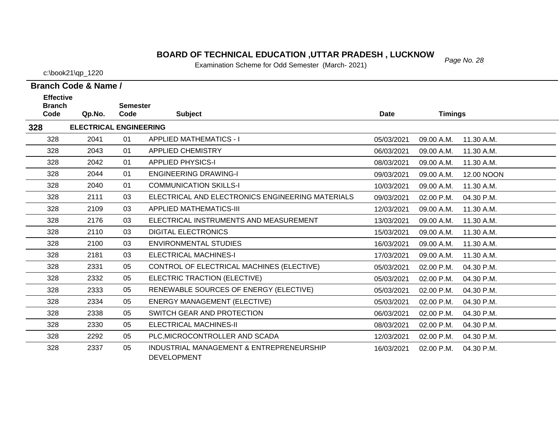# *Page No. 28* **BOARD OF TECHNICAL EDUCATION ,UTTAR PRADESH , LUCKNOW**

Examination Scheme for Odd Semester (March- 2021)

| Branch Code & Name / |  |
|----------------------|--|
| <b>Effective</b>     |  |

| <b>Branch</b> |                               | <b>Semester</b> |                                                                |             |                |            |
|---------------|-------------------------------|-----------------|----------------------------------------------------------------|-------------|----------------|------------|
| Code          | Qp.No.                        | Code            | <b>Subject</b>                                                 | <b>Date</b> | <b>Timings</b> |            |
| 328           | <b>ELECTRICAL ENGINEERING</b> |                 |                                                                |             |                |            |
| 328           | 2041                          | 01              | <b>APPLIED MATHEMATICS - I</b>                                 | 05/03/2021  | 09.00 A.M.     | 11.30 A.M. |
| 328           | 2043                          | 01              | <b>APPLIED CHEMISTRY</b>                                       | 06/03/2021  | 09.00 A.M.     | 11.30 A.M. |
| 328           | 2042                          | 01              | <b>APPLIED PHYSICS-I</b>                                       | 08/03/2021  | 09.00 A.M.     | 11.30 A.M. |
| 328           | 2044                          | 01              | <b>ENGINEERING DRAWING-I</b>                                   | 09/03/2021  | 09.00 A.M.     | 12.00 NOON |
| 328           | 2040                          | 01              | <b>COMMUNICATION SKILLS-I</b>                                  | 10/03/2021  | 09.00 A.M.     | 11.30 A.M. |
| 328           | 2111                          | 03              | ELECTRICAL AND ELECTRONICS ENGINEERING MATERIALS               | 09/03/2021  | 02.00 P.M.     | 04.30 P.M. |
| 328           | 2109                          | 03              | <b>APPLIED MATHEMATICS-III</b>                                 | 12/03/2021  | 09.00 A.M.     | 11.30 A.M. |
| 328           | 2176                          | 03              | ELECTRICAL INSTRUMENTS AND MEASUREMENT                         | 13/03/2021  | 09.00 A.M.     | 11.30 A.M. |
| 328           | 2110                          | 03              | <b>DIGITAL ELECTRONICS</b>                                     | 15/03/2021  | 09.00 A.M.     | 11.30 A.M. |
| 328           | 2100                          | 03              | <b>ENVIRONMENTAL STUDIES</b>                                   | 16/03/2021  | 09.00 A.M.     | 11.30 A.M. |
| 328           | 2181                          | 03              | <b>ELECTRICAL MACHINES-I</b>                                   | 17/03/2021  | 09.00 A.M.     | 11.30 A.M. |
| 328           | 2331                          | 05              | CONTROL OF ELECTRICAL MACHINES (ELECTIVE)                      | 05/03/2021  | 02.00 P.M.     | 04.30 P.M. |
| 328           | 2332                          | 05              | ELECTRIC TRACTION (ELECTIVE)                                   | 05/03/2021  | 02.00 P.M.     | 04.30 P.M. |
| 328           | 2333                          | 05              | RENEWABLE SOURCES OF ENERGY (ELECTIVE)                         | 05/03/2021  | 02.00 P.M.     | 04.30 P.M. |
| 328           | 2334                          | 05              | <b>ENERGY MANAGEMENT (ELECTIVE)</b>                            | 05/03/2021  | 02.00 P.M.     | 04.30 P.M. |
| 328           | 2338                          | 05              | SWITCH GEAR AND PROTECTION                                     | 06/03/2021  | 02.00 P.M.     | 04.30 P.M. |
| 328           | 2330                          | 05              | ELECTRICAL MACHINES-II                                         | 08/03/2021  | 02.00 P.M.     | 04.30 P.M. |
| 328           | 2292                          | 05              | PLC, MICROCONTROLLER AND SCADA                                 | 12/03/2021  | 02.00 P.M.     | 04.30 P.M. |
| 328           | 2337                          | 05              | INDUSTRIAL MANAGEMENT & ENTREPRENEURSHIP<br><b>DEVELOPMENT</b> | 16/03/2021  | 02.00 P.M.     | 04.30 P.M. |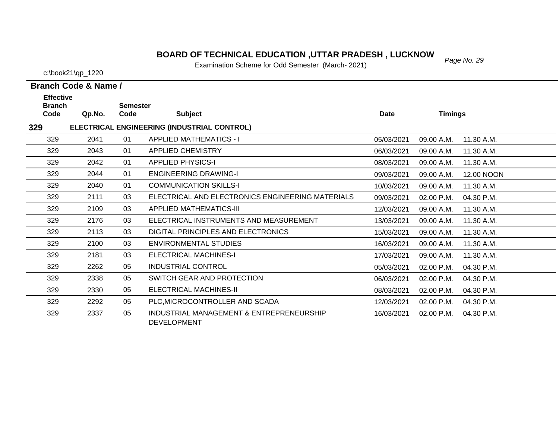# *Page No. 29* **BOARD OF TECHNICAL EDUCATION ,UTTAR PRADESH , LUCKNOW**

Examination Scheme for Odd Semester (March- 2021)

|  | Branch Code & Name / |
|--|----------------------|
|  |                      |

| <b>Effective</b><br><b>Branch</b> |        | <b>Semester</b> |                                                                |             |                |                   |
|-----------------------------------|--------|-----------------|----------------------------------------------------------------|-------------|----------------|-------------------|
| Code                              | Qp.No. | Code            | <b>Subject</b>                                                 | <b>Date</b> | <b>Timings</b> |                   |
| 329                               |        |                 | ELECTRICAL ENGINEERING (INDUSTRIAL CONTROL)                    |             |                |                   |
| 329                               | 2041   | 01              | <b>APPLIED MATHEMATICS - I</b>                                 | 05/03/2021  | 09.00 A.M.     | 11.30 A.M.        |
| 329                               | 2043   | 01              | <b>APPLIED CHEMISTRY</b>                                       | 06/03/2021  | 09.00 A.M.     | 11.30 A.M.        |
| 329                               | 2042   | 01              | <b>APPLIED PHYSICS-I</b>                                       | 08/03/2021  | 09.00 A.M.     | 11.30 A.M.        |
| 329                               | 2044   | 01              | <b>ENGINEERING DRAWING-I</b>                                   | 09/03/2021  | 09.00 A.M.     | <b>12.00 NOON</b> |
| 329                               | 2040   | 01              | <b>COMMUNICATION SKILLS-I</b>                                  | 10/03/2021  | 09.00 A.M.     | 11.30 A.M.        |
| 329                               | 2111   | 03              | ELECTRICAL AND ELECTRONICS ENGINEERING MATERIALS               | 09/03/2021  | 02.00 P.M.     | 04.30 P.M.        |
| 329                               | 2109   | 03              | APPLIED MATHEMATICS-III                                        | 12/03/2021  | 09.00 A.M.     | 11.30 A.M.        |
| 329                               | 2176   | 03              | ELECTRICAL INSTRUMENTS AND MEASUREMENT                         | 13/03/2021  | 09.00 A.M.     | 11.30 A.M.        |
| 329                               | 2113   | 03              | DIGITAL PRINCIPLES AND ELECTRONICS                             | 15/03/2021  | 09.00 A.M.     | 11.30 A.M.        |
| 329                               | 2100   | 03              | ENVIRONMENTAL STUDIES                                          | 16/03/2021  | 09.00 A.M.     | 11.30 A.M.        |
| 329                               | 2181   | 03              | ELECTRICAL MACHINES-I                                          | 17/03/2021  | 09.00 A.M.     | 11.30 A.M.        |
| 329                               | 2262   | 05              | <b>INDUSTRIAL CONTROL</b>                                      | 05/03/2021  | 02.00 P.M.     | 04.30 P.M.        |
| 329                               | 2338   | 05              | SWITCH GEAR AND PROTECTION                                     | 06/03/2021  | 02.00 P.M.     | 04.30 P.M.        |
| 329                               | 2330   | 05              | <b>ELECTRICAL MACHINES-II</b>                                  | 08/03/2021  | 02.00 P.M.     | 04.30 P.M.        |
| 329                               | 2292   | 05              | PLC, MICROCONTROLLER AND SCADA                                 | 12/03/2021  | 02.00 P.M.     | 04.30 P.M.        |
| 329                               | 2337   | 05              | INDUSTRIAL MANAGEMENT & ENTREPRENEURSHIP<br><b>DEVELOPMENT</b> | 16/03/2021  | 02.00 P.M.     | 04.30 P.M.        |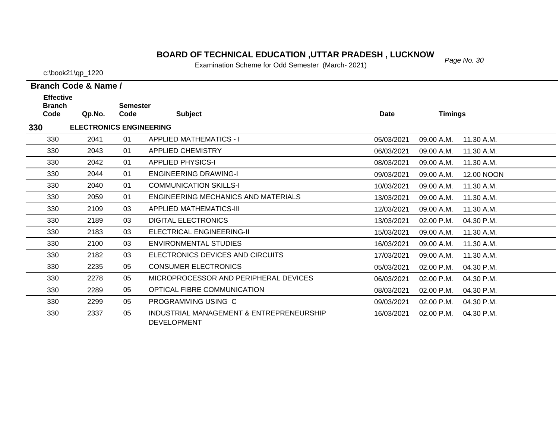# *Page No. 30* **BOARD OF TECHNICAL EDUCATION ,UTTAR PRADESH , LUCKNOW**

Examination Scheme for Odd Semester (March- 2021)

c:\book21\qp\_1220

 $\overline{\phantom{0}}$ 

| Branch Code & Name / |  |  |
|----------------------|--|--|

| <b>Effective</b><br><b>Branch</b> |                                |                         |                                                                |            |                |            |
|-----------------------------------|--------------------------------|-------------------------|----------------------------------------------------------------|------------|----------------|------------|
| Code                              | Qp.No.                         | <b>Semester</b><br>Code | <b>Subject</b>                                                 | Date       | <b>Timings</b> |            |
| 330                               | <b>ELECTRONICS ENGINEERING</b> |                         |                                                                |            |                |            |
| 330                               | 2041                           | 01                      | <b>APPLIED MATHEMATICS - I</b>                                 | 05/03/2021 | 09.00 A.M.     | 11.30 A.M. |
| 330                               | 2043                           | 01                      | <b>APPLIED CHEMISTRY</b>                                       | 06/03/2021 | 09.00 A.M.     | 11.30 A.M. |
| 330                               | 2042                           | 01                      | <b>APPLIED PHYSICS-I</b>                                       | 08/03/2021 | 09.00 A.M.     | 11.30 A.M. |
| 330                               | 2044                           | 01                      | <b>ENGINEERING DRAWING-I</b>                                   | 09/03/2021 | 09.00 A.M.     | 12.00 NOON |
| 330                               | 2040                           | 01                      | <b>COMMUNICATION SKILLS-I</b>                                  | 10/03/2021 | 09.00 A.M.     | 11.30 A.M. |
| 330                               | 2059                           | 01                      | ENGINEERING MECHANICS AND MATERIALS                            | 13/03/2021 | 09.00 A.M.     | 11.30 A.M. |
| 330                               | 2109                           | 03                      | <b>APPLIED MATHEMATICS-III</b>                                 | 12/03/2021 | 09.00 A.M.     | 11.30 A.M. |
| 330                               | 2189                           | 03                      | <b>DIGITAL ELECTRONICS</b>                                     | 13/03/2021 | 02.00 P.M.     | 04.30 P.M. |
| 330                               | 2183                           | 03                      | <b>ELECTRICAL ENGINEERING-II</b>                               | 15/03/2021 | 09.00 A.M.     | 11.30 A.M. |
| 330                               | 2100                           | 03                      | ENVIRONMENTAL STUDIES                                          | 16/03/2021 | 09.00 A.M.     | 11.30 A.M. |
| 330                               | 2182                           | 03                      | ELECTRONICS DEVICES AND CIRCUITS                               | 17/03/2021 | 09.00 A.M.     | 11.30 A.M. |
| 330                               | 2235                           | 05                      | <b>CONSUMER ELECTRONICS</b>                                    | 05/03/2021 | 02.00 P.M.     | 04.30 P.M. |
| 330                               | 2278                           | 05                      | MICROPROCESSOR AND PERIPHERAL DEVICES                          | 06/03/2021 | 02.00 P.M.     | 04.30 P.M. |
| 330                               | 2289                           | 05                      | OPTICAL FIBRE COMMUNICATION                                    | 08/03/2021 | 02.00 P.M.     | 04.30 P.M. |
| 330                               | 2299                           | 05                      | PROGRAMMING USING C                                            | 09/03/2021 | 02.00 P.M.     | 04.30 P.M. |
| 330                               | 2337                           | 05                      | INDUSTRIAL MANAGEMENT & ENTREPRENEURSHIP<br><b>DEVELOPMENT</b> | 16/03/2021 | 02.00 P.M.     | 04.30 P.M. |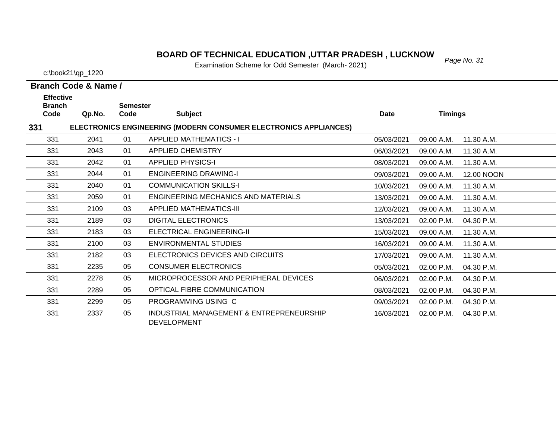#### *Page No. 31* **BOARD OF TECHNICAL EDUCATION ,UTTAR PRADESH , LUCKNOW**

Examination Scheme for Odd Semester (March- 2021)

c:\book21\qp\_1220

| <b>Effective</b><br><b>Branch</b> |        | <b>Semester</b> |                                                                  |             |                |            |
|-----------------------------------|--------|-----------------|------------------------------------------------------------------|-------------|----------------|------------|
| Code                              | Qp.No. | Code            | <b>Subject</b>                                                   | <b>Date</b> | <b>Timings</b> |            |
| 331                               |        |                 | ELECTRONICS ENGINEERING (MODERN CONSUMER ELECTRONICS APPLIANCES) |             |                |            |
| 331                               | 2041   | 01              | <b>APPLIED MATHEMATICS - I</b>                                   | 05/03/2021  | 09.00 A.M.     | 11.30 A.M. |
| 331                               | 2043   | 01              | <b>APPLIED CHEMISTRY</b>                                         | 06/03/2021  | 09.00 A.M.     | 11.30 A.M. |
| 331                               | 2042   | 01              | <b>APPLIED PHYSICS-I</b>                                         | 08/03/2021  | 09.00 A.M.     | 11.30 A.M. |
| 331                               | 2044   | 01              | <b>ENGINEERING DRAWING-I</b>                                     | 09/03/2021  | 09.00 A.M.     | 12.00 NOON |
| 331                               | 2040   | 01              | <b>COMMUNICATION SKILLS-I</b>                                    | 10/03/2021  | 09.00 A.M.     | 11.30 A.M. |
| 331                               | 2059   | 01              | <b>ENGINEERING MECHANICS AND MATERIALS</b>                       | 13/03/2021  | 09.00 A.M.     | 11.30 A.M. |
| 331                               | 2109   | 03              | <b>APPLIED MATHEMATICS-III</b>                                   | 12/03/2021  | 09.00 A.M.     | 11.30 A.M. |
| 331                               | 2189   | 03              | <b>DIGITAL ELECTRONICS</b>                                       | 13/03/2021  | 02.00 P.M.     | 04.30 P.M. |
| 331                               | 2183   | 03              | <b>ELECTRICAL ENGINEERING-II</b>                                 | 15/03/2021  | 09.00 A.M.     | 11.30 A.M. |
| 331                               | 2100   | 03              | <b>ENVIRONMENTAL STUDIES</b>                                     | 16/03/2021  | 09.00 A.M.     | 11.30 A.M. |
| 331                               | 2182   | 03              | ELECTRONICS DEVICES AND CIRCUITS                                 | 17/03/2021  | 09.00 A.M.     | 11.30 A.M. |
| 331                               | 2235   | 05              | <b>CONSUMER ELECTRONICS</b>                                      | 05/03/2021  | 02.00 P.M.     | 04.30 P.M. |
| 331                               | 2278   | 05              | MICROPROCESSOR AND PERIPHERAL DEVICES                            | 06/03/2021  | 02.00 P.M.     | 04.30 P.M. |
| 331                               | 2289   | 05              | OPTICAL FIBRE COMMUNICATION                                      | 08/03/2021  | 02.00 P.M.     | 04.30 P.M. |
| 331                               | 2299   | 05              | PROGRAMMING USING C                                              | 09/03/2021  | 02.00 P.M.     | 04.30 P.M. |
| 331                               | 2337   | 05              | INDUSTRIAL MANAGEMENT & ENTREPRENEURSHIP<br><b>DEVELOPMENT</b>   | 16/03/2021  | 02.00 P.M.     | 04.30 P.M. |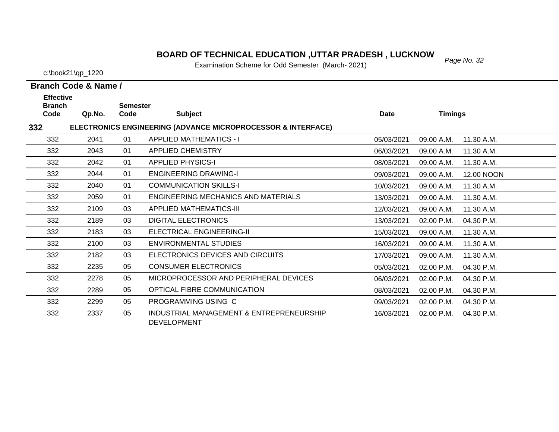#### *Page No. 32* **BOARD OF TECHNICAL EDUCATION ,UTTAR PRADESH , LUCKNOW**

Examination Scheme for Odd Semester (March- 2021)

c:\book21\qp\_1220

| <b>Effective</b><br><b>Branch</b> |        | <b>Semester</b> |                                                                         |             |                |            |
|-----------------------------------|--------|-----------------|-------------------------------------------------------------------------|-------------|----------------|------------|
| Code                              | Qp.No. | Code            | <b>Subject</b>                                                          | <b>Date</b> | <b>Timings</b> |            |
| 332                               |        |                 | <b>ELECTRONICS ENGINEERING (ADVANCE MICROPROCESSOR &amp; INTERFACE)</b> |             |                |            |
| 332                               | 2041   | 01              | <b>APPLIED MATHEMATICS - I</b>                                          | 05/03/2021  | 09.00 A.M.     | 11.30 A.M. |
| 332                               | 2043   | 01              | <b>APPLIED CHEMISTRY</b>                                                | 06/03/2021  | 09.00 A.M.     | 11.30 A.M. |
| 332                               | 2042   | 01              | <b>APPLIED PHYSICS-I</b>                                                | 08/03/2021  | 09.00 A.M.     | 11.30 A.M. |
| 332                               | 2044   | 01              | <b>ENGINEERING DRAWING-I</b>                                            | 09/03/2021  | 09.00 A.M.     | 12.00 NOON |
| 332                               | 2040   | 01              | <b>COMMUNICATION SKILLS-I</b>                                           | 10/03/2021  | 09.00 A.M.     | 11.30 A.M. |
| 332                               | 2059   | 01              | <b>ENGINEERING MECHANICS AND MATERIALS</b>                              | 13/03/2021  | 09.00 A.M.     | 11.30 A.M. |
| 332                               | 2109   | 03              | <b>APPLIED MATHEMATICS-III</b>                                          | 12/03/2021  | 09.00 A.M.     | 11.30 A.M. |
| 332                               | 2189   | 03              | <b>DIGITAL ELECTRONICS</b>                                              | 13/03/2021  | 02.00 P.M.     | 04.30 P.M. |
| 332                               | 2183   | 03              | <b>ELECTRICAL ENGINEERING-II</b>                                        | 15/03/2021  | 09.00 A.M.     | 11.30 A.M. |
| 332                               | 2100   | 03              | <b>ENVIRONMENTAL STUDIES</b>                                            | 16/03/2021  | 09.00 A.M.     | 11.30 A.M. |
| 332                               | 2182   | 03              | ELECTRONICS DEVICES AND CIRCUITS                                        | 17/03/2021  | 09.00 A.M.     | 11.30 A.M. |
| 332                               | 2235   | 05              | <b>CONSUMER ELECTRONICS</b>                                             | 05/03/2021  | 02.00 P.M.     | 04.30 P.M. |
| 332                               | 2278   | 05              | MICROPROCESSOR AND PERIPHERAL DEVICES                                   | 06/03/2021  | 02.00 P.M.     | 04.30 P.M. |
| 332                               | 2289   | 05              | OPTICAL FIBRE COMMUNICATION                                             | 08/03/2021  | 02.00 P.M.     | 04.30 P.M. |
| 332                               | 2299   | 05              | PROGRAMMING USING C                                                     | 09/03/2021  | 02.00 P.M.     | 04.30 P.M. |
| 332                               | 2337   | 05              | INDUSTRIAL MANAGEMENT & ENTREPRENEURSHIP<br><b>DEVELOPMENT</b>          | 16/03/2021  | 02.00 P.M.     | 04.30 P.M. |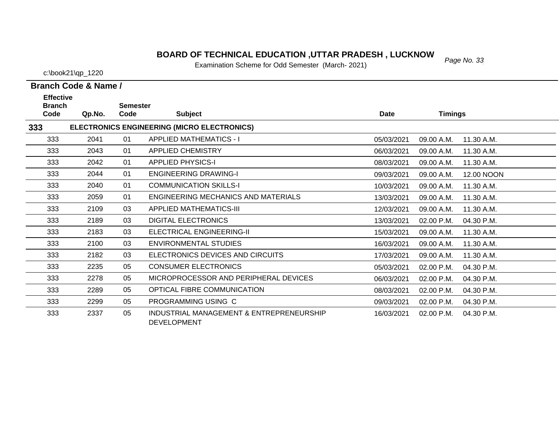# *Page No. 33* **BOARD OF TECHNICAL EDUCATION ,UTTAR PRADESH , LUCKNOW**

Examination Scheme for Odd Semester (March- 2021)

| ------               |  |
|----------------------|--|
| Branch Code & Name / |  |

| <b>Effective</b><br><b>Branch</b> |        | <b>Semester</b> |                                                                |            |                |            |
|-----------------------------------|--------|-----------------|----------------------------------------------------------------|------------|----------------|------------|
| Code                              | Qp.No. | Code            | <b>Subject</b>                                                 | Date       | <b>Timings</b> |            |
| 333                               |        |                 | ELECTRONICS ENGINEERING (MICRO ELECTRONICS)                    |            |                |            |
| 333                               | 2041   | 01              | <b>APPLIED MATHEMATICS - I</b>                                 | 05/03/2021 | 09.00 A.M.     | 11.30 A.M. |
| 333                               | 2043   | 01              | <b>APPLIED CHEMISTRY</b>                                       | 06/03/2021 | 09.00 A.M.     | 11.30 A.M. |
| 333                               | 2042   | 01              | <b>APPLIED PHYSICS-I</b>                                       | 08/03/2021 | 09.00 A.M.     | 11.30 A.M. |
| 333                               | 2044   | 01              | <b>ENGINEERING DRAWING-I</b>                                   | 09/03/2021 | 09.00 A.M.     | 12.00 NOON |
| 333                               | 2040   | 01              | <b>COMMUNICATION SKILLS-I</b>                                  | 10/03/2021 | 09.00 A.M.     | 11.30 A.M. |
| 333                               | 2059   | 01              | <b>ENGINEERING MECHANICS AND MATERIALS</b>                     | 13/03/2021 | 09.00 A.M.     | 11.30 A.M. |
| 333                               | 2109   | 03              | <b>APPLIED MATHEMATICS-III</b>                                 | 12/03/2021 | 09.00 A.M.     | 11.30 A.M. |
| 333                               | 2189   | 03              | <b>DIGITAL ELECTRONICS</b>                                     | 13/03/2021 | 02.00 P.M.     | 04.30 P.M. |
| 333                               | 2183   | 03              | <b>ELECTRICAL ENGINEERING-II</b>                               | 15/03/2021 | 09.00 A.M.     | 11.30 A.M. |
| 333                               | 2100   | 03              | <b>ENVIRONMENTAL STUDIES</b>                                   | 16/03/2021 | 09.00 A.M.     | 11.30 A.M. |
| 333                               | 2182   | 03              | ELECTRONICS DEVICES AND CIRCUITS                               | 17/03/2021 | 09.00 A.M.     | 11.30 A.M. |
| 333                               | 2235   | 05              | <b>CONSUMER ELECTRONICS</b>                                    | 05/03/2021 | 02.00 P.M.     | 04.30 P.M. |
| 333                               | 2278   | 05              | MICROPROCESSOR AND PERIPHERAL DEVICES                          | 06/03/2021 | 02.00 P.M.     | 04.30 P.M. |
| 333                               | 2289   | 05              | OPTICAL FIBRE COMMUNICATION                                    | 08/03/2021 | 02.00 P.M.     | 04.30 P.M. |
| 333                               | 2299   | 05              | PROGRAMMING USING C                                            | 09/03/2021 | 02.00 P.M.     | 04.30 P.M. |
| 333                               | 2337   | 05              | INDUSTRIAL MANAGEMENT & ENTREPRENEURSHIP<br><b>DEVELOPMENT</b> | 16/03/2021 | 02.00 P.M.     | 04.30 P.M. |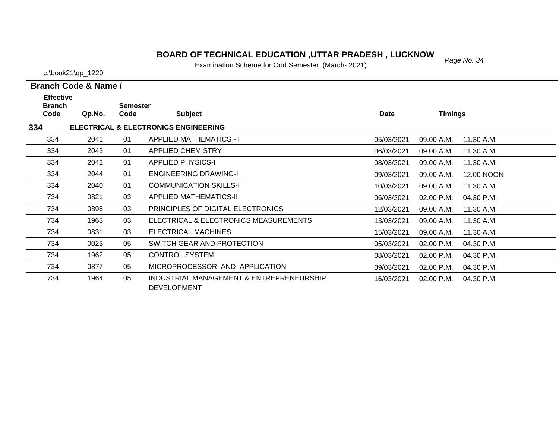# *Page No. 34* **BOARD OF TECHNICAL EDUCATION ,UTTAR PRADESH , LUCKNOW**

Examination Scheme for Odd Semester (March- 2021)

| <b>Effective</b><br><b>Branch</b> |        | <b>Semester</b> |                                                                |            |                |            |
|-----------------------------------|--------|-----------------|----------------------------------------------------------------|------------|----------------|------------|
| Code                              | Qp.No. | Code            | <b>Subject</b>                                                 | Date       | <b>Timings</b> |            |
| 334                               |        |                 | <b>ELECTRICAL &amp; ELECTRONICS ENGINEERING</b>                |            |                |            |
| 334                               | 2041   | 01              | <b>APPLIED MATHEMATICS - I</b>                                 | 05/03/2021 | 09.00 A.M.     | 11.30 A.M. |
| 334                               | 2043   | 01              | <b>APPLIED CHEMISTRY</b>                                       | 06/03/2021 | 09.00 A.M.     | 11.30 A.M. |
| 334                               | 2042   | 01              | <b>APPLIED PHYSICS-I</b>                                       | 08/03/2021 | 09.00 A.M.     | 11.30 A.M. |
| 334                               | 2044   | 01              | <b>ENGINEERING DRAWING-I</b>                                   | 09/03/2021 | 09.00 A.M.     | 12.00 NOON |
| 334                               | 2040   | 01              | <b>COMMUNICATION SKILLS-I</b>                                  | 10/03/2021 | 09.00 A.M.     | 11.30 A.M. |
| 734                               | 0821   | 03              | <b>APPLIED MATHEMATICS-II</b>                                  | 06/03/2021 | 02.00 P.M.     | 04.30 P.M. |
| 734                               | 0896   | 03              | PRINCIPLES OF DIGITAL ELECTRONICS                              | 12/03/2021 | 09.00 A.M.     | 11.30 A.M. |
| 734                               | 1963   | 03              | ELECTRICAL & ELECTRONICS MEASUREMENTS                          | 13/03/2021 | 09.00 A.M.     | 11.30 A.M. |
| 734                               | 0831   | 03              | ELECTRICAL MACHINES                                            | 15/03/2021 | 09.00 A.M.     | 11.30 A.M. |
| 734                               | 0023   | 05              | SWITCH GEAR AND PROTECTION                                     | 05/03/2021 | 02.00 P.M.     | 04.30 P.M. |
| 734                               | 1962   | 05              | <b>CONTROL SYSTEM</b>                                          | 08/03/2021 | 02.00 P.M.     | 04.30 P.M. |
| 734                               | 0877   | 05              | MICROPROCESSOR AND APPLICATION                                 | 09/03/2021 | 02.00 P.M.     | 04.30 P.M. |
| 734                               | 1964   | 05              | INDUSTRIAL MANAGEMENT & ENTREPRENEURSHIP<br><b>DEVELOPMENT</b> | 16/03/2021 | 02.00 P.M.     | 04.30 P.M. |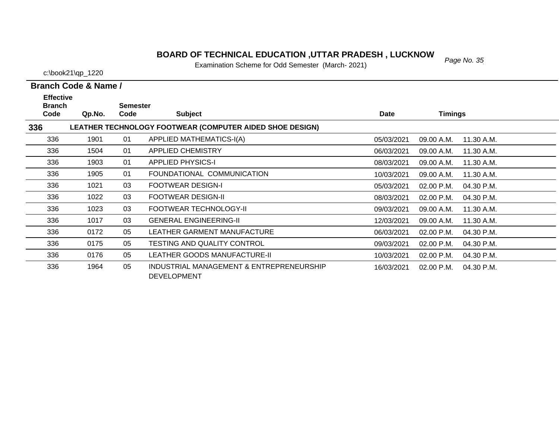#### *Page No. 35* **BOARD OF TECHNICAL EDUCATION ,UTTAR PRADESH , LUCKNOW**

Examination Scheme for Odd Semester (March- 2021)

c:\book21\qp\_1220

| <b>Effective</b><br><b>Branch</b> |        | <b>Semester</b> |                                                                |            |                          |  |
|-----------------------------------|--------|-----------------|----------------------------------------------------------------|------------|--------------------------|--|
| Code                              | Qp.No. | Code            | <b>Subject</b>                                                 | Date       | Timings                  |  |
| 336                               |        |                 | LEATHER TECHNOLOGY FOOTWEAR (COMPUTER AIDED SHOE DESIGN)       |            |                          |  |
| 336                               | 1901   | 01              | APPLIED MATHEMATICS-I(A)                                       | 05/03/2021 | 11.30 A.M.<br>09.00 A.M. |  |
| 336                               | 1504   | 01              | <b>APPLIED CHEMISTRY</b>                                       | 06/03/2021 | 09.00 A.M.<br>11.30 A.M. |  |
| 336                               | 1903   | 01              | <b>APPLIED PHYSICS-I</b>                                       | 08/03/2021 | 09.00 A.M.<br>11.30 A.M. |  |
| 336                               | 1905   | 01              | FOUNDATIONAL COMMUNICATION                                     | 10/03/2021 | 11.30 A.M.<br>09.00 A.M. |  |
| 336                               | 1021   | 03              | <b>FOOTWEAR DESIGN-I</b>                                       | 05/03/2021 | 02.00 P.M.<br>04.30 P.M. |  |
| 336                               | 1022   | 03              | <b>FOOTWEAR DESIGN-II</b>                                      | 08/03/2021 | 02.00 P.M.<br>04.30 P.M. |  |
| 336                               | 1023   | 03              | FOOTWEAR TECHNOLOGY-II                                         | 09/03/2021 | 09.00 A.M.<br>11.30 A.M. |  |
| 336                               | 1017   | 03              | <b>GENERAL ENGINEERING-II</b>                                  | 12/03/2021 | 11.30 A.M.<br>09.00 A.M. |  |
| 336                               | 0172   | 05              | LEATHER GARMENT MANUFACTURE                                    | 06/03/2021 | 02.00 P.M.<br>04.30 P.M. |  |
| 336                               | 0175   | 05              | TESTING AND QUALITY CONTROL                                    | 09/03/2021 | 02.00 P.M.<br>04.30 P.M. |  |
| 336                               | 0176   | 05              | LEATHER GOODS MANUFACTURE-II                                   | 10/03/2021 | 02.00 P.M.<br>04.30 P.M. |  |
| 336                               | 1964   | 05              | INDUSTRIAL MANAGEMENT & ENTREPRENEURSHIP<br><b>DEVELOPMENT</b> | 16/03/2021 | 02.00 P.M.<br>04.30 P.M. |  |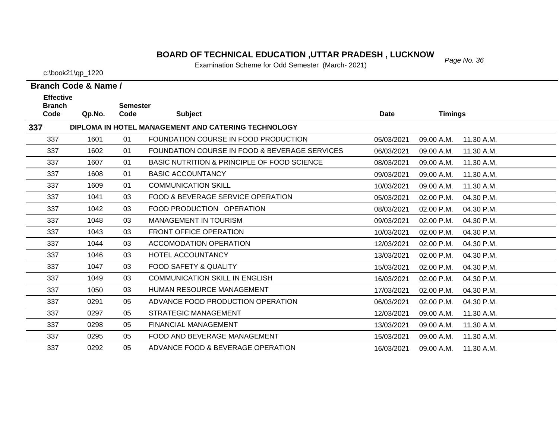#### *Page No. 36* **BOARD OF TECHNICAL EDUCATION ,UTTAR PRADESH , LUCKNOW**

Examination Scheme for Odd Semester (March- 2021)

c:\book21\qp\_1220

| <b>Effective</b><br><b>Branch</b> |        | <b>Semester</b> |                                                     |             |                |            |
|-----------------------------------|--------|-----------------|-----------------------------------------------------|-------------|----------------|------------|
| Code                              | Qp.No. | Code            | <b>Subject</b>                                      | <b>Date</b> | <b>Timings</b> |            |
| 337                               |        |                 | DIPLOMA IN HOTEL MANAGEMENT AND CATERING TECHNOLOGY |             |                |            |
| 337                               | 1601   | 01              | FOUNDATION COURSE IN FOOD PRODUCTION                | 05/03/2021  | 09.00 A.M.     | 11.30 A.M. |
| 337                               | 1602   | 01              | FOUNDATION COURSE IN FOOD & BEVERAGE SERVICES       | 06/03/2021  | 09.00 A.M.     | 11.30 A.M. |
| 337                               | 1607   | 01              | BASIC NUTRITION & PRINCIPLE OF FOOD SCIENCE         | 08/03/2021  | 09.00 A.M.     | 11.30 A.M. |
| 337                               | 1608   | 01              | <b>BASIC ACCOUNTANCY</b>                            | 09/03/2021  | 09.00 A.M.     | 11.30 A.M. |
| 337                               | 1609   | 01              | <b>COMMUNICATION SKILL</b>                          | 10/03/2021  | 09.00 A.M.     | 11.30 A.M. |
| 337                               | 1041   | 03              | FOOD & BEVERAGE SERVICE OPERATION                   | 05/03/2021  | 02.00 P.M.     | 04.30 P.M. |
| 337                               | 1042   | 03              | FOOD PRODUCTION OPERATION                           | 08/03/2021  | 02.00 P.M.     | 04.30 P.M. |
| 337                               | 1048   | 03              | <b>MANAGEMENT IN TOURISM</b>                        | 09/03/2021  | 02.00 P.M.     | 04.30 P.M. |
| 337                               | 1043   | 03              | <b>FRONT OFFICE OPERATION</b>                       | 10/03/2021  | 02.00 P.M.     | 04.30 P.M. |
| 337                               | 1044   | 03              | <b>ACCOMODATION OPERATION</b>                       | 12/03/2021  | 02.00 P.M.     | 04.30 P.M. |
| 337                               | 1046   | 03              | HOTEL ACCOUNTANCY                                   | 13/03/2021  | 02.00 P.M.     | 04.30 P.M. |
| 337                               | 1047   | 03              | <b>FOOD SAFETY &amp; QUALITY</b>                    | 15/03/2021  | 02.00 P.M.     | 04.30 P.M. |
| 337                               | 1049   | 03              | <b>COMMUNICATION SKILL IN ENGLISH</b>               | 16/03/2021  | 02.00 P.M.     | 04.30 P.M. |
| 337                               | 1050   | 03              | HUMAN RESOURCE MANAGEMENT                           | 17/03/2021  | 02.00 P.M.     | 04.30 P.M. |
| 337                               | 0291   | 05              | ADVANCE FOOD PRODUCTION OPERATION                   | 06/03/2021  | 02.00 P.M.     | 04.30 P.M. |
| 337                               | 0297   | 05              | <b>STRATEGIC MANAGEMENT</b>                         | 12/03/2021  | 09.00 A.M.     | 11.30 A.M. |
| 337                               | 0298   | 05              | <b>FINANCIAL MANAGEMENT</b>                         | 13/03/2021  | 09.00 A.M.     | 11.30 A.M. |
| 337                               | 0295   | 05              | FOOD AND BEVERAGE MANAGEMENT                        | 15/03/2021  | 09.00 A.M.     | 11.30 A.M. |
| 337                               | 0292   | 05              | ADVANCE FOOD & BEVERAGE OPERATION                   | 16/03/2021  | 09.00 A.M.     | 11.30 A.M. |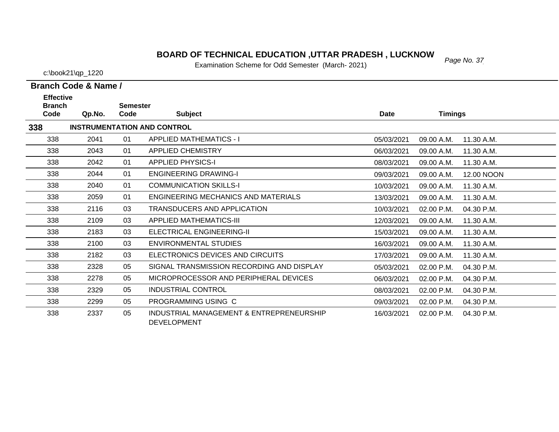### *Page No. 37* **BOARD OF TECHNICAL EDUCATION ,UTTAR PRADESH , LUCKNOW**

Examination Scheme for Odd Semester (March- 2021)

c:\book21\qp\_1220

| <b>Effective</b><br><b>Branch</b><br>Code | Qp.No. | <b>Semester</b><br>Code | <b>Subject</b>                     | Date       | <b>Timings</b> |
|-------------------------------------------|--------|-------------------------|------------------------------------|------------|----------------|
| 338                                       |        |                         | <b>INSTRUMENTATION AND CONTROL</b> |            |                |
| 338                                       | 2041   | 01                      | APPLIED MATHEMATICS - I            | 05/03/2021 | 09.00 A.M.     |
| 338                                       | 2043   | 01                      | <b>APPLIED CHEMISTRY</b>           | 06/03/2021 | 09.00 A.M.     |
| 338                                       | 2042   | 01                      | <b>APPLIED PHYSICS-I</b>           | 08/03/2021 | 09.00 A.M.     |

| 338 |      |    | <b>INSTRUMENTATION AND CONTROL</b>                             |            |              |            |
|-----|------|----|----------------------------------------------------------------|------------|--------------|------------|
| 338 | 2041 | 01 | <b>APPLIED MATHEMATICS - I</b>                                 | 05/03/2021 | 09.00 A.M.   | 11.30 A.M. |
| 338 | 2043 | 01 | <b>APPLIED CHEMISTRY</b>                                       | 06/03/2021 | 09.00 A.M.   | 11.30 A.M. |
| 338 | 2042 | 01 | <b>APPLIED PHYSICS-I</b>                                       | 08/03/2021 | 09.00 A.M.   | 11.30 A.M. |
| 338 | 2044 | 01 | <b>ENGINEERING DRAWING-I</b>                                   | 09/03/2021 | 09.00 A.M.   | 12.00 NOON |
| 338 | 2040 | 01 | <b>COMMUNICATION SKILLS-I</b>                                  | 10/03/2021 | 09.00 A.M.   | 11.30 A.M. |
| 338 | 2059 | 01 | ENGINEERING MECHANICS AND MATERIALS                            | 13/03/2021 | 09.00 A.M.   | 11.30 A.M. |
| 338 | 2116 | 03 | TRANSDUCERS AND APPLICATION                                    | 10/03/2021 | 02.00 P.M.   | 04.30 P.M. |
| 338 | 2109 | 03 | APPLIED MATHEMATICS-III                                        | 12/03/2021 | 09.00 A.M.   | 11.30 A.M. |
| 338 | 2183 | 03 | ELECTRICAL ENGINEERING-II                                      | 15/03/2021 | 09.00 A.M.   | 11.30 A.M. |
| 338 | 2100 | 03 | ENVIRONMENTAL STUDIES                                          | 16/03/2021 | 09.00 A.M.   | 11.30 A.M. |
| 338 | 2182 | 03 | ELECTRONICS DEVICES AND CIRCUITS                               | 17/03/2021 | 09.00 A.M.   | 11.30 A.M. |
| 338 | 2328 | 05 | SIGNAL TRANSMISSION RECORDING AND DISPLAY                      | 05/03/2021 | 02.00 P.M.   | 04.30 P.M. |
| 338 | 2278 | 05 | MICROPROCESSOR AND PERIPHERAL DEVICES                          | 06/03/2021 | 02.00 P.M.   | 04.30 P.M. |
| 338 | 2329 | 05 | <b>INDUSTRIAL CONTROL</b>                                      | 08/03/2021 | 02.00 P.M.   | 04.30 P.M. |
| 338 | 2299 | 05 | PROGRAMMING USING C                                            | 09/03/2021 | 02.00 P.M.   | 04.30 P.M. |
| 338 | 2337 | 05 | INDUSTRIAL MANAGEMENT & ENTREPRENEURSHIP<br><b>DEVELOPMENT</b> | 16/03/2021 | $02.00$ P.M. | 04.30 P.M. |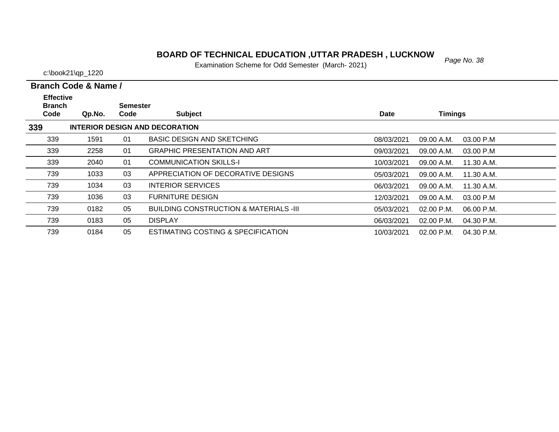# *Page No. 38* **BOARD OF TECHNICAL EDUCATION ,UTTAR PRADESH , LUCKNOW**

Examination Scheme for Odd Semester (March- 2021)

|  |  | <b>Branch Code &amp; Name</b> |  |
|--|--|-------------------------------|--|

| <b>Effective</b><br><b>Branch</b> |        | <b>Semester</b> |                                               |            |                            |  |
|-----------------------------------|--------|-----------------|-----------------------------------------------|------------|----------------------------|--|
| Code                              | Qp.No. | Code            | <b>Subject</b>                                | Date       | <b>Timings</b>             |  |
| 339                               |        |                 | INTERIOR DESIGN AND DECORATION                |            |                            |  |
| 339                               | 1591   | 01              | <b>BASIC DESIGN AND SKETCHING</b>             | 08/03/2021 | 09.00 A.M.<br>03.00 P.M    |  |
| 339                               | 2258   | 01              | <b>GRAPHIC PRESENTATION AND ART</b>           | 09/03/2021 | 09.00 A.M.<br>03.00 P.M    |  |
| 339                               | 2040   | 01              | <b>COMMUNICATION SKILLS-I</b>                 | 10/03/2021 | 09.00 A.M.<br>11.30 A.M.   |  |
| 739                               | 1033   | 03              | APPRECIATION OF DECORATIVE DESIGNS            | 05/03/2021 | 09.00 A.M.<br>11.30 A.M.   |  |
| 739                               | 1034   | 03              | <b>INTERIOR SERVICES</b>                      | 06/03/2021 | 09.00 A.M.<br>11.30 A.M.   |  |
| 739                               | 1036   | 03              | <b>FURNITURE DESIGN</b>                       | 12/03/2021 | 09.00 A.M.<br>03.00 P.M    |  |
| 739                               | 0182   | 05              | BUILDING CONSTRUCTION & MATERIALS -III        | 05/03/2021 | $02.00$ P.M.<br>06.00 P.M. |  |
| 739                               | 0183   | 05              | <b>DISPLAY</b>                                | 06/03/2021 | 02.00 P.M.<br>04.30 P.M.   |  |
| 739                               | 0184   | 05              | <b>ESTIMATING COSTING &amp; SPECIFICATION</b> | 10/03/2021 | $02.00$ P.M.<br>04.30 P.M. |  |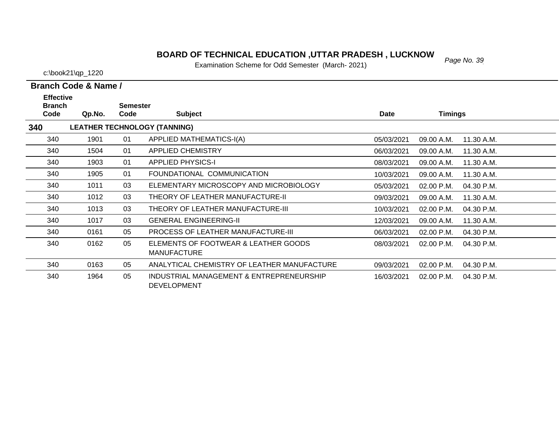# *Page No. 39* **BOARD OF TECHNICAL EDUCATION ,UTTAR PRADESH , LUCKNOW**

Examination Scheme for Odd Semester (March- 2021)

|  |  | <b>Branch Code &amp; Name /</b> |  |
|--|--|---------------------------------|--|
|--|--|---------------------------------|--|

| <b>Effective</b><br><b>Branch</b> |        | <b>Semester</b> |                                                                |             |                |            |
|-----------------------------------|--------|-----------------|----------------------------------------------------------------|-------------|----------------|------------|
| Code                              | Qp.No. | Code            | <b>Subject</b>                                                 | <b>Date</b> | <b>Timings</b> |            |
| 340                               |        |                 | <b>LEATHER TECHNOLOGY (TANNING)</b>                            |             |                |            |
| 340                               | 1901   | 01              | <b>APPLIED MATHEMATICS-I(A)</b>                                | 05/03/2021  | 09.00 A.M.     | 11.30 A.M. |
| 340                               | 1504   | 01              | <b>APPLIED CHEMISTRY</b>                                       | 06/03/2021  | 09.00 A.M.     | 11.30 A.M. |
| 340                               | 1903   | 01              | <b>APPLIED PHYSICS-I</b>                                       | 08/03/2021  | 09.00 A.M.     | 11.30 A.M. |
| 340                               | 1905   | 01              | FOUNDATIONAL COMMUNICATION                                     | 10/03/2021  | 09.00 A.M.     | 11.30 A.M. |
| 340                               | 1011   | 03              | ELEMENTARY MICROSCOPY AND MICROBIOLOGY                         | 05/03/2021  | 02.00 P.M.     | 04.30 P.M. |
| 340                               | 1012   | 03              | THEORY OF LEATHER MANUFACTURE-II                               | 09/03/2021  | 09.00 A.M.     | 11.30 A.M. |
| 340                               | 1013   | 03              | THEORY OF LEATHER MANUFACTURE-III                              | 10/03/2021  | 02.00 P.M.     | 04.30 P.M. |
| 340                               | 1017   | 03              | <b>GENERAL ENGINEERING-II</b>                                  | 12/03/2021  | 09.00 A.M.     | 11.30 A.M. |
| 340                               | 0161   | 05              | <b>PROCESS OF LEATHER MANUFACTURE-III</b>                      | 06/03/2021  | 02.00 P.M.     | 04.30 P.M. |
| 340                               | 0162   | 05              | ELEMENTS OF FOOTWEAR & LEATHER GOODS<br><b>MANUFACTURE</b>     | 08/03/2021  | 02.00 P.M.     | 04.30 P.M. |
| 340                               | 0163   | 05              | ANALYTICAL CHEMISTRY OF LEATHER MANUFACTURE                    | 09/03/2021  | $02.00$ P.M.   | 04.30 P.M. |
| 340                               | 1964   | 05              | INDUSTRIAL MANAGEMENT & ENTREPRENEURSHIP<br><b>DEVELOPMENT</b> | 16/03/2021  | 02.00 P.M.     | 04.30 P.M. |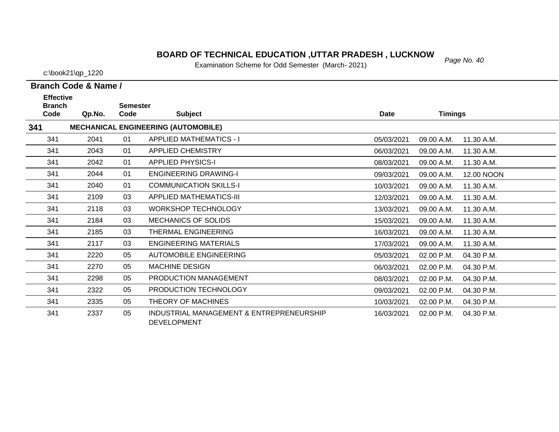# *Page No. 40* **BOARD OF TECHNICAL EDUCATION ,UTTAR PRADESH , LUCKNOW**

Examination Scheme for Odd Semester (March- 2021)

c:\book21\qp\_1220

 $\overline{\phantom{0}}$ 

| <b>Effective</b><br><b>Branch</b> |        | <b>Semester</b> |                                                                |             |                |            |
|-----------------------------------|--------|-----------------|----------------------------------------------------------------|-------------|----------------|------------|
| Code                              | Qp.No. | Code            | <b>Subject</b>                                                 | <b>Date</b> | <b>Timings</b> |            |
| 341                               |        |                 | <b>MECHANICAL ENGINEERING (AUTOMOBILE)</b>                     |             |                |            |
| 341                               | 2041   | 01              | <b>APPLIED MATHEMATICS - I</b>                                 | 05/03/2021  | 09.00 A.M.     | 11.30 A.M. |
| 341                               | 2043   | 01              | <b>APPLIED CHEMISTRY</b>                                       | 06/03/2021  | 09.00 A.M.     | 11.30 A.M. |
| 341                               | 2042   | 01              | <b>APPLIED PHYSICS-I</b>                                       | 08/03/2021  | 09.00 A.M.     | 11.30 A.M. |
| 341                               | 2044   | 01              | <b>ENGINEERING DRAWING-I</b>                                   | 09/03/2021  | 09.00 A.M.     | 12.00 NOON |
| 341                               | 2040   | 01              | <b>COMMUNICATION SKILLS-I</b>                                  | 10/03/2021  | 09.00 A.M.     | 11.30 A.M. |
| 341                               | 2109   | 03              | <b>APPLIED MATHEMATICS-III</b>                                 | 12/03/2021  | 09.00 A.M.     | 11.30 A.M. |
| 341                               | 2118   | 03              | <b>WORKSHOP TECHNOLOGY</b>                                     | 13/03/2021  | 09.00 A.M.     | 11.30 A.M. |
| 341                               | 2184   | 03              | <b>MECHANICS OF SOLIDS</b>                                     | 15/03/2021  | 09.00 A.M.     | 11.30 A.M. |
| 341                               | 2185   | 03              | THERMAL ENGINEERING                                            | 16/03/2021  | 09.00 A.M.     | 11.30 A.M. |
| 341                               | 2117   | 03              | <b>ENGINEERING MATERIALS</b>                                   | 17/03/2021  | 09.00 A.M.     | 11.30 A.M. |
| 341                               | 2220   | 05              | AUTOMOBILE ENGINEERING                                         | 05/03/2021  | 02.00 P.M.     | 04.30 P.M. |
| 341                               | 2270   | 05              | <b>MACHINE DESIGN</b>                                          | 06/03/2021  | 02.00 P.M.     | 04.30 P.M. |
| 341                               | 2298   | 05              | PRODUCTION MANAGEMENT                                          | 08/03/2021  | 02.00 P.M.     | 04.30 P.M. |
| 341                               | 2322   | 05              | PRODUCTION TECHNOLOGY                                          | 09/03/2021  | 02.00 P.M.     | 04.30 P.M. |
| 341                               | 2335   | 05              | THEORY OF MACHINES                                             | 10/03/2021  | 02.00 P.M.     | 04.30 P.M. |
| 341                               | 2337   | 05              | INDUSTRIAL MANAGEMENT & ENTREPRENEURSHIP<br><b>DEVELOPMENT</b> | 16/03/2021  | 02.00 P.M.     | 04.30 P.M. |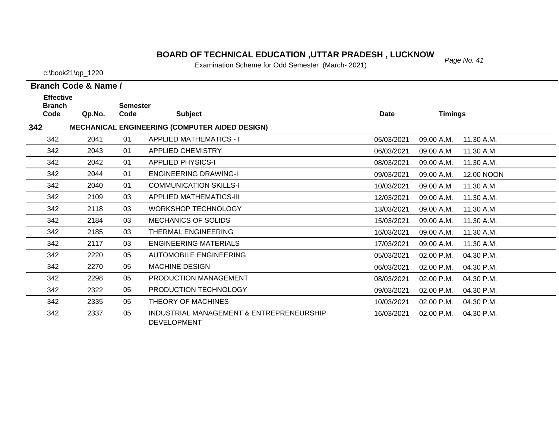### *Page No. 41* **BOARD OF TECHNICAL EDUCATION ,UTTAR PRADESH , LUCKNOW**

Examination Scheme for Odd Semester (March- 2021)

c:\book21\qp\_1220

| <b>Effective</b>      |        |                         |                                                                |             |                |            |
|-----------------------|--------|-------------------------|----------------------------------------------------------------|-------------|----------------|------------|
| <b>Branch</b><br>Code | Qp.No. | <b>Semester</b><br>Code | <b>Subject</b>                                                 | <b>Date</b> | <b>Timings</b> |            |
| 342                   |        |                         | <b>MECHANICAL ENGINEERING (COMPUTER AIDED DESIGN)</b>          |             |                |            |
| 342                   | 2041   | 01                      | <b>APPLIED MATHEMATICS - I</b>                                 | 05/03/2021  | 09.00 A.M.     | 11.30 A.M. |
| 342                   | 2043   | 01                      | <b>APPLIED CHEMISTRY</b>                                       | 06/03/2021  | 09.00 A.M.     | 11.30 A.M. |
| 342                   | 2042   | 01                      | <b>APPLIED PHYSICS-I</b>                                       | 08/03/2021  | 09.00 A.M.     | 11.30 A.M. |
| 342                   | 2044   | 01                      | <b>ENGINEERING DRAWING-I</b>                                   | 09/03/2021  | 09.00 A.M.     | 12.00 NOON |
| 342                   | 2040   | 01                      | <b>COMMUNICATION SKILLS-I</b>                                  | 10/03/2021  | 09.00 A.M.     | 11.30 A.M. |
| 342                   | 2109   | 03                      | APPLIED MATHEMATICS-III                                        | 12/03/2021  | 09.00 A.M.     | 11.30 A.M. |
| 342                   | 2118   | 03                      | <b>WORKSHOP TECHNOLOGY</b>                                     | 13/03/2021  | 09.00 A.M.     | 11.30 A.M. |
| 342                   | 2184   | 03                      | <b>MECHANICS OF SOLIDS</b>                                     | 15/03/2021  | 09.00 A.M.     | 11.30 A.M. |
| 342                   | 2185   | 03                      | THERMAL ENGINEERING                                            | 16/03/2021  | 09.00 A.M.     | 11.30 A.M. |
| 342                   | 2117   | 03                      | ENGINEERING MATERIALS                                          | 17/03/2021  | 09.00 A.M.     | 11.30 A.M. |
| 342                   | 2220   | 05                      | <b>AUTOMOBILE ENGINEERING</b>                                  | 05/03/2021  | 02.00 P.M.     | 04.30 P.M. |
| 342                   | 2270   | 05                      | <b>MACHINE DESIGN</b>                                          | 06/03/2021  | 02.00 P.M.     | 04.30 P.M. |
| 342                   | 2298   | 05                      | PRODUCTION MANAGEMENT                                          | 08/03/2021  | 02.00 P.M.     | 04.30 P.M. |
| 342                   | 2322   | 05                      | PRODUCTION TECHNOLOGY                                          | 09/03/2021  | 02.00 P.M.     | 04.30 P.M. |
| 342                   | 2335   | 05                      | THEORY OF MACHINES                                             | 10/03/2021  | 02.00 P.M.     | 04.30 P.M. |
| 342                   | 2337   | 05                      | INDUSTRIAL MANAGEMENT & ENTREPRENEURSHIP<br><b>DEVELOPMENT</b> | 16/03/2021  | 02.00 P.M.     | 04.30 P.M. |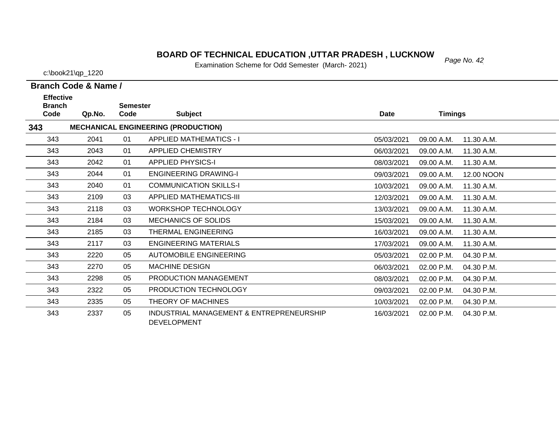# *Page No. 42* **BOARD OF TECHNICAL EDUCATION ,UTTAR PRADESH , LUCKNOW**

Examination Scheme for Odd Semester (March- 2021)

c:\book21\qp\_1220

| <b>Effective</b><br><b>Branch</b> |        | <b>Semester</b> |                                                                |             |                |            |
|-----------------------------------|--------|-----------------|----------------------------------------------------------------|-------------|----------------|------------|
| Code                              | Qp.No. | Code            | <b>Subject</b>                                                 | <b>Date</b> | <b>Timings</b> |            |
| 343                               |        |                 | <b>MECHANICAL ENGINEERING (PRODUCTION)</b>                     |             |                |            |
| 343                               | 2041   | 01              | <b>APPLIED MATHEMATICS - I</b>                                 | 05/03/2021  | 09.00 A.M.     | 11.30 A.M. |
| 343                               | 2043   | 01              | <b>APPLIED CHEMISTRY</b>                                       | 06/03/2021  | 09.00 A.M.     | 11.30 A.M. |
| 343                               | 2042   | 01              | <b>APPLIED PHYSICS-I</b>                                       | 08/03/2021  | 09.00 A.M.     | 11.30 A.M. |
| 343                               | 2044   | 01              | <b>ENGINEERING DRAWING-I</b>                                   | 09/03/2021  | 09.00 A.M.     | 12.00 NOON |
| 343                               | 2040   | 01              | <b>COMMUNICATION SKILLS-I</b>                                  | 10/03/2021  | 09.00 A.M.     | 11.30 A.M. |
| 343                               | 2109   | 03              | <b>APPLIED MATHEMATICS-III</b>                                 | 12/03/2021  | 09.00 A.M.     | 11.30 A.M. |
| 343                               | 2118   | 03              | <b>WORKSHOP TECHNOLOGY</b>                                     | 13/03/2021  | 09.00 A.M.     | 11.30 A.M. |
| 343                               | 2184   | 03              | <b>MECHANICS OF SOLIDS</b>                                     | 15/03/2021  | 09.00 A.M.     | 11.30 A.M. |
| 343                               | 2185   | 03              | THERMAL ENGINEERING                                            | 16/03/2021  | 09.00 A.M.     | 11.30 A.M. |
| 343                               | 2117   | 03              | <b>ENGINEERING MATERIALS</b>                                   | 17/03/2021  | 09.00 A.M.     | 11.30 A.M. |
| 343                               | 2220   | 05              | AUTOMOBILE ENGINEERING                                         | 05/03/2021  | 02.00 P.M.     | 04.30 P.M. |
| 343                               | 2270   | 05              | <b>MACHINE DESIGN</b>                                          | 06/03/2021  | 02.00 P.M.     | 04.30 P.M. |
| 343                               | 2298   | 05              | PRODUCTION MANAGEMENT                                          | 08/03/2021  | 02.00 P.M.     | 04.30 P.M. |
| 343                               | 2322   | 05              | PRODUCTION TECHNOLOGY                                          | 09/03/2021  | 02.00 P.M.     | 04.30 P.M. |
| 343                               | 2335   | 05              | THEORY OF MACHINES                                             | 10/03/2021  | 02.00 P.M.     | 04.30 P.M. |
| 343                               | 2337   | 05              | INDUSTRIAL MANAGEMENT & ENTREPRENEURSHIP<br><b>DEVELOPMENT</b> | 16/03/2021  | 02.00 P.M.     | 04.30 P.M. |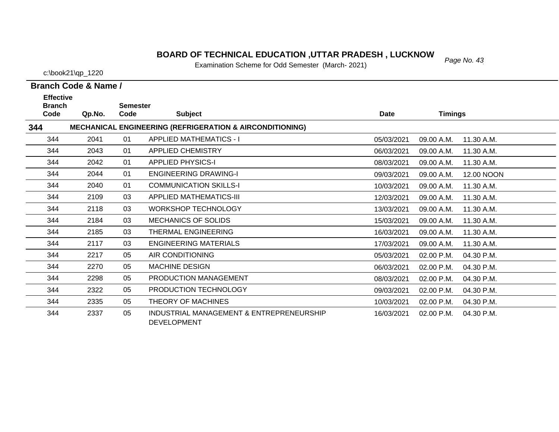### *Page No. 43* **BOARD OF TECHNICAL EDUCATION ,UTTAR PRADESH , LUCKNOW**

Examination Scheme for Odd Semester (March- 2021)

c:\book21\qp\_1220

| <b>Effective</b>      |        |                         |                                                                     |             |                          |  |
|-----------------------|--------|-------------------------|---------------------------------------------------------------------|-------------|--------------------------|--|
| <b>Branch</b><br>Code | Qp.No. | <b>Semester</b><br>Code | <b>Subject</b>                                                      | <b>Date</b> | <b>Timings</b>           |  |
| 344                   |        |                         | <b>MECHANICAL ENGINEERING (REFRIGERATION &amp; AIRCONDITIONING)</b> |             |                          |  |
| 344                   | 2041   | 01                      | <b>APPLIED MATHEMATICS - I</b>                                      | 05/03/2021  | 11.30 A.M.<br>09.00 A.M. |  |
| 344                   | 2043   | 01                      | <b>APPLIED CHEMISTRY</b>                                            | 06/03/2021  | 11.30 A.M.<br>09.00 A.M. |  |
| 344                   | 2042   | 01                      | <b>APPLIED PHYSICS-I</b>                                            | 08/03/2021  | 09.00 A.M.<br>11.30 A.M. |  |
| 344                   | 2044   | 01                      | <b>ENGINEERING DRAWING-I</b>                                        | 09/03/2021  | 12.00 NOON<br>09.00 A.M. |  |
| 344                   | 2040   | 01                      | <b>COMMUNICATION SKILLS-I</b>                                       | 10/03/2021  | 09.00 A.M.<br>11.30 A.M. |  |
| 344                   | 2109   | 03                      | <b>APPLIED MATHEMATICS-III</b>                                      | 12/03/2021  | 09.00 A.M.<br>11.30 A.M. |  |
| 344                   | 2118   | 03                      | <b>WORKSHOP TECHNOLOGY</b>                                          | 13/03/2021  | 09.00 A.M.<br>11.30 A.M. |  |
| 344                   | 2184   | 03                      | <b>MECHANICS OF SOLIDS</b>                                          | 15/03/2021  | 09.00 A.M.<br>11.30 A.M. |  |
| 344                   | 2185   | 03                      | THERMAL ENGINEERING                                                 | 16/03/2021  | 09.00 A.M.<br>11.30 A.M. |  |
| 344                   | 2117   | 03                      | <b>ENGINEERING MATERIALS</b>                                        | 17/03/2021  | 09.00 A.M.<br>11.30 A.M. |  |
| 344                   | 2217   | 05                      | AIR CONDITIONING                                                    | 05/03/2021  | 02.00 P.M.<br>04.30 P.M. |  |
| 344                   | 2270   | 05                      | <b>MACHINE DESIGN</b>                                               | 06/03/2021  | 02.00 P.M.<br>04.30 P.M. |  |
| 344                   | 2298   | 05                      | PRODUCTION MANAGEMENT                                               | 08/03/2021  | 02.00 P.M.<br>04.30 P.M. |  |
| 344                   | 2322   | 05                      | PRODUCTION TECHNOLOGY                                               | 09/03/2021  | 02.00 P.M.<br>04.30 P.M. |  |
| 344                   | 2335   | 05                      | THEORY OF MACHINES                                                  | 10/03/2021  | 02.00 P.M.<br>04.30 P.M. |  |
| 344                   | 2337   | 05                      | INDUSTRIAL MANAGEMENT & ENTREPRENEURSHIP<br><b>DEVELOPMENT</b>      | 16/03/2021  | 02.00 P.M.<br>04.30 P.M. |  |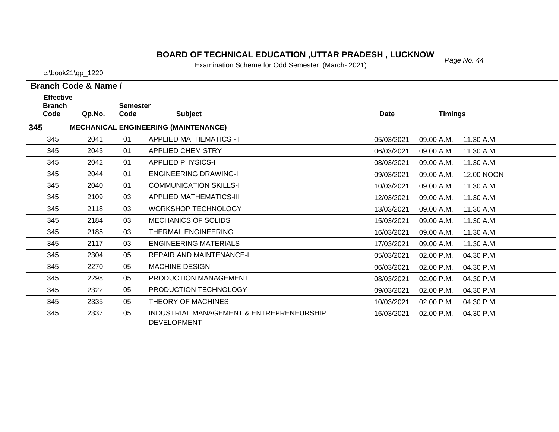#### **BOARD OF TECHNICAL EDUCATION ,UTTAR PRADESH , LUCKNOW** Page No. 44

Examination Scheme for Odd Semester (March- 2021)

5 2337 05 INDUSTRIAL MANAGEMENT & ENTREPRENEURSHIP 16/03/2021 02.00 P.M. 04.30 P.M.

c:\book21\qp\_1220

**Branch Code & Name /**

**Code Qp.No.**

**Semester**

2298 05 PRODUCTION MANAGEMENT

2322 05 PRODUCTION TECHNOLOGY

DEVELOPMENT

2335 05 THEORY OF MACHINES

**Branch** 

345

345

345

345

345

345

345

345

345

345

345

345

345

345

345

345

**345**

**Effective** 

|     |        | ,,,,,,,,,, |                                             |            |                            |  |
|-----|--------|------------|---------------------------------------------|------------|----------------------------|--|
| le. | Qp.No. | Code       | <b>Subject</b>                              | Date       | <b>Timings</b>             |  |
|     |        |            | <b>MECHANICAL ENGINEERING (MAINTENANCE)</b> |            |                            |  |
| 5.  | 2041   | 01         | <b>APPLIED MATHEMATICS - I</b>              | 05/03/2021 | 09.00 A.M.<br>11.30 A.M.   |  |
| 5   | 2043   | 01         | <b>APPLIED CHEMISTRY</b>                    | 06/03/2021 | 09.00 A.M.<br>11.30 A.M.   |  |
| 5   | 2042   | 01         | <b>APPLIED PHYSICS-I</b>                    | 08/03/2021 | 09.00 A.M.<br>11.30 A.M.   |  |
| 5   | 2044   | 01         | <b>ENGINEERING DRAWING-I</b>                | 09/03/2021 | 09.00 A.M.<br>12.00 NOON   |  |
| 5   | 2040   | 01         | <b>COMMUNICATION SKILLS-I</b>               | 10/03/2021 | 11.30 A.M.<br>09.00 A.M.   |  |
| 5   | 2109   | 03         | <b>APPLIED MATHEMATICS-III</b>              | 12/03/2021 | 09.00 A.M.<br>11.30 A.M.   |  |
| 5   | 2118   | 03         | <b>WORKSHOP TECHNOLOGY</b>                  | 13/03/2021 | 09.00 A.M.<br>11.30 A.M.   |  |
| 5   | 2184   | 03         | <b>MECHANICS OF SOLIDS</b>                  | 15/03/2021 | 11.30 A.M.<br>09.00 A.M.   |  |
| 5   | 2185   | 03         | THERMAL ENGINEERING                         | 16/03/2021 | 09.00 A.M.<br>11.30 A.M.   |  |
| 5   | 2117   | 03         | ENGINEERING MATERIALS                       | 17/03/2021 | 09.00 A.M.<br>11.30 A.M.   |  |
| 5   | 2304   | 05         | <b>REPAIR AND MAINTENANCE-I</b>             | 05/03/2021 | 04.30 P.M.<br>$02.00$ P.M. |  |
| 5   | 2270   | 05         | <b>MACHINE DESIGN</b>                       | 06/03/2021 | 02.00 P.M.<br>04.30 P.M.   |  |

08/03/2021 02.00 P.M.

09/03/2021 02.00 P.M.

10/03/2021 02.00 P.M.

04.30 P.M.

04.30 P.M.

04.30 P.M.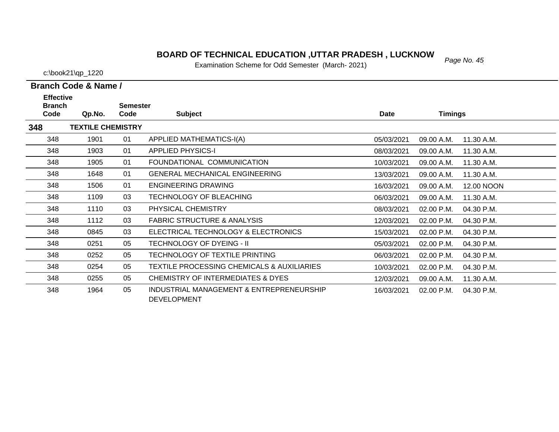# *Page No. 45* **BOARD OF TECHNICAL EDUCATION ,UTTAR PRADESH , LUCKNOW**

Examination Scheme for Odd Semester (March- 2021)

| Branch Code & Name / |  |
|----------------------|--|

| <b>Effective</b><br><b>Branch</b> |                          | <b>Semester</b> |                                                                |            |                |            |
|-----------------------------------|--------------------------|-----------------|----------------------------------------------------------------|------------|----------------|------------|
| Code                              | Qp.No.                   | Code            | <b>Subject</b>                                                 | Date       | <b>Timings</b> |            |
| 348                               | <b>TEXTILE CHEMISTRY</b> |                 |                                                                |            |                |            |
| 348                               | 1901                     | 01              | APPLIED MATHEMATICS-I(A)                                       | 05/03/2021 | 09.00 A.M.     | 11.30 A.M. |
| 348                               | 1903                     | 01              | <b>APPLIED PHYSICS-I</b>                                       | 08/03/2021 | 09.00 A.M.     | 11.30 A.M. |
| 348                               | 1905                     | 01              | FOUNDATIONAL COMMUNICATION                                     | 10/03/2021 | 09.00 A.M.     | 11.30 A.M. |
| 348                               | 1648                     | 01              | <b>GENERAL MECHANICAL ENGINEERING</b>                          | 13/03/2021 | 09.00 A.M.     | 11.30 A.M. |
| 348                               | 1506                     | 01              | <b>ENGINEERING DRAWING</b>                                     | 16/03/2021 | 09.00 A.M.     | 12.00 NOON |
| 348                               | 1109                     | 03              | TECHNOLOGY OF BLEACHING                                        | 06/03/2021 | 09.00 A.M.     | 11.30 A.M. |
| 348                               | 1110                     | 03              | PHYSICAL CHEMISTRY                                             | 08/03/2021 | 02.00 P.M.     | 04.30 P.M. |
| 348                               | 1112                     | 03              | <b>FABRIC STRUCTURE &amp; ANALYSIS</b>                         | 12/03/2021 | 02.00 P.M.     | 04.30 P.M. |
| 348                               | 0845                     | 03              | ELECTRICAL TECHNOLOGY & ELECTRONICS                            | 15/03/2021 | 02.00 P.M.     | 04.30 P.M. |
| 348                               | 0251                     | 05              | TECHNOLOGY OF DYEING - II                                      | 05/03/2021 | 02.00 P.M.     | 04.30 P.M. |
| 348                               | 0252                     | 05              | TECHNOLOGY OF TEXTILE PRINTING                                 | 06/03/2021 | 02.00 P.M.     | 04.30 P.M. |
| 348                               | 0254                     | 05              | <b>TEXTILE PROCESSING CHEMICALS &amp; AUXILIARIES</b>          | 10/03/2021 | 02.00 P.M.     | 04.30 P.M. |
| 348                               | 0255                     | 05              | <b>CHEMISTRY OF INTERMEDIATES &amp; DYES</b>                   | 12/03/2021 | 09.00 A.M.     | 11.30 A.M. |
| 348                               | 1964                     | 05              | INDUSTRIAL MANAGEMENT & ENTREPRENEURSHIP<br><b>DEVELOPMENT</b> | 16/03/2021 | 02.00 P.M.     | 04.30 P.M. |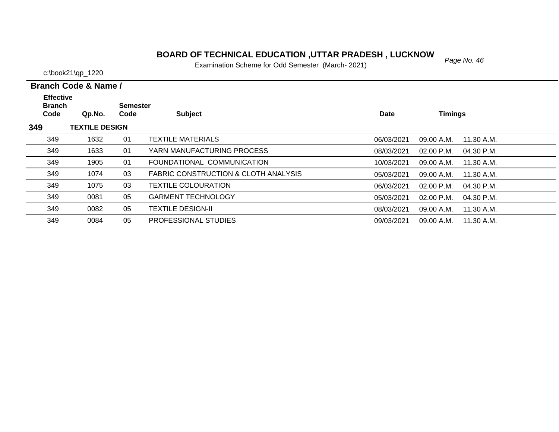# *Page No. 46* **BOARD OF TECHNICAL EDUCATION ,UTTAR PRADESH , LUCKNOW**

Examination Scheme for Odd Semester (March- 2021)

| Branch Code & Name / |  |
|----------------------|--|

| <b>Effective</b><br><b>Branch</b> |                       | <b>Semester</b> |                                                 |             |                |              |
|-----------------------------------|-----------------------|-----------------|-------------------------------------------------|-------------|----------------|--------------|
| Code                              | Qp.No.                | Code            | <b>Subject</b>                                  | <b>Date</b> | <b>Timings</b> |              |
| 349                               | <b>TEXTILE DESIGN</b> |                 |                                                 |             |                |              |
| 349                               | 1632                  | 01              | TEXTILE MATERIALS                               | 06/03/2021  | 09.00 A.M.     | 11.30 A.M.   |
| 349                               | 1633                  | 01              | YARN MANUFACTURING PROCESS                      | 08/03/2021  | $02.00$ P.M.   | 04.30 P.M.   |
| 349                               | 1905                  | 01              | FOUNDATIONAL COMMUNICATION                      | 10/03/2021  | 09.00 A.M.     | 11.30 A.M.   |
| 349                               | 1074                  | 03              | <b>FABRIC CONSTRUCTION &amp; CLOTH ANALYSIS</b> | 05/03/2021  | 09.00 A.M.     | 11.30 A.M.   |
| 349                               | 1075                  | 03              | TEXTILE COLOURATION                             | 06/03/2021  | $02.00$ P.M.   | $04.30$ P.M. |
| 349                               | 0081                  | 05              | <b>GARMENT TECHNOLOGY</b>                       | 05/03/2021  | $02.00$ P.M.   | $04.30$ P.M. |
| 349                               | 0082                  | 05              | TEXTILE DESIGN-II                               | 08/03/2021  | 09.00 A.M.     | 11.30 A.M.   |
| 349                               | 0084                  | 05              | PROFESSIONAL STUDIES                            | 09/03/2021  | 09.00 A.M.     | 11.30 A.M.   |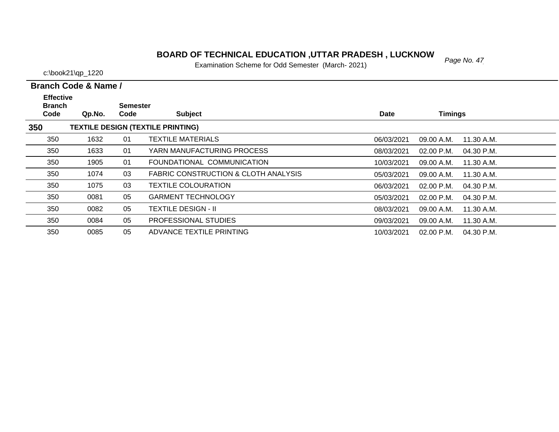### *Page No. 47* **BOARD OF TECHNICAL EDUCATION ,UTTAR PRADESH , LUCKNOW**

Examination Scheme for Odd Semester (March- 2021)

c:\book21\qp\_1220

| <b>Effective</b><br><b>Branch</b> |        | <b>Semester</b> |                                                 |            |                            |  |
|-----------------------------------|--------|-----------------|-------------------------------------------------|------------|----------------------------|--|
| Code                              | Qp.No. | Code            | <b>Subject</b>                                  | Date       | <b>Timings</b>             |  |
| 350                               |        |                 | <b>TEXTILE DESIGN (TEXTILE PRINTING)</b>        |            |                            |  |
| 350                               | 1632   | 01              | <b>TEXTILE MATERIALS</b>                        | 06/03/2021 | 09.00 A.M.<br>11.30 A.M.   |  |
| 350                               | 1633   | 01              | YARN MANUFACTURING PROCESS                      | 08/03/2021 | 02.00 P.M.<br>04.30 P.M.   |  |
| 350                               | 1905   | 01              | FOUNDATIONAL COMMUNICATION                      | 10/03/2021 | 09.00 A.M.<br>11.30 A.M.   |  |
| 350                               | 1074   | 03              | <b>FABRIC CONSTRUCTION &amp; CLOTH ANALYSIS</b> | 05/03/2021 | 09.00 A.M.<br>11.30 A.M.   |  |
| 350                               | 1075   | 03              | <b>TEXTILE COLOURATION</b>                      | 06/03/2021 | $02.00$ P.M.<br>04.30 P.M. |  |
| 350                               | 0081   | 05              | <b>GARMENT TECHNOLOGY</b>                       | 05/03/2021 | 02.00 P.M.<br>04.30 P.M.   |  |
| 350                               | 0082   | 05              | <b>TEXTILE DESIGN - II</b>                      | 08/03/2021 | 09.00 A.M.<br>11.30 A.M.   |  |
| 350                               | 0084   | 05              | <b>PROFESSIONAL STUDIES</b>                     | 09/03/2021 | 11.30 A.M.<br>09.00 A.M.   |  |
| 350                               | 0085   | 05              | ADVANCE TEXTILE PRINTING                        | 10/03/2021 | 02.00 P.M.<br>04.30 P.M.   |  |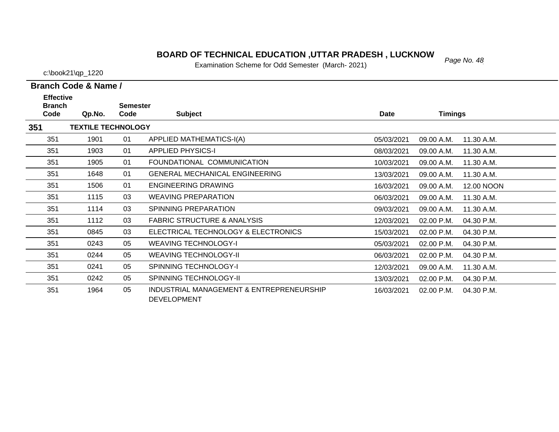# *Page No. 48* **BOARD OF TECHNICAL EDUCATION ,UTTAR PRADESH , LUCKNOW**

Examination Scheme for Odd Semester (March- 2021)

|  | Branch Code & Name / |
|--|----------------------|

| <b>Effective</b>      |                           | <b>Semester</b> |                                                         |            |                |            |
|-----------------------|---------------------------|-----------------|---------------------------------------------------------|------------|----------------|------------|
| <b>Branch</b><br>Code | Qp.No.                    | Code            | <b>Subject</b>                                          | Date       | <b>Timings</b> |            |
| 351                   | <b>TEXTILE TECHNOLOGY</b> |                 |                                                         |            |                |            |
| 351                   | 1901                      | 01              | <b>APPLIED MATHEMATICS-I(A)</b>                         | 05/03/2021 | 09.00 A.M.     | 11.30 A.M. |
| 351                   | 1903                      | 01              | <b>APPLIED PHYSICS-I</b>                                | 08/03/2021 | 09.00 A.M.     | 11.30 A.M. |
| 351                   | 1905                      | 01              | FOUNDATIONAL COMMUNICATION                              | 10/03/2021 | 09.00 A.M.     | 11.30 A.M. |
| 351                   | 1648                      | 01              | <b>GENERAL MECHANICAL ENGINEERING</b>                   | 13/03/2021 | 09.00 A.M.     | 11.30 A.M. |
| 351                   | 1506                      | 01              | <b>ENGINEERING DRAWING</b>                              | 16/03/2021 | 09.00 A.M.     | 12.00 NOON |
| 351                   | 1115                      | 03              | <b>WEAVING PREPARATION</b>                              | 06/03/2021 | 09.00 A.M.     | 11.30 A.M. |
| 351                   | 1114                      | 03              | SPINNING PREPARATION                                    | 09/03/2021 | 09.00 A.M.     | 11.30 A.M. |
| 351                   | 1112                      | 03              | <b>FABRIC STRUCTURE &amp; ANALYSIS</b>                  | 12/03/2021 | 02.00 P.M.     | 04.30 P.M. |
| 351                   | 0845                      | 03              | ELECTRICAL TECHNOLOGY & ELECTRONICS                     | 15/03/2021 | 02.00 P.M.     | 04.30 P.M. |
| 351                   | 0243                      | 05              | <b>WEAVING TECHNOLOGY-I</b>                             | 05/03/2021 | 02.00 P.M.     | 04.30 P.M. |
| 351                   | 0244                      | 05              | <b>WEAVING TECHNOLOGY-II</b>                            | 06/03/2021 | 02.00 P.M.     | 04.30 P.M. |
| 351                   | 0241                      | 05              | <b>SPINNING TECHNOLOGY-I</b>                            | 12/03/2021 | 09.00 A.M.     | 11.30 A.M. |
| 351                   | 0242                      | 05              | <b>SPINNING TECHNOLOGY-II</b>                           | 13/03/2021 | 02.00 P.M.     | 04.30 P.M. |
| 351                   | 1964                      | 05              | INDUSTRIAL MANAGEMENT & ENTREPRENEURSHIP<br>DEVELOPMENT | 16/03/2021 | 02.00 P.M.     | 04.30 P.M. |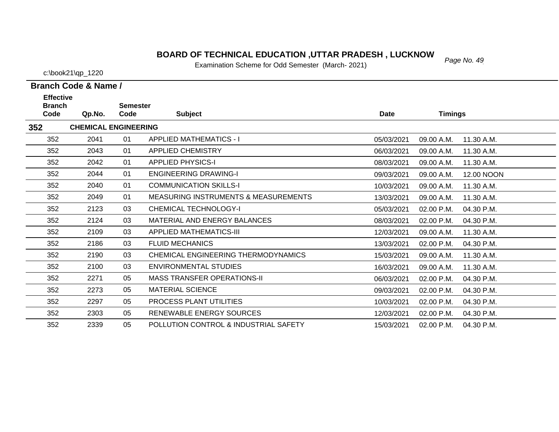#### *Page No. 49* **BOARD OF TECHNICAL EDUCATION ,UTTAR PRADESH , LUCKNOW**

Examination Scheme for Odd Semester (March- 2021)

c:\book21\qp\_1220

**Effective** 

| <b>Branch</b> |                             | <b>Semester</b> |                                                 |             |                |            |
|---------------|-----------------------------|-----------------|-------------------------------------------------|-------------|----------------|------------|
| Code          | Qp.No.                      | Code            | <b>Subject</b>                                  | <b>Date</b> | <b>Timings</b> |            |
| 352           | <b>CHEMICAL ENGINEERING</b> |                 |                                                 |             |                |            |
| 352           | 2041                        | 01              | <b>APPLIED MATHEMATICS - I</b>                  | 05/03/2021  | 09.00 A.M.     | 11.30 A.M. |
| 352           | 2043                        | 01              | <b>APPLIED CHEMISTRY</b>                        | 06/03/2021  | 09.00 A.M.     | 11.30 A.M. |
| 352           | 2042                        | 01              | <b>APPLIED PHYSICS-I</b>                        | 08/03/2021  | 09.00 A.M.     | 11.30 A.M. |
| 352           | 2044                        | 01              | <b>ENGINEERING DRAWING-I</b>                    | 09/03/2021  | 09.00 A.M.     | 12.00 NOON |
| 352           | 2040                        | 01              | <b>COMMUNICATION SKILLS-I</b>                   | 10/03/2021  | 09.00 A.M.     | 11.30 A.M. |
| 352           | 2049                        | 01              | <b>MEASURING INSTRUMENTS &amp; MEASUREMENTS</b> | 13/03/2021  | 09.00 A.M.     | 11.30 A.M. |
| 352           | 2123                        | 03              | <b>CHEMICAL TECHNOLOGY-I</b>                    | 05/03/2021  | 02.00 P.M.     | 04.30 P.M. |
| 352           | 2124                        | 03              | MATERIAL AND ENERGY BALANCES                    | 08/03/2021  | 02.00 P.M.     | 04.30 P.M. |
| 352           | 2109                        | 03              | <b>APPLIED MATHEMATICS-III</b>                  | 12/03/2021  | 09.00 A.M.     | 11.30 A.M. |
| 352           | 2186                        | 03              | <b>FLUID MECHANICS</b>                          | 13/03/2021  | 02.00 P.M.     | 04.30 P.M. |
| 352           | 2190                        | 03              | CHEMICAL ENGINEERING THERMODYNAMICS             | 15/03/2021  | 09.00 A.M.     | 11.30 A.M. |
| 352           | 2100                        | 03              | <b>ENVIRONMENTAL STUDIES</b>                    | 16/03/2021  | 09.00 A.M.     | 11.30 A.M. |
| 352           | 2271                        | 05              | <b>MASS TRANSFER OPERATIONS-II</b>              | 06/03/2021  | 02.00 P.M.     | 04.30 P.M. |
| 352           | 2273                        | 05              | <b>MATERIAL SCIENCE</b>                         | 09/03/2021  | 02.00 P.M.     | 04.30 P.M. |
| 352           | 2297                        | 05              | PROCESS PLANT UTILITIES                         | 10/03/2021  | 02.00 P.M.     | 04.30 P.M. |
| 352           | 2303                        | 05              | RENEWABLE ENERGY SOURCES                        | 12/03/2021  | 02.00 P.M.     | 04.30 P.M. |
| 352           | 2339                        | 05              | POLLUTION CONTROL & INDUSTRIAL SAFETY           | 15/03/2021  | $02.00$ P.M.   | 04.30 P.M. |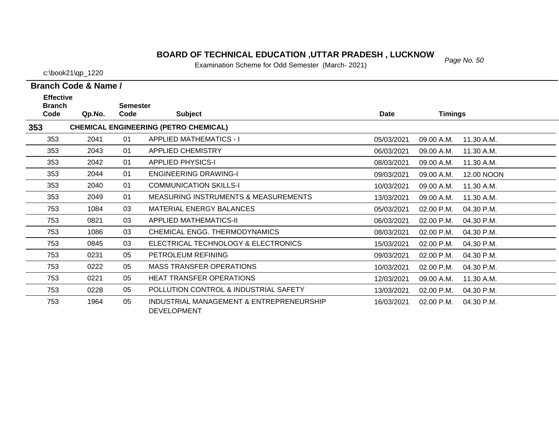# **BOARD OF TECHNICAL EDUCATION ,UTTAR PRADESH , LUCKNOW**<br>Examination Sabarna for Odd Samostar (March. 2021)

Examination Scheme for Odd Semester (March- 2021)

c:\book21\qp\_1220

| <b>Effective</b><br><b>Branch</b> |        | <b>Semester</b> |                                                                |            |            |            |
|-----------------------------------|--------|-----------------|----------------------------------------------------------------|------------|------------|------------|
| Code                              | Qp.No. | Code            | <b>Subject</b>                                                 | Date       | Timings    |            |
| 353                               |        |                 | <b>CHEMICAL ENGINEERING (PETRO CHEMICAL)</b>                   |            |            |            |
| 353                               | 2041   | 01              | <b>APPLIED MATHEMATICS - I</b>                                 | 05/03/2021 | 09.00 A.M. | 11.30 A.M. |
| 353                               | 2043   | 01              | APPLIED CHEMISTRY                                              | 06/03/2021 | 09.00 A.M. | 11.30 A.M. |
| 353                               | 2042   | 01              | <b>APPLIED PHYSICS-I</b>                                       | 08/03/2021 | 09.00 A.M. | 11.30 A.M. |
| 353                               | 2044   | 01              | <b>ENGINEERING DRAWING-I</b>                                   | 09/03/2021 | 09.00 A.M. | 12.00 NOON |
| 353                               | 2040   | 01              | <b>COMMUNICATION SKILLS-I</b>                                  | 10/03/2021 | 09.00 A.M. | 11.30 A.M. |
| 353                               | 2049   | 01              | <b>MEASURING INSTRUMENTS &amp; MEASUREMENTS</b>                | 13/03/2021 | 09.00 A.M. | 11.30 A.M. |
| 753                               | 1084   | 03              | <b>MATERIAL ENERGY BALANCES</b>                                | 05/03/2021 | 02.00 P.M. | 04.30 P.M. |
| 753                               | 0821   | 03              | <b>APPLIED MATHEMATICS-II</b>                                  | 06/03/2021 | 02.00 P.M. | 04.30 P.M. |
| 753                               | 1086   | 03              | CHEMICAL ENGG. THERMODYNAMICS                                  | 08/03/2021 | 02.00 P.M. | 04.30 P.M. |
| 753                               | 0845   | 03              | ELECTRICAL TECHNOLOGY & ELECTRONICS                            | 15/03/2021 | 02.00 P.M. | 04.30 P.M. |
| 753                               | 0231   | 05              | PETROLEUM REFINING                                             | 09/03/2021 | 02.00 P.M. | 04.30 P.M. |
| 753                               | 0222   | 05              | <b>MASS TRANSFER OPERATIONS</b>                                | 10/03/2021 | 02.00 P.M. | 04.30 P.M. |
| 753                               | 0221   | 05              | <b>HEAT TRANSFER OPERATIONS</b>                                | 12/03/2021 | 09.00 A.M. | 11.30 A.M. |
| 753                               | 0228   | 05              | POLLUTION CONTROL & INDUSTRIAL SAFETY                          | 13/03/2021 | 02.00 P.M. | 04.30 P.M. |
| 753                               | 1964   | 05              | INDUSTRIAL MANAGEMENT & ENTREPRENEURSHIP<br><b>DEVELOPMENT</b> | 16/03/2021 | 02.00 P.M. | 04.30 P.M. |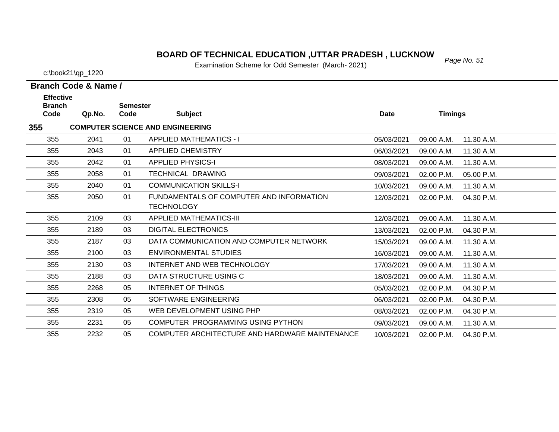### *Page No. 51* **BOARD OF TECHNICAL EDUCATION ,UTTAR PRADESH , LUCKNOW**

Examination Scheme for Odd Semester (March- 2021)

c:\book21\qp\_1220

| <b>Effective</b><br><b>Branch</b><br>Code | Qp.No. | <b>Semester</b><br>Code | <b>Subject</b>                                                | <b>Date</b> | <b>Timings</b> |            |
|-------------------------------------------|--------|-------------------------|---------------------------------------------------------------|-------------|----------------|------------|
| 355                                       |        |                         | <b>COMPUTER SCIENCE AND ENGINEERING</b>                       |             |                |            |
| 355                                       | 2041   | 01                      | <b>APPLIED MATHEMATICS - I</b>                                | 05/03/2021  | 09.00 A.M.     | 11.30 A.M. |
| 355                                       | 2043   | 01                      | <b>APPLIED CHEMISTRY</b>                                      | 06/03/2021  | 09.00 A.M.     | 11.30 A.M. |
| 355                                       | 2042   | 01                      | <b>APPLIED PHYSICS-I</b>                                      | 08/03/2021  | 09.00 A.M.     | 11.30 A.M. |
| 355                                       | 2058   | 01                      | <b>TECHNICAL DRAWING</b>                                      | 09/03/2021  | 02.00 P.M.     | 05.00 P.M. |
| 355                                       | 2040   | 01                      | <b>COMMUNICATION SKILLS-I</b>                                 | 10/03/2021  | 09.00 A.M.     | 11.30 A.M. |
| 355                                       | 2050   | 01                      | FUNDAMENTALS OF COMPUTER AND INFORMATION<br><b>TECHNOLOGY</b> | 12/03/2021  | 02.00 P.M.     | 04.30 P.M. |
| 355                                       | 2109   | 03                      | <b>APPLIED MATHEMATICS-III</b>                                | 12/03/2021  | 09.00 A.M.     | 11.30 A.M. |
| 355                                       | 2189   | 03                      | <b>DIGITAL ELECTRONICS</b>                                    | 13/03/2021  | 02.00 P.M.     | 04.30 P.M. |
| 355                                       | 2187   | 03                      | DATA COMMUNICATION AND COMPUTER NETWORK                       | 15/03/2021  | 09.00 A.M.     | 11.30 A.M. |
| 355                                       | 2100   | 03                      | ENVIRONMENTAL STUDIES                                         | 16/03/2021  | 09.00 A.M.     | 11.30 A.M. |
| 355                                       | 2130   | 03                      | INTERNET AND WEB TECHNOLOGY                                   | 17/03/2021  | 09.00 A.M.     | 11.30 A.M. |
| 355                                       | 2188   | 03                      | DATA STRUCTURE USING C                                        | 18/03/2021  | 09.00 A.M.     | 11.30 A.M. |
| 355                                       | 2268   | 05                      | <b>INTERNET OF THINGS</b>                                     | 05/03/2021  | 02.00 P.M.     | 04.30 P.M. |
| 355                                       | 2308   | 05                      | SOFTWARE ENGINEERING                                          | 06/03/2021  | 02.00 P.M.     | 04.30 P.M. |
| 355                                       | 2319   | 05                      | WEB DEVELOPMENT USING PHP                                     | 08/03/2021  | 02.00 P.M.     | 04.30 P.M. |
| 355                                       | 2231   | 05                      | COMPUTER PROGRAMMING USING PYTHON                             | 09/03/2021  | 09.00 A.M.     | 11.30 A.M. |
| 355                                       | 2232   | 05                      | COMPUTER ARCHITECTURE AND HARDWARE MAINTENANCE                | 10/03/2021  | $02.00$ P.M.   | 04.30 P.M. |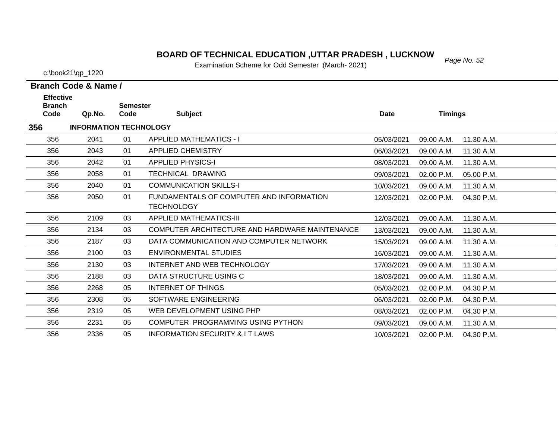#### *Page No. 52* **BOARD OF TECHNICAL EDUCATION ,UTTAR PRADESH , LUCKNOW**

Examination Scheme for Odd Semester (March- 2021)

c:\book21\qp\_1220

**Effective** 

356

356

**Branch Code & Name /**

| <b>Branch</b> |                               | <b>Semester</b> |                                                               |            |                |            |  |
|---------------|-------------------------------|-----------------|---------------------------------------------------------------|------------|----------------|------------|--|
| Code          | Qp.No.                        | Code            | <b>Subject</b>                                                | Date       | <b>Timings</b> |            |  |
| 356           | <b>INFORMATION TECHNOLOGY</b> |                 |                                                               |            |                |            |  |
| 356           | 2041                          | 01              | <b>APPLIED MATHEMATICS - I</b>                                | 05/03/2021 | 09.00 A.M.     | 11.30 A.M. |  |
| 356           | 2043                          | 01              | <b>APPLIED CHEMISTRY</b>                                      | 06/03/2021 | 09.00 A.M.     | 11.30 A.M. |  |
| 356           | 2042                          | 01              | <b>APPLIED PHYSICS-I</b>                                      | 08/03/2021 | 09.00 A.M.     | 11.30 A.M. |  |
| 356           | 2058                          | 01              | <b>TECHNICAL DRAWING</b>                                      | 09/03/2021 | 02.00 P.M.     | 05.00 P.M. |  |
| 356           | 2040                          | 01              | <b>COMMUNICATION SKILLS-I</b>                                 | 10/03/2021 | 09.00 A.M.     | 11.30 A.M. |  |
| 356           | 2050                          | 01              | FUNDAMENTALS OF COMPUTER AND INFORMATION<br><b>TECHNOLOGY</b> | 12/03/2021 | 02.00 P.M.     | 04.30 P.M. |  |
| 356           | 2109                          | 03              | <b>APPLIED MATHEMATICS-III</b>                                | 12/03/2021 | 09.00 A.M.     | 11.30 A.M. |  |
| 356           | 2134                          | 03              | COMPUTER ARCHITECTURE AND HARDWARE MAINTENANCE                | 13/03/2021 | 09.00 A.M.     | 11.30 A.M. |  |
| 356           | 2187                          | 03              | DATA COMMUNICATION AND COMPUTER NETWORK                       | 15/03/2021 | 09.00 A.M.     | 11.30 A.M. |  |
| 356           | 2100                          | 03              | <b>ENVIRONMENTAL STUDIES</b>                                  | 16/03/2021 | 09.00 A.M.     | 11.30 A.M. |  |
| 356           | 2130                          | 03              | INTERNET AND WEB TECHNOLOGY                                   | 17/03/2021 | 09.00 A.M.     | 11.30 A.M. |  |
| 356           | 2188                          | 03              | DATA STRUCTURE USING C                                        | 18/03/2021 | 09.00 A.M.     | 11.30 A.M. |  |
| 356           | 2268                          | 05              | INTERNET OF THINGS                                            | 05/03/2021 | 02.00 P.M.     | 04.30 P.M. |  |
| 356           | 2308                          | 05              | SOFTWARE ENGINEERING                                          | 06/03/2021 | 02.00 P.M.     | 04.30 P.M. |  |
| 356           | 2319                          | 05              | WEB DEVELOPMENT USING PHP                                     | 08/03/2021 | $02.00$ P.M.   | 04.30 P.M. |  |

2231 05 COMPUTER PROGRAMMING USING PYTHON

2336 05 INFORMATION SECURITY & I T LAWS

09/03/2021 09.00 A.M.

10/03/2021 02.00 P.M. 04.30 P.M.

11.30 A.M.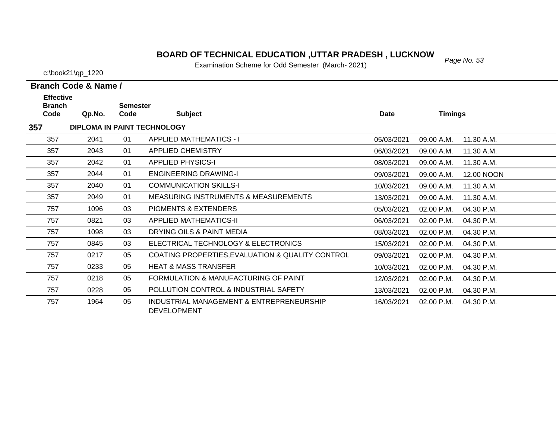# *Page No. 53* **BOARD OF TECHNICAL EDUCATION ,UTTAR PRADESH , LUCKNOW**

Examination Scheme for Odd Semester (March- 2021)

c:\book21\qp\_1220

| <b>Effective</b><br><b>Branch</b> |        | <b>Semester</b> |                                                                |             |                |            |
|-----------------------------------|--------|-----------------|----------------------------------------------------------------|-------------|----------------|------------|
| Code                              | Qp.No. | Code            | <b>Subject</b>                                                 | <b>Date</b> | <b>Timings</b> |            |
| 357                               |        |                 | <b>DIPLOMA IN PAINT TECHNOLOGY</b>                             |             |                |            |
| 357                               | 2041   | 01              | <b>APPLIED MATHEMATICS - I</b>                                 | 05/03/2021  | 09.00 A.M.     | 11.30 A.M. |
| 357                               | 2043   | 01              | <b>APPLIED CHEMISTRY</b>                                       | 06/03/2021  | 09.00 A.M.     | 11.30 A.M. |
| 357                               | 2042   | 01              | <b>APPLIED PHYSICS-I</b>                                       | 08/03/2021  | 09.00 A.M.     | 11.30 A.M. |
| 357                               | 2044   | 01              | <b>ENGINEERING DRAWING-I</b>                                   | 09/03/2021  | 09.00 A.M.     | 12.00 NOON |
| 357                               | 2040   | 01              | <b>COMMUNICATION SKILLS-I</b>                                  | 10/03/2021  | 09.00 A.M.     | 11.30 A.M. |
| 357                               | 2049   | 01              | <b>MEASURING INSTRUMENTS &amp; MEASUREMENTS</b>                | 13/03/2021  | 09.00 A.M.     | 11.30 A.M. |
| 757                               | 1096   | 03              | <b>PIGMENTS &amp; EXTENDERS</b>                                | 05/03/2021  | 02.00 P.M.     | 04.30 P.M. |
| 757                               | 0821   | 03              | <b>APPLIED MATHEMATICS-II</b>                                  | 06/03/2021  | 02.00 P.M.     | 04.30 P.M. |
| 757                               | 1098   | 03              | DRYING OILS & PAINT MEDIA                                      | 08/03/2021  | 02.00 P.M.     | 04.30 P.M. |
| 757                               | 0845   | 03              | ELECTRICAL TECHNOLOGY & ELECTRONICS                            | 15/03/2021  | 02.00 P.M.     | 04.30 P.M. |
| 757                               | 0217   | 05              | COATING PROPERTIES, EVALUATION & QUALITY CONTROL               | 09/03/2021  | 02.00 P.M.     | 04.30 P.M. |
| 757                               | 0233   | 05              | <b>HEAT &amp; MASS TRANSFER</b>                                | 10/03/2021  | 02.00 P.M.     | 04.30 P.M. |
| 757                               | 0218   | 05              | FORMULATION & MANUFACTURING OF PAINT                           | 12/03/2021  | 02.00 P.M.     | 04.30 P.M. |
| 757                               | 0228   | 05              | POLLUTION CONTROL & INDUSTRIAL SAFETY                          | 13/03/2021  | 02.00 P.M.     | 04.30 P.M. |
| 757                               | 1964   | 05              | INDUSTRIAL MANAGEMENT & ENTREPRENEURSHIP<br><b>DEVELOPMENT</b> | 16/03/2021  | 02.00 P.M.     | 04.30 P.M. |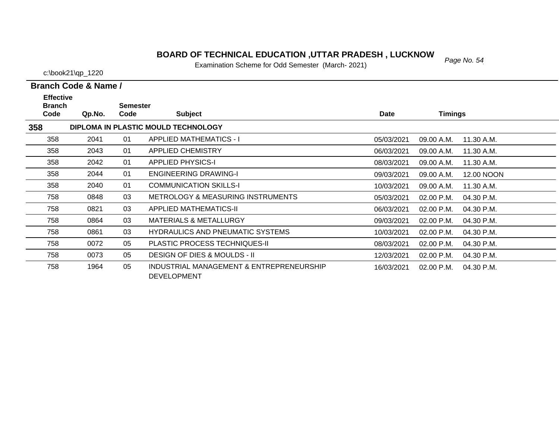#### *Page No. 54* **BOARD OF TECHNICAL EDUCATION ,UTTAR PRADESH , LUCKNOW**

Examination Scheme for Odd Semester (March- 2021)

c:\book21\qp\_1220

| <b>Effective</b><br><b>Branch</b> |        | <b>Semester</b> |                                                                |             |                |            |
|-----------------------------------|--------|-----------------|----------------------------------------------------------------|-------------|----------------|------------|
| Code                              | Qp.No. | Code            | <b>Subject</b>                                                 | <b>Date</b> | <b>Timings</b> |            |
| 358                               |        |                 | DIPLOMA IN PLASTIC MOULD TECHNOLOGY                            |             |                |            |
| 358                               | 2041   | 01              | <b>APPLIED MATHEMATICS - I</b>                                 | 05/03/2021  | 09.00 A.M.     | 11.30 A.M. |
| 358                               | 2043   | 01              | <b>APPLIED CHEMISTRY</b>                                       | 06/03/2021  | 09.00 A.M.     | 11.30 A.M. |
| 358                               | 2042   | 01              | <b>APPLIED PHYSICS-I</b>                                       | 08/03/2021  | 09.00 A.M.     | 11.30 A.M. |
| 358                               | 2044   | 01              | <b>ENGINEERING DRAWING-I</b>                                   | 09/03/2021  | 09.00 A.M.     | 12.00 NOON |
| 358                               | 2040   | 01              | <b>COMMUNICATION SKILLS-I</b>                                  | 10/03/2021  | 09.00 A.M.     | 11.30 A.M. |
| 758                               | 0848   | 03              | <b>METROLOGY &amp; MEASURING INSTRUMENTS</b>                   | 05/03/2021  | 02.00 P.M.     | 04.30 P.M. |
| 758                               | 0821   | 03              | APPLIED MATHEMATICS-II                                         | 06/03/2021  | 02.00 P.M.     | 04.30 P.M. |
| 758                               | 0864   | 03              | <b>MATERIALS &amp; METALLURGY</b>                              | 09/03/2021  | 02.00 P.M.     | 04.30 P.M. |
| 758                               | 0861   | 03              | <b>HYDRAULICS AND PNEUMATIC SYSTEMS</b>                        | 10/03/2021  | 02.00 P.M.     | 04.30 P.M. |
| 758                               | 0072   | 05              | <b>PLASTIC PROCESS TECHNIQUES-II</b>                           | 08/03/2021  | 02.00 P.M.     | 04.30 P.M. |
| 758                               | 0073   | 05              | <b>DESIGN OF DIES &amp; MOULDS - II</b>                        | 12/03/2021  | 02.00 P.M.     | 04.30 P.M. |
| 758                               | 1964   | 05              | INDUSTRIAL MANAGEMENT & ENTREPRENEURSHIP<br><b>DEVELOPMENT</b> | 16/03/2021  | 02.00 P.M.     | 04.30 P.M. |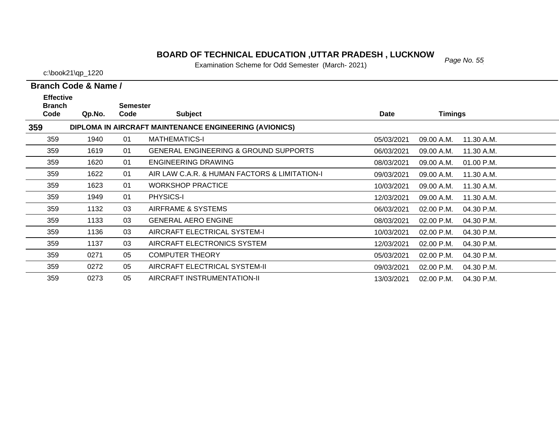### *Page No. 55* **BOARD OF TECHNICAL EDUCATION ,UTTAR PRADESH , LUCKNOW**

Examination Scheme for Odd Semester (March- 2021)

c:\book21\qp\_1220

| <b>Effective</b>      |        |                         |                                                        |             |                |            |
|-----------------------|--------|-------------------------|--------------------------------------------------------|-------------|----------------|------------|
| <b>Branch</b><br>Code | Qp.No. | <b>Semester</b><br>Code | <b>Subject</b>                                         | <b>Date</b> | <b>Timings</b> |            |
| 359                   |        |                         | DIPLOMA IN AIRCRAFT MAINTENANCE ENGINEERING (AVIONICS) |             |                |            |
|                       |        |                         |                                                        |             |                |            |
| 359                   | 1940   | 01                      | <b>MATHEMATICS-I</b>                                   | 05/03/2021  | 09.00 A.M.     | 11.30 A.M. |
| 359                   | 1619   | 01                      | <b>GENERAL ENGINEERING &amp; GROUND SUPPORTS</b>       | 06/03/2021  | 09.00 A.M.     | 11.30 A.M. |
| 359                   | 1620   | 01                      | <b>ENGINEERING DRAWING</b>                             | 08/03/2021  | 09.00 A.M.     | 01.00 P.M. |
| 359                   | 1622   | 01                      | AIR LAW C.A.R. & HUMAN FACTORS & LIMITATION-I          | 09/03/2021  | 09.00 A.M.     | 11.30 A.M. |
| 359                   | 1623   | 01                      | <b>WORKSHOP PRACTICE</b>                               | 10/03/2021  | 09.00 A.M.     | 11.30 A.M. |
| 359                   | 1949   | 01                      | <b>PHYSICS-I</b>                                       | 12/03/2021  | 09.00 A.M.     | 11.30 A.M. |
| 359                   | 1132   | 03                      | AIRFRAME & SYSTEMS                                     | 06/03/2021  | 02.00 P.M.     | 04.30 P.M. |
| 359                   | 1133   | 03                      | <b>GENERAL AERO ENGINE</b>                             | 08/03/2021  | 02.00 P.M.     | 04.30 P.M. |
| 359                   | 1136   | 03                      | AIRCRAFT ELECTRICAL SYSTEM-I                           | 10/03/2021  | 02.00 P.M.     | 04.30 P.M. |
| 359                   | 1137   | 03                      | AIRCRAFT ELECTRONICS SYSTEM                            | 12/03/2021  | 02.00 P.M.     | 04.30 P.M. |
| 359                   | 0271   | 05                      | <b>COMPUTER THEORY</b>                                 | 05/03/2021  | $02.00$ P.M.   | 04.30 P.M. |
| 359                   | 0272   | 05                      | AIRCRAFT ELECTRICAL SYSTEM-II                          | 09/03/2021  | 02.00 P.M.     | 04.30 P.M. |
| 359                   | 0273   | 05                      | AIRCRAFT INSTRUMENTATION-II                            | 13/03/2021  | 02.00 P.M.     | 04.30 P.M. |
|                       |        |                         |                                                        |             |                |            |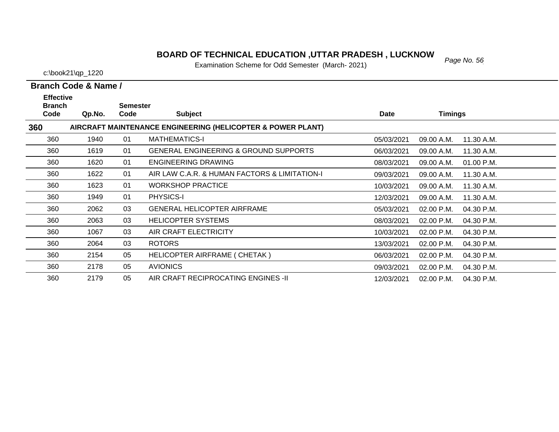### *Page No. 56* **BOARD OF TECHNICAL EDUCATION ,UTTAR PRADESH , LUCKNOW**

Examination Scheme for Odd Semester (March- 2021)

c:\book21\qp\_1220

| <b>Effective</b>      |        |                         |                                                             |            |                          |  |
|-----------------------|--------|-------------------------|-------------------------------------------------------------|------------|--------------------------|--|
| <b>Branch</b><br>Code | Qp.No. | <b>Semester</b><br>Code | <b>Subject</b>                                              | Date       | <b>Timings</b>           |  |
| 360                   |        |                         | AIRCRAFT MAINTENANCE ENGINEERING (HELICOPTER & POWER PLANT) |            |                          |  |
| 360                   | 1940   | 01                      | <b>MATHEMATICS-I</b>                                        | 05/03/2021 | 11.30 A.M.<br>09.00 A.M. |  |
| 360                   | 1619   | 01                      | <b>GENERAL ENGINEERING &amp; GROUND SUPPORTS</b>            | 06/03/2021 | 09.00 A.M.<br>11.30 A.M. |  |
| 360                   | 1620   | 01                      | <b>ENGINEERING DRAWING</b>                                  | 08/03/2021 | 01.00 P.M.<br>09.00 A.M. |  |
| 360                   | 1622   | 01                      | AIR LAW C.A.R. & HUMAN FACTORS & LIMITATION-I               | 09/03/2021 | 09.00 A.M.<br>11.30 A.M. |  |
| 360                   | 1623   | 01                      | <b>WORKSHOP PRACTICE</b>                                    | 10/03/2021 | 09.00 A.M.<br>11.30 A.M. |  |
| 360                   | 1949   | 01                      | PHYSICS-I                                                   | 12/03/2021 | 09.00 A.M.<br>11.30 A.M. |  |
| 360                   | 2062   | 03                      | <b>GENERAL HELICOPTER AIRFRAME</b>                          | 05/03/2021 | 02.00 P.M.<br>04.30 P.M. |  |
| 360                   | 2063   | 03                      | <b>HELICOPTER SYSTEMS</b>                                   | 08/03/2021 | 02.00 P.M.<br>04.30 P.M. |  |
| 360                   | 1067   | 03                      | AIR CRAFT ELECTRICITY                                       | 10/03/2021 | 02.00 P.M.<br>04.30 P.M. |  |
| 360                   | 2064   | 03                      | <b>ROTORS</b>                                               | 13/03/2021 | 02.00 P.M.<br>04.30 P.M. |  |
| 360                   | 2154   | 05                      | HELICOPTER AIRFRAME ( CHETAK )                              | 06/03/2021 | 02.00 P.M.<br>04.30 P.M. |  |
| 360                   | 2178   | 05                      | <b>AVIONICS</b>                                             | 09/03/2021 | 02.00 P.M.<br>04.30 P.M. |  |
| 360                   | 2179   | 05                      | AIR CRAFT RECIPROCATING ENGINES -II                         | 12/03/2021 | 04.30 P.M.<br>02.00 P.M. |  |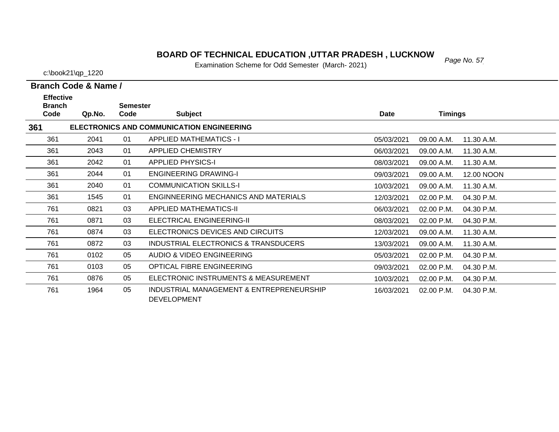# *Page No. 57* **BOARD OF TECHNICAL EDUCATION ,UTTAR PRADESH , LUCKNOW**

Examination Scheme for Odd Semester (March- 2021)

| <b>Branch Code &amp; Name /</b> |  |  |
|---------------------------------|--|--|

| <b>Effective</b><br><b>Branch</b> |        | <b>Semester</b> |                                                                |            |                |            |
|-----------------------------------|--------|-----------------|----------------------------------------------------------------|------------|----------------|------------|
| Code                              | Qp.No. | Code            | <b>Subject</b>                                                 | Date       | <b>Timings</b> |            |
| 361                               |        |                 | ELECTRONICS AND COMMUNICATION ENGINEERING                      |            |                |            |
| 361                               | 2041   | 01              | <b>APPLIED MATHEMATICS - I</b>                                 | 05/03/2021 | 09.00 A.M.     | 11.30 A.M. |
| 361                               | 2043   | 01              | <b>APPLIED CHEMISTRY</b>                                       | 06/03/2021 | 09.00 A.M.     | 11.30 A.M. |
| 361                               | 2042   | 01              | <b>APPLIED PHYSICS-I</b>                                       | 08/03/2021 | 09.00 A.M.     | 11.30 A.M. |
| 361                               | 2044   | 01              | <b>ENGINEERING DRAWING-I</b>                                   | 09/03/2021 | 09.00 A.M.     | 12.00 NOON |
| 361                               | 2040   | 01              | <b>COMMUNICATION SKILLS-I</b>                                  | 10/03/2021 | 09.00 A.M.     | 11.30 A.M. |
| 361                               | 1545   | 01              | ENGINNEERING MECHANICS AND MATERIALS                           | 12/03/2021 | 02.00 P.M.     | 04.30 P.M. |
| 761                               | 0821   | 03              | <b>APPLIED MATHEMATICS-II</b>                                  | 06/03/2021 | 02.00 P.M.     | 04.30 P.M. |
| 761                               | 0871   | 03              | ELECTRICAL ENGINEERING-II                                      | 08/03/2021 | 02.00 P.M.     | 04.30 P.M. |
| 761                               | 0874   | 03              | ELECTRONICS DEVICES AND CIRCUITS                               | 12/03/2021 | 09.00 A.M.     | 11.30 A.M. |
| 761                               | 0872   | 03              | INDUSTRIAL ELECTRONICS & TRANSDUCERS                           | 13/03/2021 | 09.00 A.M.     | 11.30 A.M. |
| 761                               | 0102   | 05              | AUDIO & VIDEO ENGINEERING                                      | 05/03/2021 | 02.00 P.M.     | 04.30 P.M. |
| 761                               | 0103   | 05              | OPTICAL FIBRE ENGINEERING                                      | 09/03/2021 | 02.00 P.M.     | 04.30 P.M. |
| 761                               | 0876   | 05              | ELECTRONIC INSTRUMENTS & MEASUREMENT                           | 10/03/2021 | 02.00 P.M.     | 04.30 P.M. |
| 761                               | 1964   | 05              | INDUSTRIAL MANAGEMENT & ENTREPRENEURSHIP<br><b>DEVELOPMENT</b> | 16/03/2021 | 02.00 P.M.     | 04.30 P.M. |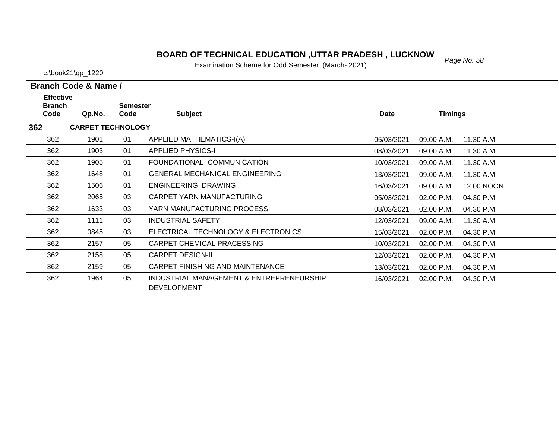# *Page No. 58* **BOARD OF TECHNICAL EDUCATION ,UTTAR PRADESH , LUCKNOW**

Examination Scheme for Odd Semester (March- 2021)

|  |  | _______ | ---- |                      |  |
|--|--|---------|------|----------------------|--|
|  |  |         |      | Branch Code & Name / |  |

| <b>Effective</b>      |                          |                         |                                                                |            |                |            |
|-----------------------|--------------------------|-------------------------|----------------------------------------------------------------|------------|----------------|------------|
| <b>Branch</b><br>Code | Qp.No.                   | <b>Semester</b><br>Code | <b>Subject</b>                                                 | Date       | <b>Timings</b> |            |
| 362                   | <b>CARPET TECHNOLOGY</b> |                         |                                                                |            |                |            |
| 362                   | 1901                     | 01                      | APPLIED MATHEMATICS-I(A)                                       | 05/03/2021 | 09.00 A.M.     | 11.30 A.M. |
| 362                   | 1903                     | 01                      | <b>APPLIED PHYSICS-I</b>                                       | 08/03/2021 | 09.00 A.M.     | 11.30 A.M. |
| 362                   | 1905                     | 01                      | FOUNDATIONAL COMMUNICATION                                     | 10/03/2021 | 09.00 A.M.     | 11.30 A.M. |
| 362                   | 1648                     | 01                      | <b>GENERAL MECHANICAL ENGINEERING</b>                          | 13/03/2021 | 09.00 A.M.     | 11.30 A.M. |
| 362                   | 1506                     | 01                      | ENGINEERING DRAWING                                            | 16/03/2021 | 09.00 A.M.     | 12.00 NOON |
| 362                   | 2065                     | 03                      | CARPET YARN MANUFACTURING                                      | 05/03/2021 | 02.00 P.M.     | 04.30 P.M. |
| 362                   | 1633                     | 03                      | YARN MANUFACTURING PROCESS                                     | 08/03/2021 | 02.00 P.M.     | 04.30 P.M. |
| 362                   | 1111                     | 03                      | <b>INDUSTRIAL SAFETY</b>                                       | 12/03/2021 | 09.00 A.M.     | 11.30 A.M. |
| 362                   | 0845                     | 03                      | ELECTRICAL TECHNOLOGY & ELECTRONICS                            | 15/03/2021 | 02.00 P.M.     | 04.30 P.M. |
| 362                   | 2157                     | 05                      | CARPET CHEMICAL PRACESSING                                     | 10/03/2021 | 02.00 P.M.     | 04.30 P.M. |
| 362                   | 2158                     | 05                      | <b>CARPET DESIGN-II</b>                                        | 12/03/2021 | 02.00 P.M.     | 04.30 P.M. |
| 362                   | 2159                     | 05                      | CARPET FINISHING AND MAINTENANCE                               | 13/03/2021 | 02.00 P.M.     | 04.30 P.M. |
| 362                   | 1964                     | 05                      | INDUSTRIAL MANAGEMENT & ENTREPRENEURSHIP<br><b>DEVELOPMENT</b> | 16/03/2021 | 02.00 P.M.     | 04.30 P.M. |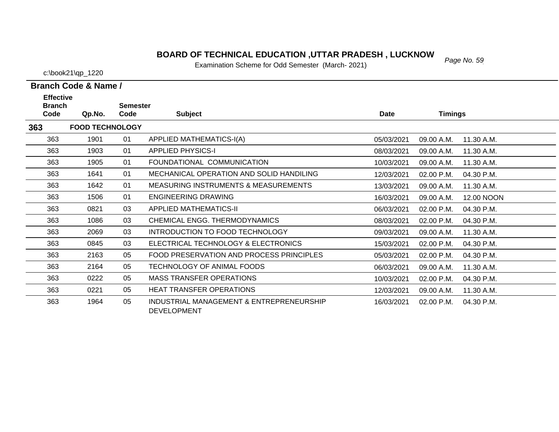#### *Page No. 59* **BOARD OF TECHNICAL EDUCATION ,UTTAR PRADESH , LUCKNOW**

Examination Scheme for Odd Semester (March- 2021)

c:\book21\qp\_1220

| <b>Effective</b>      |                        |                         |                                                                |            |                |            |
|-----------------------|------------------------|-------------------------|----------------------------------------------------------------|------------|----------------|------------|
| <b>Branch</b><br>Code | Qp.No.                 | <b>Semester</b><br>Code | <b>Subject</b>                                                 | Date       | <b>Timings</b> |            |
| 363                   | <b>FOOD TECHNOLOGY</b> |                         |                                                                |            |                |            |
| 363                   | 1901                   | 01                      | APPLIED MATHEMATICS-I(A)                                       | 05/03/2021 | 09.00 A.M.     | 11.30 A.M. |
| 363                   | 1903                   | 01                      | <b>APPLIED PHYSICS-I</b>                                       | 08/03/2021 | 09.00 A.M.     | 11.30 A.M. |
| 363                   | 1905                   | 01                      | FOUNDATIONAL COMMUNICATION                                     | 10/03/2021 | 09.00 A.M.     | 11.30 A.M. |
| 363                   | 1641                   | 01                      | MECHANICAL OPERATION AND SOLID HANDILING                       | 12/03/2021 | 02.00 P.M.     | 04.30 P.M. |
| 363                   | 1642                   | 01                      | <b>MEASURING INSTRUMENTS &amp; MEASUREMENTS</b>                | 13/03/2021 | 09.00 A.M.     | 11.30 A.M. |
| 363                   | 1506                   | 01                      | ENGINEERING DRAWING                                            | 16/03/2021 | 09.00 A.M.     | 12.00 NOON |
| 363                   | 0821                   | 03                      | APPLIED MATHEMATICS-II                                         | 06/03/2021 | 02.00 P.M.     | 04.30 P.M. |
| 363                   | 1086                   | 03                      | CHEMICAL ENGG. THERMODYNAMICS                                  | 08/03/2021 | 02.00 P.M.     | 04.30 P.M. |
| 363                   | 2069                   | 03                      | INTRODUCTION TO FOOD TECHNOLOGY                                | 09/03/2021 | 09.00 A.M.     | 11.30 A.M. |
| 363                   | 0845                   | 03                      | ELECTRICAL TECHNOLOGY & ELECTRONICS                            | 15/03/2021 | 02.00 P.M.     | 04.30 P.M. |
| 363                   | 2163                   | 05                      | FOOD PRESERVATION AND PROCESS PRINCIPLES                       | 05/03/2021 | 02.00 P.M.     | 04.30 P.M. |
| 363                   | 2164                   | 05                      | TECHNOLOGY OF ANIMAL FOODS                                     | 06/03/2021 | 09.00 A.M.     | 11.30 A.M. |
| 363                   | 0222                   | 05                      | <b>MASS TRANSFER OPERATIONS</b>                                | 10/03/2021 | 02.00 P.M.     | 04.30 P.M. |
| 363                   | 0221                   | 05                      | <b>HEAT TRANSFER OPERATIONS</b>                                | 12/03/2021 | 09.00 A.M.     | 11.30 A.M. |
| 363                   | 1964                   | 05                      | INDUSTRIAL MANAGEMENT & ENTREPRENEURSHIP<br><b>DEVELOPMENT</b> | 16/03/2021 | 02.00 P.M.     | 04.30 P.M. |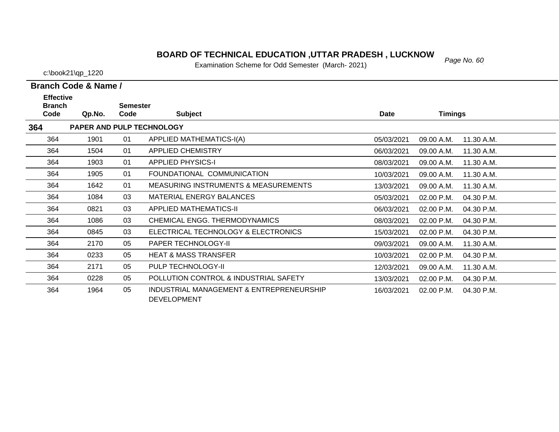# **BOARD OF TECHNICAL EDUCATION ,UTTAR PRADESH , LUCKNOW**<br>Examination Sabarna for Odd Samostar (Marsh. 2021)

Examination Scheme for Odd Semester (March- 2021)

| Branch Code & Name / |  |
|----------------------|--|

| <b>Effective</b><br><b>Branch</b> |        | <b>Semester</b> |                                                                |            |                |            |
|-----------------------------------|--------|-----------------|----------------------------------------------------------------|------------|----------------|------------|
| Code                              | Qp.No. | Code            | <b>Subject</b>                                                 | Date       | <b>Timings</b> |            |
| 364                               |        |                 | PAPER AND PULP TECHNOLOGY                                      |            |                |            |
| 364                               | 1901   | 01              | APPLIED MATHEMATICS-I(A)                                       | 05/03/2021 | 09.00 A.M.     | 11.30 A.M. |
| 364                               | 1504   | 01              | <b>APPLIED CHEMISTRY</b>                                       | 06/03/2021 | 09.00 A.M.     | 11.30 A.M. |
| 364                               | 1903   | 01              | <b>APPLIED PHYSICS-I</b>                                       | 08/03/2021 | 09.00 A.M.     | 11.30 A.M. |
| 364                               | 1905   | 01              | FOUNDATIONAL COMMUNICATION                                     | 10/03/2021 | 09.00 A.M.     | 11.30 A.M. |
| 364                               | 1642   | 01              | <b>MEASURING INSTRUMENTS &amp; MEASUREMENTS</b>                | 13/03/2021 | 09.00 A.M.     | 11.30 A.M. |
| 364                               | 1084   | 03              | <b>MATERIAL ENERGY BALANCES</b>                                | 05/03/2021 | 02.00 P.M.     | 04.30 P.M. |
| 364                               | 0821   | 03              | <b>APPLIED MATHEMATICS-II</b>                                  | 06/03/2021 | 02.00 P.M.     | 04.30 P.M. |
| 364                               | 1086   | 03              | CHEMICAL ENGG. THERMODYNAMICS                                  | 08/03/2021 | 02.00 P.M.     | 04.30 P.M. |
| 364                               | 0845   | 03              | ELECTRICAL TECHNOLOGY & ELECTRONICS                            | 15/03/2021 | 02.00 P.M.     | 04.30 P.M. |
| 364                               | 2170   | 05              | <b>PAPER TECHNOLOGY-II</b>                                     | 09/03/2021 | 09.00 A.M.     | 11.30 A.M. |
| 364                               | 0233   | 05              | <b>HEAT &amp; MASS TRANSFER</b>                                | 10/03/2021 | 02.00 P.M.     | 04.30 P.M. |
| 364                               | 2171   | 05              | PULP TECHNOLOGY-II                                             | 12/03/2021 | 09.00 A.M.     | 11.30 A.M. |
| 364                               | 0228   | 05              | POLLUTION CONTROL & INDUSTRIAL SAFETY                          | 13/03/2021 | 02.00 P.M.     | 04.30 P.M. |
| 364                               | 1964   | 05              | INDUSTRIAL MANAGEMENT & ENTREPRENEURSHIP<br><b>DEVELOPMENT</b> | 16/03/2021 | 02.00 P.M.     | 04.30 P.M. |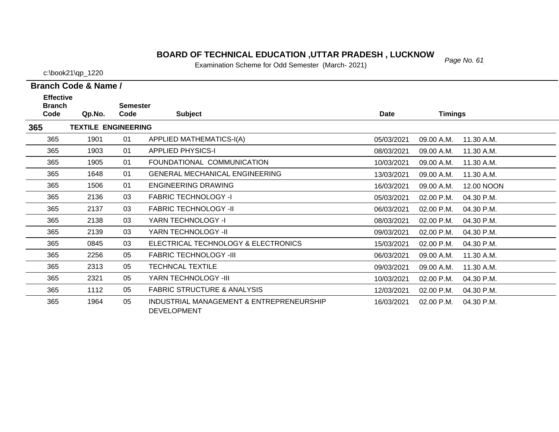# *Page No. 61* **BOARD OF TECHNICAL EDUCATION ,UTTAR PRADESH , LUCKNOW**

Examination Scheme for Odd Semester (March- 2021)

| Branch Code & Name / |  |  |
|----------------------|--|--|

| <b>Effective</b><br><b>Branch</b> |                            | <b>Semester</b> |                                                                |            |                |            |
|-----------------------------------|----------------------------|-----------------|----------------------------------------------------------------|------------|----------------|------------|
| Code                              | Qp.No.                     | Code            | <b>Subject</b>                                                 | Date       | <b>Timings</b> |            |
| 365                               | <b>TEXTILE ENGINEERING</b> |                 |                                                                |            |                |            |
| 365                               | 1901                       | 01              | APPLIED MATHEMATICS-I(A)                                       | 05/03/2021 | 09.00 A.M.     | 11.30 A.M. |
| 365                               | 1903                       | 01              | <b>APPLIED PHYSICS-I</b>                                       | 08/03/2021 | 09.00 A.M.     | 11.30 A.M. |
| 365                               | 1905                       | 01              | FOUNDATIONAL COMMUNICATION                                     | 10/03/2021 | 09.00 A.M.     | 11.30 A.M. |
| 365                               | 1648                       | 01              | <b>GENERAL MECHANICAL ENGINEERING</b>                          | 13/03/2021 | 09.00 A.M.     | 11.30 A.M. |
| 365                               | 1506                       | 01              | <b>ENGINEERING DRAWING</b>                                     | 16/03/2021 | 09.00 A.M.     | 12.00 NOON |
| 365                               | 2136                       | 03              | <b>FABRIC TECHNOLOGY -I</b>                                    | 05/03/2021 | 02.00 P.M.     | 04.30 P.M. |
| 365                               | 2137                       | 03              | <b>FABRIC TECHNOLOGY -II</b>                                   | 06/03/2021 | 02.00 P.M.     | 04.30 P.M. |
| 365                               | 2138                       | 03              | YARN TECHNOLOGY -I                                             | 08/03/2021 | 02.00 P.M.     | 04.30 P.M. |
| 365                               | 2139                       | 03              | YARN TECHNOLOGY -II                                            | 09/03/2021 | 02.00 P.M.     | 04.30 P.M. |
| 365                               | 0845                       | 03              | ELECTRICAL TECHNOLOGY & ELECTRONICS                            | 15/03/2021 | 02.00 P.M.     | 04.30 P.M. |
| 365                               | 2256                       | 05              | <b>FABRIC TECHNOLOGY -III</b>                                  | 06/03/2021 | 09.00 A.M.     | 11.30 A.M. |
| 365                               | 2313                       | 05              | <b>TECHNCAL TEXTILE</b>                                        | 09/03/2021 | 09.00 A.M.     | 11.30 A.M. |
| 365                               | 2321                       | 05              | YARN TECHNOLOGY -III                                           | 10/03/2021 | 02.00 P.M.     | 04.30 P.M. |
| 365                               | 1112                       | 05              | <b>FABRIC STRUCTURE &amp; ANALYSIS</b>                         | 12/03/2021 | 02.00 P.M.     | 04.30 P.M. |
| 365                               | 1964                       | 05              | INDUSTRIAL MANAGEMENT & ENTREPRENEURSHIP<br><b>DEVELOPMENT</b> | 16/03/2021 | 02.00 P.M.     | 04.30 P.M. |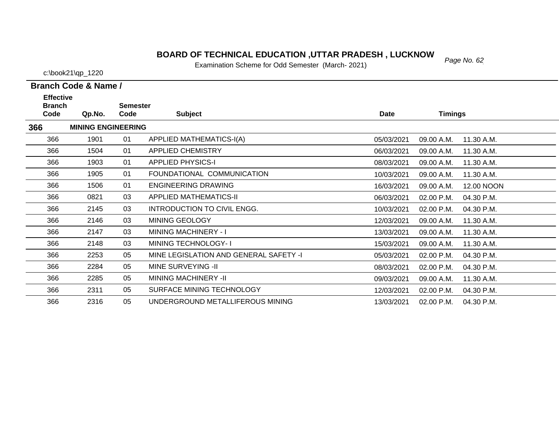# *Page No. 62* **BOARD OF TECHNICAL EDUCATION ,UTTAR PRADESH , LUCKNOW**

Examination Scheme for Odd Semester (March- 2021)

c:\book21\qp\_1220

| <b>Effective</b><br><b>Branch</b> |                           | <b>Semester</b> |                                        |            |                |            |
|-----------------------------------|---------------------------|-----------------|----------------------------------------|------------|----------------|------------|
| Code                              | Qp.No.                    | Code            | <b>Subject</b>                         | Date       | <b>Timings</b> |            |
| 366                               | <b>MINING ENGINEERING</b> |                 |                                        |            |                |            |
| 366                               | 1901                      | 01              | APPLIED MATHEMATICS-I(A)               | 05/03/2021 | 09.00 A.M.     | 11.30 A.M. |
| 366                               | 1504                      | 01              | <b>APPLIED CHEMISTRY</b>               | 06/03/2021 | 09.00 A.M.     | 11.30 A.M. |
| 366                               | 1903                      | 01              | <b>APPLIED PHYSICS-I</b>               | 08/03/2021 | 09.00 A.M.     | 11.30 A.M. |
| 366                               | 1905                      | 01              | FOUNDATIONAL COMMUNICATION             | 10/03/2021 | 09.00 A.M.     | 11.30 A.M. |
| 366                               | 1506                      | 01              | <b>ENGINEERING DRAWING</b>             | 16/03/2021 | 09.00 A.M.     | 12.00 NOON |
| 366                               | 0821                      | 03              | <b>APPLIED MATHEMATICS-II</b>          | 06/03/2021 | 02.00 P.M.     | 04.30 P.M. |
| 366                               | 2145                      | 03              | INTRODUCTION TO CIVIL ENGG.            | 10/03/2021 | 02.00 P.M.     | 04.30 P.M. |
| 366                               | 2146                      | 03              | MINING GEOLOGY                         | 12/03/2021 | 09.00 A.M.     | 11.30 A.M. |
| 366                               | 2147                      | 03              | <b>MINING MACHINERY - I</b>            | 13/03/2021 | 09.00 A.M.     | 11.30 A.M. |
| 366                               | 2148                      | 03              | <b>MINING TECHNOLOGY-1</b>             | 15/03/2021 | 09.00 A.M.     | 11.30 A.M. |
| 366                               | 2253                      | 05              | MINE LEGISLATION AND GENERAL SAFETY -I | 05/03/2021 | 02.00 P.M.     | 04.30 P.M. |
| 366                               | 2284                      | 05              | MINE SURVEYING -II                     | 08/03/2021 | 02.00 P.M.     | 04.30 P.M. |
| 366                               | 2285                      | 05              | <b>MINING MACHINERY -II</b>            | 09/03/2021 | 09.00 A.M.     | 11.30 A.M. |
| 366                               | 2311                      | 05              | SURFACE MINING TECHNOLOGY              | 12/03/2021 | 02.00 P.M.     | 04.30 P.M. |
| 366                               | 2316                      | 05              | UNDERGROUND METALLIFEROUS MINING       | 13/03/2021 | 02.00 P.M.     | 04.30 P.M. |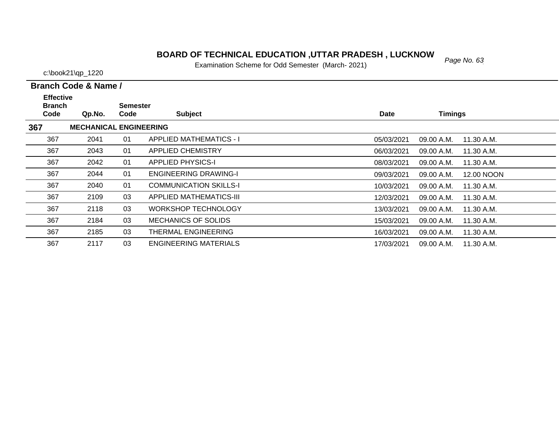# *Page No. 63* **BOARD OF TECHNICAL EDUCATION ,UTTAR PRADESH , LUCKNOW**

Examination Scheme for Odd Semester (March- 2021)

c:\book21\qp\_1220

 $\overline{\phantom{0}}$ 

| Branch Code & Name / |  |  |
|----------------------|--|--|

| <b>Effective</b><br><b>Branch</b> |                               | <b>Semester</b> |                                |             |                          |  |
|-----------------------------------|-------------------------------|-----------------|--------------------------------|-------------|--------------------------|--|
| Code                              | Qp.No.                        | Code            | <b>Subject</b>                 | <b>Date</b> | <b>Timings</b>           |  |
| 367                               | <b>MECHANICAL ENGINEERING</b> |                 |                                |             |                          |  |
| 367                               | 2041                          | 01              | <b>APPLIED MATHEMATICS - I</b> | 05/03/2021  | 09.00 A.M.<br>11.30 A.M. |  |
| 367                               | 2043                          | 01              | <b>APPLIED CHEMISTRY</b>       | 06/03/2021  | 09.00 A.M.<br>11.30 A.M. |  |
| 367                               | 2042                          | 01              | <b>APPLIED PHYSICS-I</b>       | 08/03/2021  | 09.00 A.M.<br>11.30 A.M. |  |
| 367                               | 2044                          | 01              | <b>ENGINEERING DRAWING-I</b>   | 09/03/2021  | 09.00 A.M.<br>12.00 NOON |  |
| 367                               | 2040                          | 01              | <b>COMMUNICATION SKILLS-I</b>  | 10/03/2021  | 09.00 A.M.<br>11.30 A.M. |  |
| 367                               | 2109                          | 03              | APPLIED MATHEMATICS-III        | 12/03/2021  | 09.00 A.M.<br>11.30 A.M. |  |
| 367                               | 2118                          | 03              | <b>WORKSHOP TECHNOLOGY</b>     | 13/03/2021  | 09.00 A.M.<br>11.30 A.M. |  |
| 367                               | 2184                          | 03              | <b>MECHANICS OF SOLIDS</b>     | 15/03/2021  | 09.00 A.M.<br>11.30 A.M. |  |
| 367                               | 2185                          | 03              | THERMAL ENGINEERING            | 16/03/2021  | 09.00 A.M.<br>11.30 A.M. |  |
| 367                               | 2117                          | 03              | ENGINEERING MATERIALS          | 17/03/2021  | 09.00 A.M.<br>11.30 A.M. |  |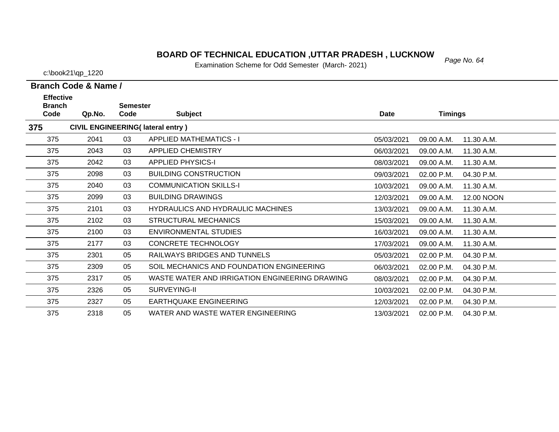#### *Page No. 64* **BOARD OF TECHNICAL EDUCATION ,UTTAR PRADESH , LUCKNOW**

Examination Scheme for Odd Semester (March- 2021)

c:\book21\qp\_1220

| <b>Effective</b><br><b>Branch</b> |        | <b>Semester</b> |                                                |             |                |            |
|-----------------------------------|--------|-----------------|------------------------------------------------|-------------|----------------|------------|
| Code                              | Qp.No. | Code            | <b>Subject</b>                                 | <b>Date</b> | <b>Timings</b> |            |
| 375                               |        |                 | <b>CIVIL ENGINEERING(Iateral entry)</b>        |             |                |            |
| 375                               | 2041   | 03              | <b>APPLIED MATHEMATICS - I</b>                 | 05/03/2021  | 09.00 A.M.     | 11.30 A.M. |
| 375                               | 2043   | 03              | APPLIED CHEMISTRY                              | 06/03/2021  | 09.00 A.M.     | 11.30 A.M. |
| 375                               | 2042   | 03              | <b>APPLIED PHYSICS-I</b>                       | 08/03/2021  | 09.00 A.M.     | 11.30 A.M. |
| 375                               | 2098   | 03              | <b>BUILDING CONSTRUCTION</b>                   | 09/03/2021  | 02.00 P.M.     | 04.30 P.M. |
| 375                               | 2040   | 03              | <b>COMMUNICATION SKILLS-I</b>                  | 10/03/2021  | 09.00 A.M.     | 11.30 A.M. |
| 375                               | 2099   | 03              | <b>BUILDING DRAWINGS</b>                       | 12/03/2021  | 09.00 A.M.     | 12.00 NOON |
| 375                               | 2101   | 03              | <b>HYDRAULICS AND HYDRAULIC MACHINES</b>       | 13/03/2021  | 09.00 A.M.     | 11.30 A.M. |
| 375                               | 2102   | 03              | <b>STRUCTURAL MECHANICS</b>                    | 15/03/2021  | 09.00 A.M.     | 11.30 A.M. |
| 375                               | 2100   | 03              | ENVIRONMENTAL STUDIES                          | 16/03/2021  | 09.00 A.M.     | 11.30 A.M. |
| 375                               | 2177   | 03              | <b>CONCRETE TECHNOLOGY</b>                     | 17/03/2021  | 09.00 A.M.     | 11.30 A.M. |
| 375                               | 2301   | 05              | RAILWAYS BRIDGES AND TUNNELS                   | 05/03/2021  | 02.00 P.M.     | 04.30 P.M. |
| 375                               | 2309   | 05              | SOIL MECHANICS AND FOUNDATION ENGINEERING      | 06/03/2021  | 02.00 P.M.     | 04.30 P.M. |
| 375                               | 2317   | 05              | WASTE WATER AND IRRIGATION ENGINEERING DRAWING | 08/03/2021  | 02.00 P.M.     | 04.30 P.M. |
| 375                               | 2326   | 05              | SURVEYING-II                                   | 10/03/2021  | 02.00 P.M.     | 04.30 P.M. |
| 375                               | 2327   | 05              | <b>EARTHQUAKE ENGINEERING</b>                  | 12/03/2021  | 02.00 P.M.     | 04.30 P.M. |
| 375                               | 2318   | 05              | WATER AND WASTE WATER ENGINEERING              | 13/03/2021  | $02.00$ P.M.   | 04.30 P.M. |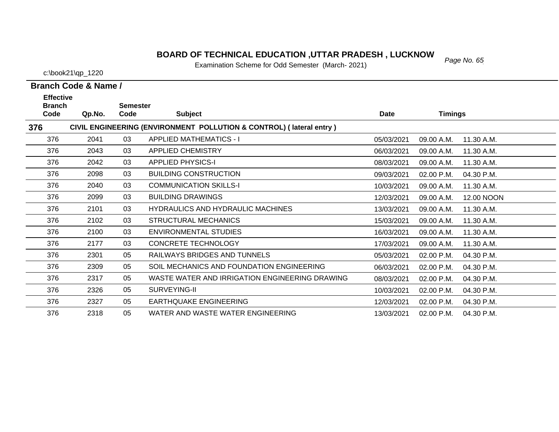### *Page No. 65* **BOARD OF TECHNICAL EDUCATION ,UTTAR PRADESH , LUCKNOW**

Examination Scheme for Odd Semester (March- 2021)

c:\book21\qp\_1220

| <b>Effective</b><br><b>Branch</b> |                                                                     | <b>Semester</b> |                                                |             |                          |  |  |  |  |  |
|-----------------------------------|---------------------------------------------------------------------|-----------------|------------------------------------------------|-------------|--------------------------|--|--|--|--|--|
| Code                              | Qp.No.                                                              | Code            | <b>Subject</b>                                 | <b>Date</b> | <b>Timings</b>           |  |  |  |  |  |
| 376                               | CIVIL ENGINEERING (ENVIRONMENT POLLUTION & CONTROL) (lateral entry) |                 |                                                |             |                          |  |  |  |  |  |
| 376                               | 2041                                                                | 03              | <b>APPLIED MATHEMATICS - I</b>                 | 05/03/2021  | 11.30 A.M.<br>09.00 A.M. |  |  |  |  |  |
| 376                               | 2043                                                                | 03              | <b>APPLIED CHEMISTRY</b>                       | 06/03/2021  | 09.00 A.M.<br>11.30 A.M. |  |  |  |  |  |
| 376                               | 2042                                                                | 03              | <b>APPLIED PHYSICS-I</b>                       | 08/03/2021  | 11.30 A.M.<br>09.00 A.M. |  |  |  |  |  |
| 376                               | 2098                                                                | 03              | <b>BUILDING CONSTRUCTION</b>                   | 09/03/2021  | 02.00 P.M.<br>04.30 P.M. |  |  |  |  |  |
| 376                               | 2040                                                                | 03              | <b>COMMUNICATION SKILLS-I</b>                  | 10/03/2021  | 09.00 A.M.<br>11.30 A.M. |  |  |  |  |  |
| 376                               | 2099                                                                | 03              | <b>BUILDING DRAWINGS</b>                       | 12/03/2021  | 09.00 A.M.<br>12.00 NOON |  |  |  |  |  |
| 376                               | 2101                                                                | 03              | <b>HYDRAULICS AND HYDRAULIC MACHINES</b>       | 13/03/2021  | 09.00 A.M.<br>11.30 A.M. |  |  |  |  |  |
| 376                               | 2102                                                                | 03              | <b>STRUCTURAL MECHANICS</b>                    | 15/03/2021  | 09.00 A.M.<br>11.30 A.M. |  |  |  |  |  |
| 376                               | 2100                                                                | 03              | <b>ENVIRONMENTAL STUDIES</b>                   | 16/03/2021  | 11.30 A.M.<br>09.00 A.M. |  |  |  |  |  |
| 376                               | 2177                                                                | 03              | <b>CONCRETE TECHNOLOGY</b>                     | 17/03/2021  | 09.00 A.M.<br>11.30 A.M. |  |  |  |  |  |
| 376                               | 2301                                                                | 05              | RAILWAYS BRIDGES AND TUNNELS                   | 05/03/2021  | 02.00 P.M.<br>04.30 P.M. |  |  |  |  |  |
| 376                               | 2309                                                                | 05              | SOIL MECHANICS AND FOUNDATION ENGINEERING      | 06/03/2021  | 04.30 P.M.<br>02.00 P.M. |  |  |  |  |  |
| 376                               | 2317                                                                | 05              | WASTE WATER AND IRRIGATION ENGINEERING DRAWING | 08/03/2021  | 02.00 P.M.<br>04.30 P.M. |  |  |  |  |  |
| 376                               | 2326                                                                | 05              | SURVEYING-II                                   | 10/03/2021  | 02.00 P.M.<br>04.30 P.M. |  |  |  |  |  |
| 376                               | 2327                                                                | 05              | EARTHQUAKE ENGINEERING                         | 12/03/2021  | 02.00 P.M.<br>04.30 P.M. |  |  |  |  |  |
| 376                               | 2318                                                                | 05              | WATER AND WASTE WATER ENGINEERING              | 13/03/2021  | 02.00 P.M.<br>04.30 P.M. |  |  |  |  |  |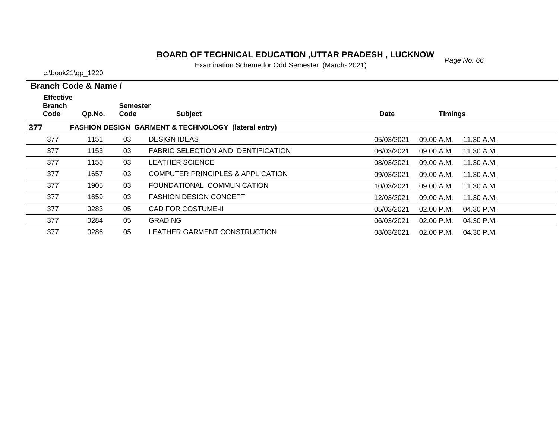### *Page No. 66* **BOARD OF TECHNICAL EDUCATION ,UTTAR PRADESH , LUCKNOW**

Examination Scheme for Odd Semester (March- 2021)

c:\book21\qp\_1220

| $-$ . The product of the set of $\sim$ |
|----------------------------------------|
|                                        |
|                                        |
|                                        |

| <b>Effective</b><br><b>Branch</b> |        | Semester |                                                                |             |                            |  |
|-----------------------------------|--------|----------|----------------------------------------------------------------|-------------|----------------------------|--|
| Code                              | Qp.No. | Code     | <b>Subject</b>                                                 | <b>Date</b> | <b>Timings</b>             |  |
| 377                               |        |          | <b>FASHION DESIGN GARMENT &amp; TECHNOLOGY (lateral entry)</b> |             |                            |  |
| 377                               | 1151   | 03       | <b>DESIGN IDEAS</b>                                            | 05/03/2021  | 09.00 A.M.<br>11.30 A.M.   |  |
| 377                               | 1153   | 03       | FABRIC SELECTION AND IDENTIFICATION                            | 06/03/2021  | 09.00 A.M.<br>11.30 A.M.   |  |
| 377                               | 1155   | 03       | <b>LEATHER SCIENCE</b>                                         | 08/03/2021  | 09.00 A.M.<br>11.30 A.M.   |  |
| 377                               | 1657   | 03       | COMPUTER PRINCIPLES & APPLICATION                              | 09/03/2021  | 09.00 A.M.<br>11.30 A.M.   |  |
| 377                               | 1905   | 03       | FOUNDATIONAL COMMUNICATION                                     | 10/03/2021  | 09.00 A.M.<br>11.30 A.M.   |  |
| 377                               | 1659   | 03       | <b>FASHION DESIGN CONCEPT</b>                                  | 12/03/2021  | 09.00 A.M.<br>11.30 A.M.   |  |
| 377                               | 0283   | 05       | <b>CAD FOR COSTUME-II</b>                                      | 05/03/2021  | 02.00 P.M.<br>04.30 P.M.   |  |
| 377                               | 0284   | 05       | <b>GRADING</b>                                                 | 06/03/2021  | $02.00$ P.M.<br>04.30 P.M. |  |
| 377                               | 0286   | 05       | LEATHER GARMENT CONSTRUCTION                                   | 08/03/2021  | $02.00$ P.M.<br>04.30 P.M. |  |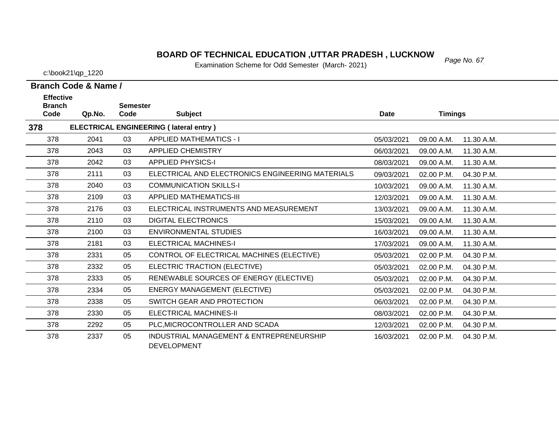#### *Page No. 67* **BOARD OF TECHNICAL EDUCATION ,UTTAR PRADESH , LUCKNOW**

Examination Scheme for Odd Semester (March- 2021)

c:\book21\qp\_1220

**Effective** 

378

**Branch Code & Name /**

| <b>Branch</b> |        | <b>Semester</b> |                                                  |            |                |            |
|---------------|--------|-----------------|--------------------------------------------------|------------|----------------|------------|
| Code          | Qp.No. | Code            | <b>Subject</b>                                   | Date       | <b>Timings</b> |            |
| 378           |        |                 | <b>ELECTRICAL ENGINEERING (Iateral entry)</b>    |            |                |            |
| 378           | 2041   | 03              | <b>APPLIED MATHEMATICS - I</b>                   | 05/03/2021 | 09.00 A.M.     | 11.30 A.M. |
| 378           | 2043   | 03              | <b>APPLIED CHEMISTRY</b>                         | 06/03/2021 | 09.00 A.M.     | 11.30 A.M. |
| 378           | 2042   | 03              | <b>APPLIED PHYSICS-I</b>                         | 08/03/2021 | 09.00 A.M.     | 11.30 A.M. |
| 378           | 2111   | 03              | ELECTRICAL AND ELECTRONICS ENGINEERING MATERIALS | 09/03/2021 | 02.00 P.M.     | 04.30 P.M. |
| 378           | 2040   | 03              | <b>COMMUNICATION SKILLS-I</b>                    | 10/03/2021 | 09.00 A.M.     | 11.30 A.M. |
| 378           | 2109   | 03              | <b>APPLIED MATHEMATICS-III</b>                   | 12/03/2021 | 09.00 A.M.     | 11.30 A.M. |
| 378           | 2176   | 03              | ELECTRICAL INSTRUMENTS AND MEASUREMENT           | 13/03/2021 | 09.00 A.M.     | 11.30 A.M. |
| 378           | 2110   | 03              | <b>DIGITAL ELECTRONICS</b>                       | 15/03/2021 | 09.00 A.M.     | 11.30 A.M. |
| 378           | 2100   | 03              | <b>ENVIRONMENTAL STUDIES</b>                     | 16/03/2021 | 09.00 A.M.     | 11.30 A.M. |
| 378           | 2181   | 03              | <b>ELECTRICAL MACHINES-I</b>                     | 17/03/2021 | 09.00 A.M.     | 11.30 A.M. |
| 378           | 2331   | 05              | CONTROL OF ELECTRICAL MACHINES (ELECTIVE)        | 05/03/2021 | 02.00 P.M.     | 04.30 P.M. |
| 378           | 2332   | 05              | ELECTRIC TRACTION (ELECTIVE)                     | 05/03/2021 | 02.00 P.M.     | 04.30 P.M. |
| 378           | 2333   | 05              | RENEWABLE SOURCES OF ENERGY (ELECTIVE)           | 05/03/2021 | 02.00 P.M.     | 04.30 P.M. |
| 378           | 2334   | 05              | <b>ENERGY MANAGEMENT (ELECTIVE)</b>              | 05/03/2021 | 02.00 P.M.     | 04.30 P.M. |
| 378           | 2338   | 05              | SWITCH GEAR AND PROTECTION                       | 06/03/2021 | 02.00 P.M.     | 04.30 P.M. |
| 378           | 2330   | 05              | ELECTRICAL MACHINES-II                           | 08/03/2021 | 02.00 P.M.     | 04.30 P.M. |
| 378           | 2292   | 05              | PLC, MICROCONTROLLER AND SCADA                   | 12/03/2021 | 02.00 P.M.     | 04.30 P.M. |

05 INDUSTRIAL MANAGEMENT & ENTREPRENEURSHIP 2337 16/03/2021 02.00 P.M. 04.30 P.M.

DEVELOPMENT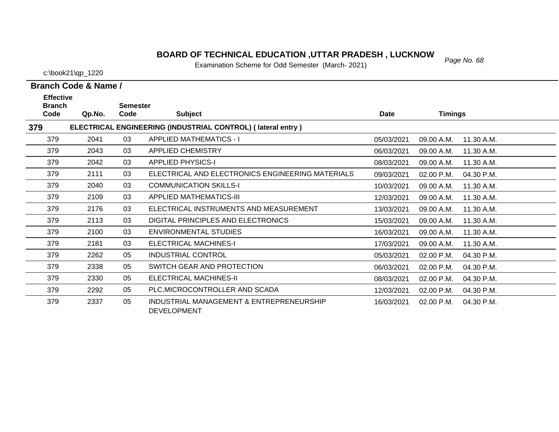#### *Page No. 68* **BOARD OF TECHNICAL EDUCATION ,UTTAR PRADESH , LUCKNOW**

Examination Scheme for Odd Semester (March- 2021)

c:\book21\qp\_1220

| <b>Effective</b>      |        |                         |                                                                |            |                |            |
|-----------------------|--------|-------------------------|----------------------------------------------------------------|------------|----------------|------------|
| <b>Branch</b><br>Code | Qp.No. | <b>Semester</b><br>Code | <b>Subject</b>                                                 | Date       | <b>Timings</b> |            |
| 379                   |        |                         | ELECTRICAL ENGINEERING (INDUSTRIAL CONTROL) (lateral entry)    |            |                |            |
| 379                   | 2041   | 03                      | <b>APPLIED MATHEMATICS - I</b>                                 | 05/03/2021 | 09.00 A.M.     | 11.30 A.M. |
| 379                   | 2043   | 03                      | <b>APPLIED CHEMISTRY</b>                                       | 06/03/2021 | 09.00 A.M.     | 11.30 A.M. |
| 379                   | 2042   | 03                      | <b>APPLIED PHYSICS-I</b>                                       | 08/03/2021 | 09.00 A.M.     | 11.30 A.M. |
| 379                   | 2111   | 03                      | ELECTRICAL AND ELECTRONICS ENGINEERING MATERIALS               | 09/03/2021 | 02.00 P.M.     | 04.30 P.M. |
| 379                   | 2040   | 03                      | <b>COMMUNICATION SKILLS-I</b>                                  | 10/03/2021 | 09.00 A.M.     | 11.30 A.M. |
| 379                   | 2109   | 03                      | <b>APPLIED MATHEMATICS-III</b>                                 | 12/03/2021 | 09.00 A.M.     | 11.30 A.M. |
| 379                   | 2176   | 03                      | ELECTRICAL INSTRUMENTS AND MEASUREMENT                         | 13/03/2021 | 09.00 A.M.     | 11.30 A.M. |
| 379                   | 2113   | 03                      | DIGITAL PRINCIPLES AND ELECTRONICS                             | 15/03/2021 | 09.00 A.M.     | 11.30 A.M. |
| 379                   | 2100   | 03                      | ENVIRONMENTAL STUDIES                                          | 16/03/2021 | 09.00 A.M.     | 11.30 A.M. |
| 379                   | 2181   | 03                      | <b>ELECTRICAL MACHINES-I</b>                                   | 17/03/2021 | 09.00 A.M.     | 11.30 A.M. |
| 379                   | 2262   | 05                      | <b>INDUSTRIAL CONTROL</b>                                      | 05/03/2021 | 02.00 P.M.     | 04.30 P.M. |
| 379                   | 2338   | 05                      | SWITCH GEAR AND PROTECTION                                     | 06/03/2021 | 02.00 P.M.     | 04.30 P.M. |
| 379                   | 2330   | 05                      | ELECTRICAL MACHINES-II                                         | 08/03/2021 | 02.00 P.M.     | 04.30 P.M. |
| 379                   | 2292   | 05                      | PLC, MICROCONTROLLER AND SCADA                                 | 12/03/2021 | 02.00 P.M.     | 04.30 P.M. |
| 379                   | 2337   | 05                      | INDUSTRIAL MANAGEMENT & ENTREPRENEURSHIP<br><b>DEVELOPMENT</b> | 16/03/2021 | 02.00 P.M.     | 04.30 P.M. |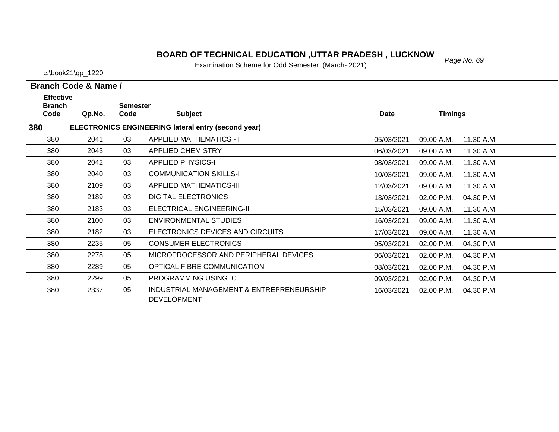#### *Page No. 69* **BOARD OF TECHNICAL EDUCATION ,UTTAR PRADESH , LUCKNOW**

Examination Scheme for Odd Semester (March- 2021)

c:\book21\qp\_1220

| $ $ (IVIAIUII <sup>-</sup> 2021) |  |  |
|----------------------------------|--|--|
|                                  |  |  |
|                                  |  |  |

| Branch Code & Name /                                       |        |                         |                                          |             |                          |  |  |  |  |
|------------------------------------------------------------|--------|-------------------------|------------------------------------------|-------------|--------------------------|--|--|--|--|
| <b>Effective</b><br><b>Branch</b><br>Code                  | Qp.No. | <b>Semester</b><br>Code | <b>Subject</b>                           | <b>Date</b> | <b>Timings</b>           |  |  |  |  |
| ELECTRONICS ENGINEERING lateral entry (second year)<br>380 |        |                         |                                          |             |                          |  |  |  |  |
| 380                                                        | 2041   | 03                      | <b>APPLIED MATHEMATICS - I</b>           | 05/03/2021  | 09.00 A.M.<br>11.30 A.M. |  |  |  |  |
| 380                                                        | 2043   | 03                      | <b>APPLIED CHEMISTRY</b>                 | 06/03/2021  | 09.00 A.M.<br>11.30 A.M. |  |  |  |  |
| 380                                                        | 2042   | 03                      | <b>APPLIED PHYSICS-I</b>                 | 08/03/2021  | 09.00 A.M.<br>11.30 A.M. |  |  |  |  |
| 380                                                        | 2040   | 03                      | <b>COMMUNICATION SKILLS-I</b>            | 10/03/2021  | 09.00 A.M.<br>11.30 A.M. |  |  |  |  |
| 380                                                        | 2109   | 03                      | <b>APPLIED MATHEMATICS-III</b>           | 12/03/2021  | 09.00 A.M.<br>11.30 A.M. |  |  |  |  |
| 380                                                        | 2189   | 03                      | <b>DIGITAL ELECTRONICS</b>               | 13/03/2021  | 02.00 P.M.<br>04.30 P.M. |  |  |  |  |
| 380                                                        | 2183   | 03                      | ELECTRICAL ENGINEERING-II                | 15/03/2021  | 09.00 A.M.<br>11.30 A.M. |  |  |  |  |
| 380                                                        | 2100   | 03                      | <b>ENVIRONMENTAL STUDIES</b>             | 16/03/2021  | 09.00 A.M.<br>11.30 A.M. |  |  |  |  |
| 380                                                        | 2182   | 03                      | ELECTRONICS DEVICES AND CIRCUITS         | 17/03/2021  | 09.00 A.M.<br>11.30 A.M. |  |  |  |  |
| 380                                                        | 2235   | 05                      | <b>CONSUMER ELECTRONICS</b>              | 05/03/2021  | 02.00 P.M.<br>04.30 P.M. |  |  |  |  |
| 380                                                        | 2278   | 05                      | MICROPROCESSOR AND PERIPHERAL DEVICES    | 06/03/2021  | 02.00 P.M.<br>04.30 P.M. |  |  |  |  |
| 380                                                        | 2289   | 05                      | OPTICAL FIBRE COMMUNICATION              | 08/03/2021  | 02.00 P.M.<br>04.30 P.M. |  |  |  |  |
| 380                                                        | 2299   | 05                      | PROGRAMMING USING C                      | 09/03/2021  | 02.00 P.M.<br>04.30 P.M. |  |  |  |  |
| 380                                                        | 2337   | 05                      | INDUSTRIAL MANAGEMENT & ENTREPRENEURSHIP | 16/03/2021  | 02.00 P.M.<br>04.30 P.M. |  |  |  |  |

DEVELOPMENT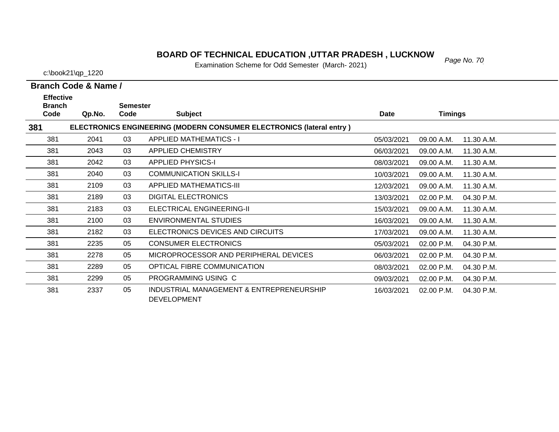### *Page No. 70* **BOARD OF TECHNICAL EDUCATION ,UTTAR PRADESH , LUCKNOW**

Examination Scheme for Odd Semester (March- 2021)

c:\book21\qp\_1220

| <b>Effective</b>      |        |                         |                                                                             |            |                |            |
|-----------------------|--------|-------------------------|-----------------------------------------------------------------------------|------------|----------------|------------|
| <b>Branch</b><br>Code | Qp.No. | <b>Semester</b><br>Code | <b>Subject</b>                                                              | Date       | <b>Timings</b> |            |
| 381                   |        |                         | <b>ELECTRONICS ENGINEERING (MODERN CONSUMER ELECTRONICS (lateral entry)</b> |            |                |            |
| 381                   | 2041   | 03                      | <b>APPLIED MATHEMATICS - I</b>                                              | 05/03/2021 | 09.00 A.M.     | 11.30 A.M. |
| 381                   | 2043   | 03                      | <b>APPLIED CHEMISTRY</b>                                                    | 06/03/2021 | 09.00 A.M.     | 11.30 A.M. |
| 381                   | 2042   | 03                      | <b>APPLIED PHYSICS-I</b>                                                    | 08/03/2021 | 09.00 A.M.     | 11.30 A.M. |
| 381                   | 2040   | 03                      | <b>COMMUNICATION SKILLS-I</b>                                               | 10/03/2021 | 09.00 A.M.     | 11.30 A.M. |
| 381                   | 2109   | 03                      | <b>APPLIED MATHEMATICS-III</b>                                              | 12/03/2021 | 09.00 A.M.     | 11.30 A.M. |
| 381                   | 2189   | 03                      | <b>DIGITAL ELECTRONICS</b>                                                  | 13/03/2021 | 02.00 P.M.     | 04.30 P.M. |
| 381                   | 2183   | 03                      | ELECTRICAL ENGINEERING-II                                                   | 15/03/2021 | 09.00 A.M.     | 11.30 A.M. |
| 381                   | 2100   | 03                      | <b>ENVIRONMENTAL STUDIES</b>                                                | 16/03/2021 | 09.00 A.M.     | 11.30 A.M. |
| 381                   | 2182   | 03                      | ELECTRONICS DEVICES AND CIRCUITS                                            | 17/03/2021 | 09.00 A.M.     | 11.30 A.M. |
| 381                   | 2235   | 05                      | <b>CONSUMER ELECTRONICS</b>                                                 | 05/03/2021 | 02.00 P.M.     | 04.30 P.M. |
| 381                   | 2278   | 05                      | MICROPROCESSOR AND PERIPHERAL DEVICES                                       | 06/03/2021 | 02.00 P.M.     | 04.30 P.M. |
| 381                   | 2289   | 05                      | OPTICAL FIBRE COMMUNICATION                                                 | 08/03/2021 | 02.00 P.M.     | 04.30 P.M. |
| 381                   | 2299   | 05                      | PROGRAMMING USING C                                                         | 09/03/2021 | 02.00 P.M.     | 04.30 P.M. |
| 381                   | 2337   | 05                      | INDUSTRIAL MANAGEMENT & ENTREPRENEURSHIP<br><b>DEVELOPMENT</b>              | 16/03/2021 | 02.00 P.M.     | 04.30 P.M. |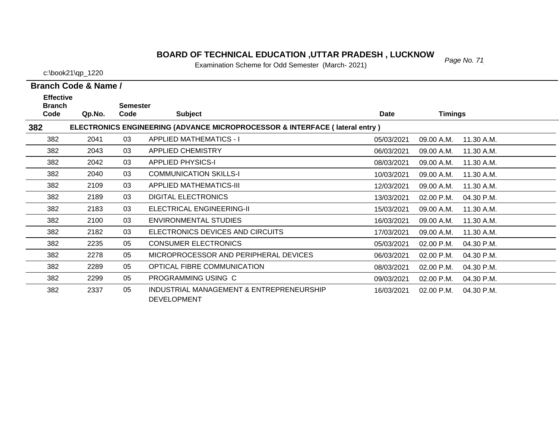### *Page No. 71* **BOARD OF TECHNICAL EDUCATION ,UTTAR PRADESH , LUCKNOW**

Examination Scheme for Odd Semester (March- 2021)

c:\book21\qp\_1220

| <b>Effective</b><br><b>Branch</b><br><b>Semester</b>                                          |        |      |                                                                |            |                |            |  |  |  |  |  |  |
|-----------------------------------------------------------------------------------------------|--------|------|----------------------------------------------------------------|------------|----------------|------------|--|--|--|--|--|--|
| Code                                                                                          | Qp.No. | Code | <b>Subject</b>                                                 | Date       | <b>Timings</b> |            |  |  |  |  |  |  |
| <b>ELECTRONICS ENGINEERING (ADVANCE MICROPROCESSOR &amp; INTERFACE (lateral entry)</b><br>382 |        |      |                                                                |            |                |            |  |  |  |  |  |  |
| 382                                                                                           | 2041   | 03   | <b>APPLIED MATHEMATICS - I</b>                                 | 05/03/2021 | 09.00 A.M.     | 11.30 A.M. |  |  |  |  |  |  |
| 382                                                                                           | 2043   | 03   | <b>APPLIED CHEMISTRY</b>                                       | 06/03/2021 | 09.00 A.M.     | 11.30 A.M. |  |  |  |  |  |  |
| 382                                                                                           | 2042   | 03   | <b>APPLIED PHYSICS-I</b>                                       | 08/03/2021 | 09.00 A.M.     | 11.30 A.M. |  |  |  |  |  |  |
| 382                                                                                           | 2040   | 03   | <b>COMMUNICATION SKILLS-I</b>                                  | 10/03/2021 | 09.00 A.M.     | 11.30 A.M. |  |  |  |  |  |  |
| 382                                                                                           | 2109   | 03   | <b>APPLIED MATHEMATICS-III</b>                                 | 12/03/2021 | 09.00 A.M.     | 11.30 A.M. |  |  |  |  |  |  |
| 382                                                                                           | 2189   | 03   | <b>DIGITAL ELECTRONICS</b>                                     | 13/03/2021 | 02.00 P.M.     | 04.30 P.M. |  |  |  |  |  |  |
| 382                                                                                           | 2183   | 03   | ELECTRICAL ENGINEERING-II                                      | 15/03/2021 | 09.00 A.M.     | 11.30 A.M. |  |  |  |  |  |  |
| 382                                                                                           | 2100   | 03   | <b>ENVIRONMENTAL STUDIES</b>                                   | 16/03/2021 | 09.00 A.M.     | 11.30 A.M. |  |  |  |  |  |  |
| 382                                                                                           | 2182   | 03   | ELECTRONICS DEVICES AND CIRCUITS                               | 17/03/2021 | 09.00 A.M.     | 11.30 A.M. |  |  |  |  |  |  |
| 382                                                                                           | 2235   | 05   | <b>CONSUMER ELECTRONICS</b>                                    | 05/03/2021 | 02.00 P.M.     | 04.30 P.M. |  |  |  |  |  |  |
| 382                                                                                           | 2278   | 05   | MICROPROCESSOR AND PERIPHERAL DEVICES                          | 06/03/2021 | 02.00 P.M.     | 04.30 P.M. |  |  |  |  |  |  |
| 382                                                                                           | 2289   | 05   | OPTICAL FIBRE COMMUNICATION                                    | 08/03/2021 | 02.00 P.M.     | 04.30 P.M. |  |  |  |  |  |  |
| 382                                                                                           | 2299   | 05   | PROGRAMMING USING C                                            | 09/03/2021 | 02.00 P.M.     | 04.30 P.M. |  |  |  |  |  |  |
| 382                                                                                           | 2337   | 05   | INDUSTRIAL MANAGEMENT & ENTREPRENEURSHIP<br><b>DEVELOPMENT</b> | 16/03/2021 | 02.00 P.M.     | 04.30 P.M. |  |  |  |  |  |  |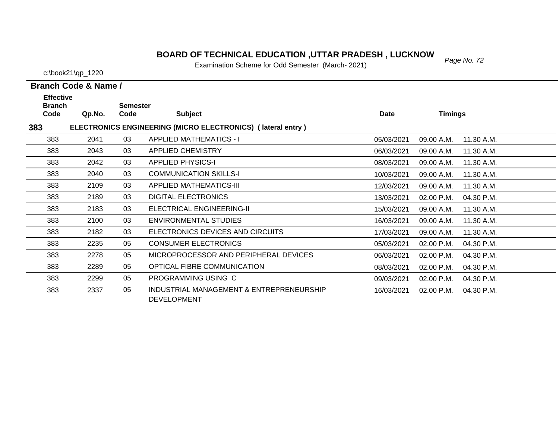### *Page No. 72* **BOARD OF TECHNICAL EDUCATION ,UTTAR PRADESH , LUCKNOW**

Examination Scheme for Odd Semester (March- 2021)

c:\book21\qp\_1220

| <b>Effective</b>      |                                                             |                         |                                                                |            |            |            |  |  |  |  |  |  |  |
|-----------------------|-------------------------------------------------------------|-------------------------|----------------------------------------------------------------|------------|------------|------------|--|--|--|--|--|--|--|
| <b>Branch</b><br>Code | Qp.No.                                                      | <b>Semester</b><br>Code | <b>Subject</b>                                                 | Date       | Timings    |            |  |  |  |  |  |  |  |
| 383                   | ELECTRONICS ENGINEERING (MICRO ELECTRONICS) (lateral entry) |                         |                                                                |            |            |            |  |  |  |  |  |  |  |
| 383                   | 2041                                                        | 03                      | <b>APPLIED MATHEMATICS - I</b>                                 | 05/03/2021 | 09.00 A.M. | 11.30 A.M. |  |  |  |  |  |  |  |
| 383                   | 2043                                                        | 03                      | <b>APPLIED CHEMISTRY</b>                                       | 06/03/2021 | 09.00 A.M. | 11.30 A.M. |  |  |  |  |  |  |  |
| 383                   | 2042                                                        | 03                      | <b>APPLIED PHYSICS-I</b>                                       | 08/03/2021 | 09.00 A.M. | 11.30 A.M. |  |  |  |  |  |  |  |
| 383                   | 2040                                                        | 03                      | <b>COMMUNICATION SKILLS-I</b>                                  | 10/03/2021 | 09.00 A.M. | 11.30 A.M. |  |  |  |  |  |  |  |
| 383                   | 2109                                                        | 03                      | APPLIED MATHEMATICS-III                                        | 12/03/2021 | 09.00 A.M. | 11.30 A.M. |  |  |  |  |  |  |  |
| 383                   | 2189                                                        | 03                      | <b>DIGITAL ELECTRONICS</b>                                     | 13/03/2021 | 02.00 P.M. | 04.30 P.M. |  |  |  |  |  |  |  |
| 383                   | 2183                                                        | 03                      | ELECTRICAL ENGINEERING-II                                      | 15/03/2021 | 09.00 A.M. | 11.30 A.M. |  |  |  |  |  |  |  |
| 383                   | 2100                                                        | 03                      | <b>ENVIRONMENTAL STUDIES</b>                                   | 16/03/2021 | 09.00 A.M. | 11.30 A.M. |  |  |  |  |  |  |  |
| 383                   | 2182                                                        | 03                      | ELECTRONICS DEVICES AND CIRCUITS                               | 17/03/2021 | 09.00 A.M. | 11.30 A.M. |  |  |  |  |  |  |  |
| 383                   | 2235                                                        | 05                      | <b>CONSUMER ELECTRONICS</b>                                    | 05/03/2021 | 02.00 P.M. | 04.30 P.M. |  |  |  |  |  |  |  |
| 383                   | 2278                                                        | 05                      | MICROPROCESSOR AND PERIPHERAL DEVICES                          | 06/03/2021 | 02.00 P.M. | 04.30 P.M. |  |  |  |  |  |  |  |
| 383                   | 2289                                                        | 05                      | OPTICAL FIBRE COMMUNICATION                                    | 08/03/2021 | 02.00 P.M. | 04.30 P.M. |  |  |  |  |  |  |  |
| 383                   | 2299                                                        | 05                      | PROGRAMMING USING C                                            | 09/03/2021 | 02.00 P.M. | 04.30 P.M. |  |  |  |  |  |  |  |
| 383                   | 2337                                                        | 05                      | INDUSTRIAL MANAGEMENT & ENTREPRENEURSHIP<br><b>DEVELOPMENT</b> | 16/03/2021 | 02.00 P.M. | 04.30 P.M. |  |  |  |  |  |  |  |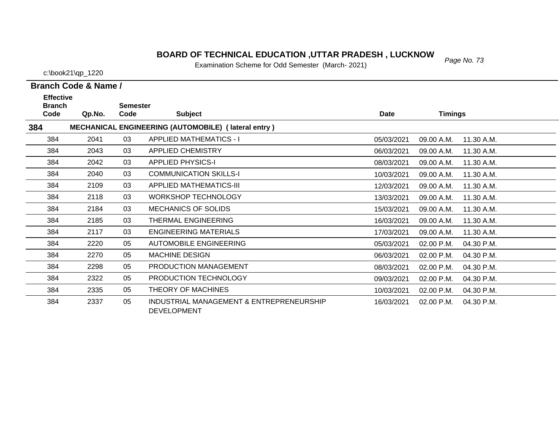### **BOARD OF TECHNICAL EDUCATION ,UTTAR PRADESH , LUCKNOW**<br>Figurization Schame for Odd Semester (Marsh, 2004)

Examination Scheme for Odd Semester (March- 2021)

c:\book21\qp\_1220

384

384

**Branch Code & Name /**

04.30 P.M.

10/03/2021 02.00 P.M.

| <b>Effective</b><br><b>Branch</b> |        | <b>Semester</b> |                                                            |            |                |            |
|-----------------------------------|--------|-----------------|------------------------------------------------------------|------------|----------------|------------|
| Code                              | Qp.No. | Code            | <b>Subject</b>                                             | Date       | <b>Timings</b> |            |
| 384                               |        |                 | <b>MECHANICAL ENGINEERING (AUTOMOBILE) (lateral entry)</b> |            |                |            |
| 384                               | 2041   | 03              | <b>APPLIED MATHEMATICS - I</b>                             | 05/03/2021 | 09.00 A.M.     | 11.30 A.M. |
| 384                               | 2043   | 03              | <b>APPLIED CHEMISTRY</b>                                   | 06/03/2021 | 09.00 A.M.     | 11.30 A.M. |
| 384                               | 2042   | 03              | <b>APPLIED PHYSICS-I</b>                                   | 08/03/2021 | 09.00 A.M.     | 11.30 A.M. |
| 384                               | 2040   | 03              | <b>COMMUNICATION SKILLS-I</b>                              | 10/03/2021 | 09.00 A.M.     | 11.30 A.M. |
| 384                               | 2109   | 03              | <b>APPLIED MATHEMATICS-III</b>                             | 12/03/2021 | 09.00 A.M.     | 11.30 A.M. |
| 384                               | 2118   | 03              | <b>WORKSHOP TECHNOLOGY</b>                                 | 13/03/2021 | 09.00 A.M.     | 11.30 A.M. |
| 384                               | 2184   | 03              | <b>MECHANICS OF SOLIDS</b>                                 | 15/03/2021 | 09.00 A.M.     | 11.30 A.M. |
| 384                               | 2185   | 03              | THERMAL ENGINEERING                                        | 16/03/2021 | 09.00 A.M.     | 11.30 A.M. |
| 384                               | 2117   | 03              | ENGINEERING MATERIALS                                      | 17/03/2021 | 09.00 A.M.     | 11.30 A.M. |
| 384                               | 2220   | 05              | <b>AUTOMOBILE ENGINEERING</b>                              | 05/03/2021 | 02.00 P.M.     | 04.30 P.M. |
| 384                               | 2270   | 05              | <b>MACHINE DESIGN</b>                                      | 06/03/2021 | 02.00 P.M.     | 04.30 P.M. |
| 384                               | 2298   | 05              | PRODUCTION MANAGEMENT                                      | 08/03/2021 | 02.00 P.M.     | 04.30 P.M. |
| 384                               | 2322   | 05              | PRODUCTION TECHNOLOGY                                      | 09/03/2021 | 02.00 P.M.     | 04.30 P.M. |

05 INDUSTRIAL MANAGEMENT & ENTREPRENEURSHIP 2337 16/03/2021 02.00 P.M. 04.30 P.M.DEVELOPMENT

2335 05 THEORY OF MACHINES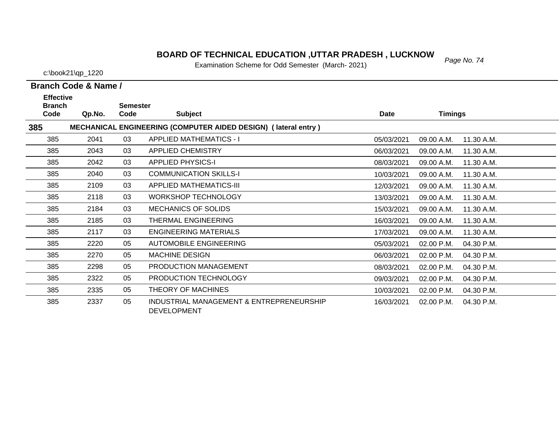# *Page No. 74* **BOARD OF TECHNICAL EDUCATION ,UTTAR PRADESH , LUCKNOW**

Examination Scheme for Odd Semester (March- 2021)

c:\book21\qp\_1220

| <b>Effective</b>      |        |                         |                                                                       |             |                          |  |
|-----------------------|--------|-------------------------|-----------------------------------------------------------------------|-------------|--------------------------|--|
| <b>Branch</b><br>Code | Qp.No. | <b>Semester</b><br>Code | <b>Subject</b>                                                        | <b>Date</b> | <b>Timings</b>           |  |
| 385                   |        |                         | <b>MECHANICAL ENGINEERING (COMPUTER AIDED DESIGN) (lateral entry)</b> |             |                          |  |
| 385                   | 2041   | 03                      | <b>APPLIED MATHEMATICS - I</b>                                        | 05/03/2021  | 09.00 A.M.<br>11.30 A.M. |  |
| 385                   | 2043   | 03                      | <b>APPLIED CHEMISTRY</b>                                              | 06/03/2021  | 09.00 A.M.<br>11.30 A.M. |  |
| 385                   | 2042   | 03                      | <b>APPLIED PHYSICS-I</b>                                              | 08/03/2021  | 09.00 A.M.<br>11.30 A.M. |  |
| 385                   | 2040   | 03                      | <b>COMMUNICATION SKILLS-I</b>                                         | 10/03/2021  | 09.00 A.M.<br>11.30 A.M. |  |
| 385                   | 2109   | 03                      | <b>APPLIED MATHEMATICS-III</b>                                        | 12/03/2021  | 09.00 A.M.<br>11.30 A.M. |  |
| 385                   | 2118   | 03                      | <b>WORKSHOP TECHNOLOGY</b>                                            | 13/03/2021  | 09.00 A.M.<br>11.30 A.M. |  |
| 385                   | 2184   | 03                      | <b>MECHANICS OF SOLIDS</b>                                            | 15/03/2021  | 09.00 A.M.<br>11.30 A.M. |  |
| 385                   | 2185   | 03                      | THERMAL ENGINEERING                                                   | 16/03/2021  | 09.00 A.M.<br>11.30 A.M. |  |
| 385                   | 2117   | 03                      | <b>ENGINEERING MATERIALS</b>                                          | 17/03/2021  | 09.00 A.M.<br>11.30 A.M. |  |
| 385                   | 2220   | 05                      | <b>AUTOMOBILE ENGINEERING</b>                                         | 05/03/2021  | 02.00 P.M.<br>04.30 P.M. |  |
| 385                   | 2270   | 05                      | <b>MACHINE DESIGN</b>                                                 | 06/03/2021  | 04.30 P.M.<br>02.00 P.M. |  |
| 385                   | 2298   | 05                      | PRODUCTION MANAGEMENT                                                 | 08/03/2021  | 02.00 P.M.<br>04.30 P.M. |  |
| 385                   | 2322   | 05                      | PRODUCTION TECHNOLOGY                                                 | 09/03/2021  | 04.30 P.M.<br>02.00 P.M. |  |
| 385                   | 2335   | 05                      | THEORY OF MACHINES                                                    | 10/03/2021  | 02.00 P.M.<br>04.30 P.M. |  |
| 385                   | 2337   | 05                      | INDUSTRIAL MANAGEMENT & ENTREPRENEURSHIP<br><b>DEVELOPMENT</b>        | 16/03/2021  | 02.00 P.M.<br>04.30 P.M. |  |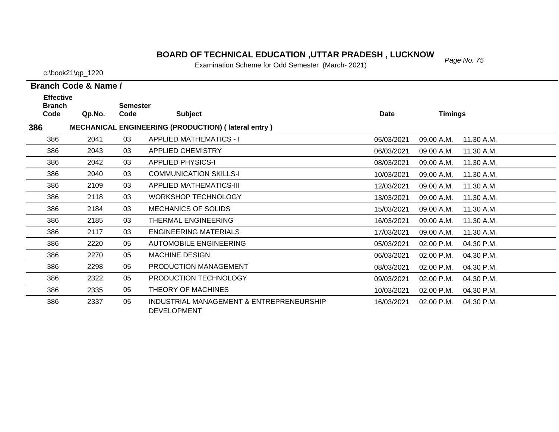# *Page No. 75* **BOARD OF TECHNICAL EDUCATION ,UTTAR PRADESH , LUCKNOW**

Examination Scheme for Odd Semester (March- 2021)

c:\book21\qp\_1220

| <b>Effective</b>      |        |                         |                                                                |             |                |            |
|-----------------------|--------|-------------------------|----------------------------------------------------------------|-------------|----------------|------------|
| <b>Branch</b><br>Code | Qp.No. | <b>Semester</b><br>Code | <b>Subject</b>                                                 | <b>Date</b> | <b>Timings</b> |            |
| 386                   |        |                         | <b>MECHANICAL ENGINEERING (PRODUCTION) (lateral entry)</b>     |             |                |            |
| 386                   | 2041   | 03                      | <b>APPLIED MATHEMATICS - I</b>                                 | 05/03/2021  | 09.00 A.M.     | 11.30 A.M. |
| 386                   | 2043   | 03                      | <b>APPLIED CHEMISTRY</b>                                       | 06/03/2021  | 09.00 A.M.     | 11.30 A.M. |
| 386                   | 2042   | 03                      | <b>APPLIED PHYSICS-I</b>                                       | 08/03/2021  | 09.00 A.M.     | 11.30 A.M. |
| 386                   | 2040   | 03                      | <b>COMMUNICATION SKILLS-I</b>                                  | 10/03/2021  | 09.00 A.M.     | 11.30 A.M. |
| 386                   | 2109   | 03                      | <b>APPLIED MATHEMATICS-III</b>                                 | 12/03/2021  | 09.00 A.M.     | 11.30 A.M. |
| 386                   | 2118   | 03                      | <b>WORKSHOP TECHNOLOGY</b>                                     | 13/03/2021  | 09.00 A.M.     | 11.30 A.M. |
| 386                   | 2184   | 03                      | <b>MECHANICS OF SOLIDS</b>                                     | 15/03/2021  | 09.00 A.M.     | 11.30 A.M. |
| 386                   | 2185   | 03                      | THERMAL ENGINEERING                                            | 16/03/2021  | 09.00 A.M.     | 11.30 A.M. |
| 386                   | 2117   | 03                      | <b>ENGINEERING MATERIALS</b>                                   | 17/03/2021  | 09.00 A.M.     | 11.30 A.M. |
| 386                   | 2220   | 05                      | <b>AUTOMOBILE ENGINEERING</b>                                  | 05/03/2021  | 02.00 P.M.     | 04.30 P.M. |
| 386                   | 2270   | 05                      | <b>MACHINE DESIGN</b>                                          | 06/03/2021  | 02.00 P.M.     | 04.30 P.M. |
| 386                   | 2298   | 05                      | PRODUCTION MANAGEMENT                                          | 08/03/2021  | 02.00 P.M.     | 04.30 P.M. |
| 386                   | 2322   | 05                      | PRODUCTION TECHNOLOGY                                          | 09/03/2021  | 02.00 P.M.     | 04.30 P.M. |
| 386                   | 2335   | 05                      | THEORY OF MACHINES                                             | 10/03/2021  | 02.00 P.M.     | 04.30 P.M. |
| 386                   | 2337   | 05                      | INDUSTRIAL MANAGEMENT & ENTREPRENEURSHIP<br><b>DEVELOPMENT</b> | 16/03/2021  | 02.00 P.M.     | 04.30 P.M. |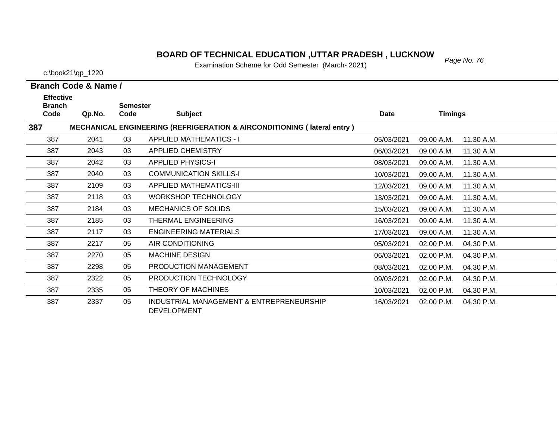# *Page No. 76* **BOARD OF TECHNICAL EDUCATION ,UTTAR PRADESH , LUCKNOW**

Examination Scheme for Odd Semester (March- 2021)

c:\book21\qp\_1220

| <b>Effective</b><br><b>Branch</b> |        |                         |                                                                                    |            |                |            |
|-----------------------------------|--------|-------------------------|------------------------------------------------------------------------------------|------------|----------------|------------|
| Code                              | Qp.No. | <b>Semester</b><br>Code | <b>Subject</b>                                                                     | Date       | <b>Timings</b> |            |
| 387                               |        |                         | <b>MECHANICAL ENGINEERING (REFRIGERATION &amp; AIRCONDITIONING (Iateral entry)</b> |            |                |            |
| 387                               | 2041   | 03                      | <b>APPLIED MATHEMATICS - I</b>                                                     | 05/03/2021 | 09.00 A.M.     | 11.30 A.M. |
| 387                               | 2043   | 03                      | <b>APPLIED CHEMISTRY</b>                                                           | 06/03/2021 | 09.00 A.M.     | 11.30 A.M. |
| 387                               | 2042   | 03                      | <b>APPLIED PHYSICS-I</b>                                                           | 08/03/2021 | 09.00 A.M.     | 11.30 A.M. |
| 387                               | 2040   | 03                      | <b>COMMUNICATION SKILLS-I</b>                                                      | 10/03/2021 | 09.00 A.M.     | 11.30 A.M. |
| 387                               | 2109   | 03                      | <b>APPLIED MATHEMATICS-III</b>                                                     | 12/03/2021 | 09.00 A.M.     | 11.30 A.M. |
| 387                               | 2118   | 03                      | <b>WORKSHOP TECHNOLOGY</b>                                                         | 13/03/2021 | 09.00 A.M.     | 11.30 A.M. |
| 387                               | 2184   | 03                      | <b>MECHANICS OF SOLIDS</b>                                                         | 15/03/2021 | 09.00 A.M.     | 11.30 A.M. |
| 387                               | 2185   | 03                      | THERMAL ENGINEERING                                                                | 16/03/2021 | 09.00 A.M.     | 11.30 A.M. |
| 387                               | 2117   | 03                      | <b>ENGINEERING MATERIALS</b>                                                       | 17/03/2021 | 09.00 A.M.     | 11.30 A.M. |
| 387                               | 2217   | 05                      | AIR CONDITIONING                                                                   | 05/03/2021 | 02.00 P.M.     | 04.30 P.M. |
| 387                               | 2270   | 05                      | <b>MACHINE DESIGN</b>                                                              | 06/03/2021 | 02.00 P.M.     | 04.30 P.M. |
| 387                               | 2298   | 05                      | PRODUCTION MANAGEMENT                                                              | 08/03/2021 | 02.00 P.M.     | 04.30 P.M. |
| 387                               | 2322   | 05                      | PRODUCTION TECHNOLOGY                                                              | 09/03/2021 | 02.00 P.M.     | 04.30 P.M. |
| 387                               | 2335   | 05                      | THEORY OF MACHINES                                                                 | 10/03/2021 | 02.00 P.M.     | 04.30 P.M. |
| 387                               | 2337   | 05                      | INDUSTRIAL MANAGEMENT & ENTREPRENEURSHIP<br><b>DEVELOPMENT</b>                     | 16/03/2021 | 02.00 P.M.     | 04.30 P.M. |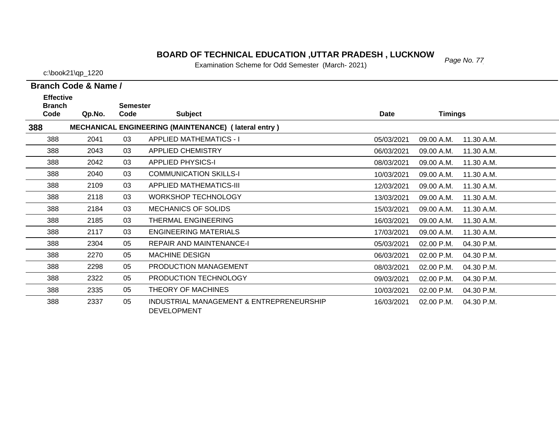# *Page No. 77* **BOARD OF TECHNICAL EDUCATION ,UTTAR PRADESH , LUCKNOW**

Examination Scheme for Odd Semester (March- 2021)

c:\book21\qp\_1220

| <b>Effective</b><br><b>Branch</b> |        | <b>Semester</b> |                                                                |             |                |            |
|-----------------------------------|--------|-----------------|----------------------------------------------------------------|-------------|----------------|------------|
| Code                              | Qp.No. | Code            | <b>Subject</b>                                                 | <b>Date</b> | <b>Timings</b> |            |
| 388                               |        |                 | MECHANICAL ENGINEERING (MAINTENANCE) (lateral entry)           |             |                |            |
| 388                               | 2041   | 03              | <b>APPLIED MATHEMATICS - I</b>                                 | 05/03/2021  | 09.00 A.M.     | 11.30 A.M. |
| 388                               | 2043   | 03              | <b>APPLIED CHEMISTRY</b>                                       | 06/03/2021  | 09.00 A.M.     | 11.30 A.M. |
| 388                               | 2042   | 03              | <b>APPLIED PHYSICS-I</b>                                       | 08/03/2021  | 09.00 A.M.     | 11.30 A.M. |
| 388                               | 2040   | 03              | <b>COMMUNICATION SKILLS-I</b>                                  | 10/03/2021  | 09.00 A.M.     | 11.30 A.M. |
| 388                               | 2109   | 03              | <b>APPLIED MATHEMATICS-III</b>                                 | 12/03/2021  | 09.00 A.M.     | 11.30 A.M. |
| 388                               | 2118   | 03              | <b>WORKSHOP TECHNOLOGY</b>                                     | 13/03/2021  | 09.00 A.M.     | 11.30 A.M. |
| 388                               | 2184   | 03              | <b>MECHANICS OF SOLIDS</b>                                     | 15/03/2021  | 09.00 A.M.     | 11.30 A.M. |
| 388                               | 2185   | 03              | THERMAL ENGINEERING                                            | 16/03/2021  | 09.00 A.M.     | 11.30 A.M. |
| 388                               | 2117   | 03              | <b>ENGINEERING MATERIALS</b>                                   | 17/03/2021  | 09.00 A.M.     | 11.30 A.M. |
| 388                               | 2304   | 05              | <b>REPAIR AND MAINTENANCE-I</b>                                | 05/03/2021  | 02.00 P.M.     | 04.30 P.M. |
| 388                               | 2270   | 05              | <b>MACHINE DESIGN</b>                                          | 06/03/2021  | 02.00 P.M.     | 04.30 P.M. |
| 388                               | 2298   | 05              | PRODUCTION MANAGEMENT                                          | 08/03/2021  | 02.00 P.M.     | 04.30 P.M. |
| 388                               | 2322   | 05              | PRODUCTION TECHNOLOGY                                          | 09/03/2021  | 02.00 P.M.     | 04.30 P.M. |
| 388                               | 2335   | 05              | THEORY OF MACHINES                                             | 10/03/2021  | 02.00 P.M.     | 04.30 P.M. |
| 388                               | 2337   | 05              | INDUSTRIAL MANAGEMENT & ENTREPRENEURSHIP<br><b>DEVELOPMENT</b> | 16/03/2021  | 02.00 P.M.     | 04.30 P.M. |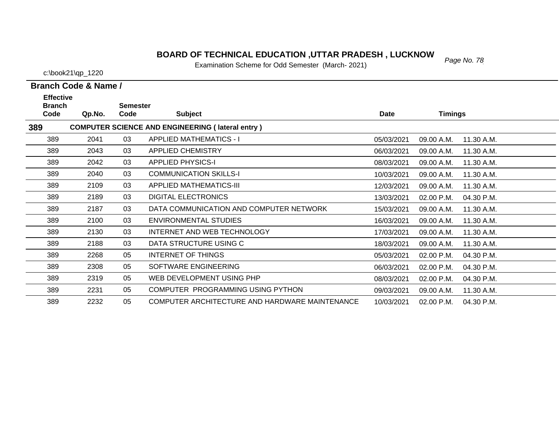# *Page No. 78* **BOARD OF TECHNICAL EDUCATION ,UTTAR PRADESH , LUCKNOW**

Examination Scheme for Odd Semester (March- 2021)

c:\book21\qp\_1220

| <b>Effective</b><br><b>Branch</b> |        | <b>Semester</b> |                                                         |            |                |            |
|-----------------------------------|--------|-----------------|---------------------------------------------------------|------------|----------------|------------|
| Code                              | Qp.No. | Code            | <b>Subject</b>                                          | Date       | <b>Timings</b> |            |
| 389                               |        |                 | <b>COMPUTER SCIENCE AND ENGINEERING (lateral entry)</b> |            |                |            |
| 389                               | 2041   | 03              | <b>APPLIED MATHEMATICS - I</b>                          | 05/03/2021 | 09.00 A.M.     | 11.30 A.M. |
| 389                               | 2043   | 03              | <b>APPLIED CHEMISTRY</b>                                | 06/03/2021 | 09.00 A.M.     | 11.30 A.M. |
| 389                               | 2042   | 03              | <b>APPLIED PHYSICS-I</b>                                | 08/03/2021 | 09.00 A.M.     | 11.30 A.M. |
| 389                               | 2040   | 03              | <b>COMMUNICATION SKILLS-I</b>                           | 10/03/2021 | 09.00 A.M.     | 11.30 A.M. |
| 389                               | 2109   | 03              | <b>APPLIED MATHEMATICS-III</b>                          | 12/03/2021 | 09.00 A.M.     | 11.30 A.M. |
| 389                               | 2189   | 03              | <b>DIGITAL ELECTRONICS</b>                              | 13/03/2021 | 02.00 P.M.     | 04.30 P.M. |
| 389                               | 2187   | 03              | DATA COMMUNICATION AND COMPUTER NETWORK                 | 15/03/2021 | 09.00 A.M.     | 11.30 A.M. |
| 389                               | 2100   | 03              | ENVIRONMENTAL STUDIES                                   | 16/03/2021 | 09.00 A.M.     | 11.30 A.M. |
| 389                               | 2130   | 03              | INTERNET AND WEB TECHNOLOGY                             | 17/03/2021 | 09.00 A.M.     | 11.30 A.M. |
| 389                               | 2188   | 03              | DATA STRUCTURE USING C                                  | 18/03/2021 | 09.00 A.M.     | 11.30 A.M. |
| 389                               | 2268   | 05              | INTERNET OF THINGS                                      | 05/03/2021 | 02.00 P.M.     | 04.30 P.M. |
| 389                               | 2308   | 05              | SOFTWARE ENGINEERING                                    | 06/03/2021 | 02.00 P.M.     | 04.30 P.M. |
| 389                               | 2319   | 05              | WEB DEVELOPMENT USING PHP                               | 08/03/2021 | 02.00 P.M.     | 04.30 P.M. |
| 389                               | 2231   | 05              | COMPUTER PROGRAMMING USING PYTHON                       | 09/03/2021 | 09.00 A.M.     | 11.30 A.M. |
| 389                               | 2232   | 05              | COMPUTER ARCHITECTURE AND HARDWARE MAINTENANCE          | 10/03/2021 | 02.00 P.M.     | 04.30 P.M. |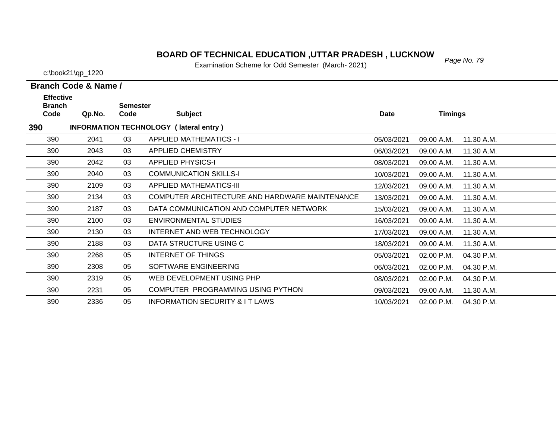### **BOARD OF TECHNICAL EDUCATION ,UTTAR PRADESH , LUCKNOW** Page No. 79

Examination Scheme for Odd Semester (March- 2021)

2187 03 DATA COMMUNICATION AND COMPUTER NETWORK

2100 03 ENVIRONMENTAL STUDIES

2188 03 DATA STRUCTURE USING C

2308 05 SOFTWARE ENGINEERING

2319 05 WEB DEVELOPMENT USING PHP

2336 05 INFORMATION SECURITY & I T LAWS

2231 05 COMPUTER PROGRAMMING USING PYTHON

2268 05 INTERNET OF THINGS

2130 03 INTERNET AND WEB TECHNOLOGY

c:\book21\qp\_1220

**Code Qp.No.**

**Branch** 

390

390

390

390

390

390

390

390

390

390

390

390

390

390

390

**390**

**Effective** 

| ective<br>nch |                               | <b>Semester</b> |                                                |            |                          |  |
|---------------|-------------------------------|-----------------|------------------------------------------------|------------|--------------------------|--|
| le.           | Qp.No.                        | Code            | <b>Subject</b>                                 | Date       | <b>Timings</b>           |  |
|               | <b>INFORMATION TECHNOLOGY</b> |                 | (lateral entry)                                |            |                          |  |
| 0             | 2041                          | 03              | <b>APPLIED MATHEMATICS - I</b>                 | 05/03/2021 | 09.00 A.M.<br>11.30 A.M. |  |
| 0             | 2043                          | 03              | <b>APPLIED CHEMISTRY</b>                       | 06/03/2021 | 09.00 A.M.<br>11.30 A.M. |  |
| 0             | 2042                          | 03              | <b>APPLIED PHYSICS-I</b>                       | 08/03/2021 | 09.00 A.M.<br>11.30 A.M. |  |
| 0             | 2040                          | 03              | <b>COMMUNICATION SKILLS-I</b>                  | 10/03/2021 | 09.00 A.M.<br>11.30 A.M. |  |
| 0             | 2109                          | 03              | <b>APPLIED MATHEMATICS-III</b>                 | 12/03/2021 | 09.00 A.M.<br>11.30 A.M. |  |
| 0             | 2134                          | 03              | COMPUTER ARCHITECTURE AND HARDWARE MAINTENANCE | 13/03/2021 | 09.00 A.M.<br>11.30 A.M. |  |

15/03/2021 09.00 A.M.

17/03/2021 09.00 A.M.

18/03/2021 09.00 A.M.

06/03/2021 02.00 P.M.

08/03/2021 02.00 P.M.

09/03/2021 09.00 A.M.

16/03/2021 09.00 A.M. 11.30 A.M.

05/03/2021 02.00 P.M. 04.30 P.M.

10/03/2021 02.00 P.M. 04.30 P.M.

11.30 A.M.

11.30 A.M.

11.30 A.M.

04.30 P.M.

04.30 P.M.

11.30 A.M.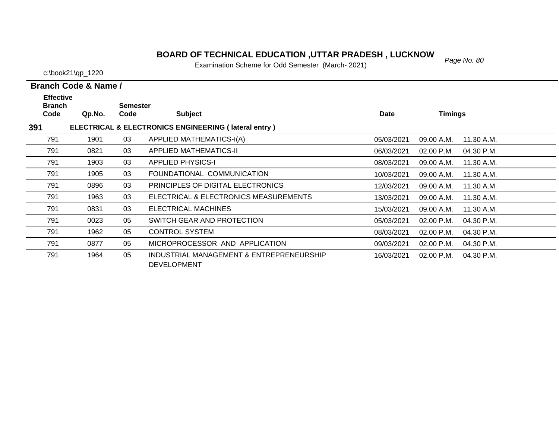### *Page No. 80* **BOARD OF TECHNICAL EDUCATION ,UTTAR PRADESH , LUCKNOW**

Examination Scheme for Odd Semester (March- 2021)

c:\book21\qp\_1220

| <b>Effective</b><br><b>Branch</b> |        | <b>Semester</b> |                                                                |             |                |            |
|-----------------------------------|--------|-----------------|----------------------------------------------------------------|-------------|----------------|------------|
| Code                              | Qp.No. | Code            | <b>Subject</b>                                                 | <b>Date</b> | <b>Timings</b> |            |
| 391                               |        |                 | ELECTRICAL & ELECTRONICS ENGINEERING (lateral entry)           |             |                |            |
| 791                               | 1901   | 03              | APPLIED MATHEMATICS-I(A)                                       | 05/03/2021  | 09.00 A.M.     | 11.30 A.M. |
| 791                               | 0821   | 03              | <b>APPLIED MATHEMATICS-II</b>                                  | 06/03/2021  | 02.00 P.M.     | 04.30 P.M. |
| 791                               | 1903   | 03              | <b>APPLIED PHYSICS-I</b>                                       | 08/03/2021  | 09.00 A.M.     | 11.30 A.M. |
| 791                               | 1905   | 03              | FOUNDATIONAL COMMUNICATION                                     | 10/03/2021  | 09.00 A.M.     | 11.30 A.M. |
| 791                               | 0896   | 03              | PRINCIPLES OF DIGITAL ELECTRONICS                              | 12/03/2021  | 09.00 A.M.     | 11.30 A.M. |
| 791                               | 1963   | 03              | ELECTRICAL & ELECTRONICS MEASUREMENTS                          | 13/03/2021  | 09.00 A.M.     | 11.30 A.M. |
| 791                               | 0831   | 03              | ELECTRICAL MACHINES                                            | 15/03/2021  | 09.00 A.M.     | 11.30 A.M. |
| 791                               | 0023   | 05              | SWITCH GEAR AND PROTECTION                                     | 05/03/2021  | $02.00$ P.M.   | 04.30 P.M. |
| 791                               | 1962   | 05              | <b>CONTROL SYSTEM</b>                                          | 08/03/2021  | $02.00$ P.M.   | 04.30 P.M. |
| 791                               | 0877   | 05              | MICROPROCESSOR AND APPLICATION                                 | 09/03/2021  | $02.00$ P.M.   | 04.30 P.M. |
| 791                               | 1964   | 05              | INDUSTRIAL MANAGEMENT & ENTREPRENEURSHIP<br><b>DEVELOPMENT</b> | 16/03/2021  | $02.00$ P.M.   | 04.30 P.M. |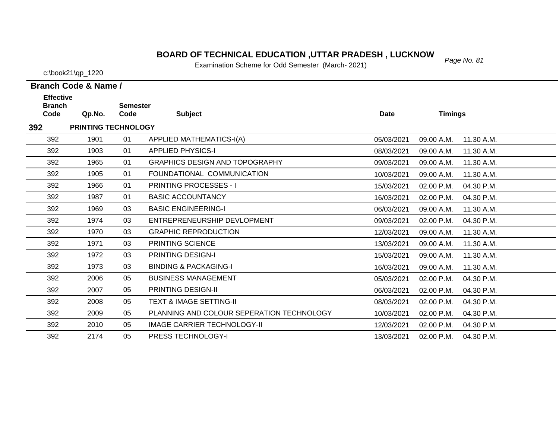# *Page No. 81* **BOARD OF TECHNICAL EDUCATION ,UTTAR PRADESH , LUCKNOW**

Examination Scheme for Odd Semester (March- 2021)

c:\book21\qp\_1220

| <b>Effective</b><br><b>Branch</b> |                            | <b>Semester</b> |                                           |             |                |            |
|-----------------------------------|----------------------------|-----------------|-------------------------------------------|-------------|----------------|------------|
| Code                              | Qp.No.                     | Code            | <b>Subject</b>                            | <b>Date</b> | <b>Timings</b> |            |
| 392                               | <b>PRINTING TECHNOLOGY</b> |                 |                                           |             |                |            |
| 392                               | 1901                       | 01              | <b>APPLIED MATHEMATICS-I(A)</b>           | 05/03/2021  | 09.00 A.M.     | 11.30 A.M. |
| 392                               | 1903                       | 01              | <b>APPLIED PHYSICS-I</b>                  | 08/03/2021  | 09.00 A.M.     | 11.30 A.M. |
| 392                               | 1965                       | 01              | <b>GRAPHICS DESIGN AND TOPOGRAPHY</b>     | 09/03/2021  | 09.00 A.M.     | 11.30 A.M. |
| 392                               | 1905                       | 01              | FOUNDATIONAL COMMUNICATION                | 10/03/2021  | 09.00 A.M.     | 11.30 A.M. |
| 392                               | 1966                       | 01              | <b>PRINTING PROCESSES - I</b>             | 15/03/2021  | 02.00 P.M.     | 04.30 P.M. |
| 392                               | 1987                       | 01              | <b>BASIC ACCOUNTANCY</b>                  | 16/03/2021  | 02.00 P.M.     | 04.30 P.M. |
| 392                               | 1969                       | 03              | <b>BASIC ENGINEERING-I</b>                | 06/03/2021  | 09.00 A.M.     | 11.30 A.M. |
| 392                               | 1974                       | 03              | ENTREPRENEURSHIP DEVLOPMENT               | 09/03/2021  | 02.00 P.M.     | 04.30 P.M. |
| 392                               | 1970                       | 03              | <b>GRAPHIC REPRODUCTION</b>               | 12/03/2021  | 09.00 A.M.     | 11.30 A.M. |
| 392                               | 1971                       | 03              | PRINTING SCIENCE                          | 13/03/2021  | 09.00 A.M.     | 11.30 A.M. |
| 392                               | 1972                       | 03              | PRINTING DESIGN-I                         | 15/03/2021  | 09.00 A.M.     | 11.30 A.M. |
| 392                               | 1973                       | 03              | <b>BINDING &amp; PACKAGING-I</b>          | 16/03/2021  | 09.00 A.M.     | 11.30 A.M. |
| 392                               | 2006                       | 05              | <b>BUSINESS MANAGEMENT</b>                | 05/03/2021  | 02.00 P.M.     | 04.30 P.M. |
| 392                               | 2007                       | 05              | <b>PRINTING DESIGN-II</b>                 | 06/03/2021  | 02.00 P.M.     | 04.30 P.M. |
| 392                               | 2008                       | 05              | <b>TEXT &amp; IMAGE SETTING-II</b>        | 08/03/2021  | 02.00 P.M.     | 04.30 P.M. |
| 392                               | 2009                       | 05              | PLANNING AND COLOUR SEPERATION TECHNOLOGY | 10/03/2021  | 02.00 P.M.     | 04.30 P.M. |
| 392                               | 2010                       | 05              | <b>IMAGE CARRIER TECHNOLOGY-II</b>        | 12/03/2021  | 02.00 P.M.     | 04.30 P.M. |
| 392                               | 2174                       | 05              | <b>PRESS TECHNOLOGY-I</b>                 | 13/03/2021  | 02.00 P.M.     | 04.30 P.M. |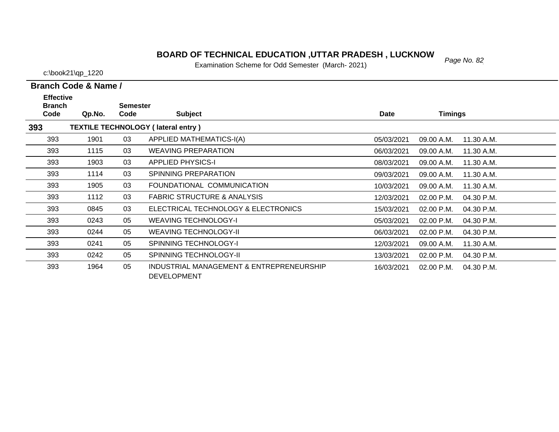### *Page No. 82* **BOARD OF TECHNICAL EDUCATION ,UTTAR PRADESH , LUCKNOW**

Examination Scheme for Odd Semester (March- 2021)

c:\book21\qp\_1220

**Branch Code & Name /**

| <b>Effective</b><br><b>Branch</b><br>Code | Qp.No. | <b>Semester</b><br>Code | <b>Subject</b>                            | <b>Date</b> | <b>Timings</b> |            |
|-------------------------------------------|--------|-------------------------|-------------------------------------------|-------------|----------------|------------|
| 393                                       |        |                         | <b>TEXTILE TECHNOLOGY (lateral entry)</b> |             |                |            |
| 393                                       | 1901   | 03                      | APPLIED MATHEMATICS-I(A)                  | 05/03/2021  | 09.00 A.M.     | 11.30 A.M. |
| 393                                       | 1115   | 03                      | <b>WEAVING PREPARATION</b>                | 06/03/2021  | 09.00 A.M.     | 11.30 A.M. |
| 393                                       | 1903   | 03                      | <b>APPLIED PHYSICS-I</b>                  | 08/03/2021  | 09.00 A.M.     | 11.30 A.M. |
| 393                                       | 1114   | 03                      | SPINNING PREPARATION                      | 09/03/2021  | 09.00 A.M.     | 11.30 A.M. |
| 393                                       | 1905   | 03                      | FOUNDATIONAL COMMUNICATION                | 10/03/2021  | 09.00 A.M.     | 11.30 A.M. |
| 393                                       | 1112   | 03                      | <b>FABRIC STRUCTURE &amp; ANALYSIS</b>    | 12/03/2021  | $02.00$ P.M.   | 04.30 P.M. |
| 393                                       | 0845   | 03                      | ELECTRICAL TECHNOLOGY & ELECTRONICS       | 15/03/2021  | 02.00 P.M.     | 04.30 P.M. |
| 393                                       | 0243   | 05                      | <b>WEAVING TECHNOLOGY-I</b>               | 05/03/2021  | 02.00 P.M.     | 04.30 P.M. |
| 393                                       | 0244   | 05                      | WEAVING TECHNOLOGY-II                     | 06/03/2021  | $02.00$ P.M.   | 04.30 P.M. |
| 393                                       | 0241   | 05                      | <b>SPINNING TECHNOLOGY-I</b>              | 12/03/2021  | 09.00 A.M.     | 11.30 A.M. |
| 393                                       | 0242   | 05                      | <b>SPINNING TECHNOLOGY-II</b>             | 13/03/2021  | $02.00$ P.M.   | 04.30 P.M. |
| 393                                       | 1964   | 05                      | INDUSTRIAL MANAGEMENT & ENTREPRENEURSHIP  | 16/03/2021  | 02.00 P.M.     | 04.30 P.M. |

DEVELOPMENT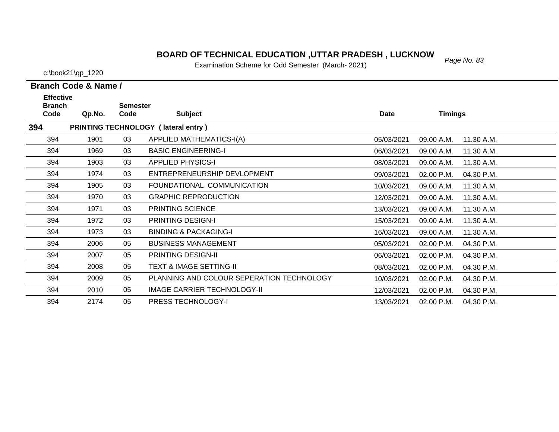# *Page No. 83* **BOARD OF TECHNICAL EDUCATION ,UTTAR PRADESH , LUCKNOW**

Examination Scheme for Odd Semester (March- 2021)

c:\book21\qp\_1220

| JOKZ I \QD_ I ZZU |  |
|-------------------|--|
|                   |  |

| <b>Effective</b><br><b>Branch</b> |        | <b>Semester</b> |                                           |            |                          |  |
|-----------------------------------|--------|-----------------|-------------------------------------------|------------|--------------------------|--|
| Code                              | Qp.No. | Code            | <b>Subject</b>                            | Date       | <b>Timings</b>           |  |
| 394                               |        |                 | PRINTING TECHNOLOGY (lateral entry)       |            |                          |  |
| 394                               | 1901   | 03              | APPLIED MATHEMATICS-I(A)                  | 05/03/2021 | 11.30 A.M.<br>09.00 A.M. |  |
| 394                               | 1969   | 03              | <b>BASIC ENGINEERING-I</b>                | 06/03/2021 | 09.00 A.M.<br>11.30 A.M. |  |
| 394                               | 1903   | 03              | <b>APPLIED PHYSICS-I</b>                  | 08/03/2021 | 11.30 A.M.<br>09.00 A.M. |  |
| 394                               | 1974   | 03              | ENTREPRENEURSHIP DEVLOPMENT               | 09/03/2021 | 02.00 P.M.<br>04.30 P.M. |  |
| 394                               | 1905   | 03              | FOUNDATIONAL COMMUNICATION                | 10/03/2021 | 09.00 A.M.<br>11.30 A.M. |  |
| 394                               | 1970   | 03              | <b>GRAPHIC REPRODUCTION</b>               | 12/03/2021 | 09.00 A.M.<br>11.30 A.M. |  |
| 394                               | 1971   | 03              | PRINTING SCIENCE                          | 13/03/2021 | 11.30 A.M.<br>09.00 A.M. |  |
| 394                               | 1972   | 03              | <b>PRINTING DESIGN-I</b>                  | 15/03/2021 | 09.00 A.M.<br>11.30 A.M. |  |
| 394                               | 1973   | 03              | <b>BINDING &amp; PACKAGING-I</b>          | 16/03/2021 | 09.00 A.M.<br>11.30 A.M. |  |
| 394                               | 2006   | 05              | <b>BUSINESS MANAGEMENT</b>                | 05/03/2021 | 02.00 P.M.<br>04.30 P.M. |  |
| 394                               | 2007   | 05              | <b>PRINTING DESIGN-II</b>                 | 06/03/2021 | 02.00 P.M.<br>04.30 P.M. |  |
| 394                               | 2008   | 05              | <b>TEXT &amp; IMAGE SETTING-II</b>        | 08/03/2021 | 02.00 P.M.<br>04.30 P.M. |  |
| 394                               | 2009   | 05              | PLANNING AND COLOUR SEPERATION TECHNOLOGY | 10/03/2021 | 02.00 P.M.<br>04.30 P.M. |  |
| 394                               | 2010   | 05              | IMAGE CARRIER TECHNOLOGY-II               | 12/03/2021 | 02.00 P.M.<br>04.30 P.M. |  |
| 394                               | 2174   | 05              | <b>PRESS TECHNOLOGY-I</b>                 | 13/03/2021 | 02.00 P.M.<br>04.30 P.M. |  |